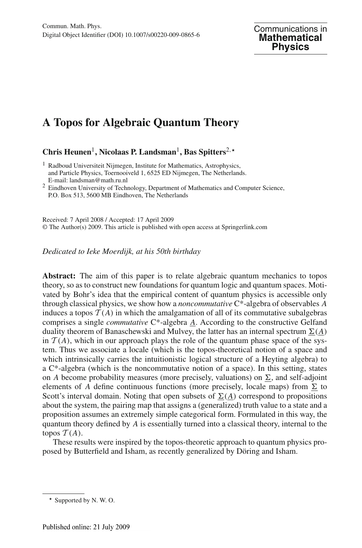# **A Topos for Algebraic Quantum Theory**

**Chris Heunen**1**, Nicolaas P. Landsman**1**, Bas Spitters**2,

<sup>2</sup> Eindhoven University of Technology, Department of Mathematics and Computer Science, P.O. Box 513, 5600 MB Eindhoven, The Netherlands

Received: 7 April 2008 / Accepted: 17 April 2009 © The Author(s) 2009. This article is published with open access at Springerlink.com

*Dedicated to Ieke Moerdijk, at his 50th birthday*

**Abstract:** The aim of this paper is to relate algebraic quantum mechanics to topos theory, so as to construct new foundations for quantum logic and quantum spaces. Motivated by Bohr's idea that the empirical content of quantum physics is accessible only through classical physics, we show how a *noncommutative* C\*-algebra of observables *A* induces a topos  $\mathcal{T}(A)$  in which the amalgamation of all of its commutative subalgebras comprises a single *commutative* C\*-algebra *A*. According to the constructive Gelfand duality theorem of Banaschewski and Mulvey, the latter has an internal spectrum  $\underline{\Sigma}(\underline{A})$ in  $T(A)$ , which in our approach plays the role of the quantum phase space of the system. Thus we associate a locale (which is the topos-theoretical notion of a space and which intrinsically carries the intuitionistic logical structure of a Heyting algebra) to a C\*-algebra (which is the noncommutative notion of a space). In this setting, states on *A* become probability measures (more precisely, valuations) on  $\Sigma$ , and self-adjoint elements of *A* define continuous functions (more precisely, locale maps) from  $\Sigma$  to Scott's interval domain. Noting that open subsets of  $\Sigma(\underline{A})$  correspond to propositions about the system, the pairing map that assigns a (generalized) truth value to a state and a proposition assumes an extremely simple categorical form. Formulated in this way, the quantum theory defined by *A* is essentially turned into a classical theory, internal to the topos  $T(A)$ .

These results were inspired by the topos-theoretic approach to quantum physics proposed by Butterfield and Isham, as recently generalized by Döring and Isham.

<sup>&</sup>lt;sup>1</sup> Radboud Universiteit Nijmegen, Institute for Mathematics, Astrophysics, and Particle Physics, Toernooiveld 1, 6525 ED Nijmegen, The Netherlands. E-mail: landsman@math.ru.nl

<sup>\*</sup> Supported by N.W.O.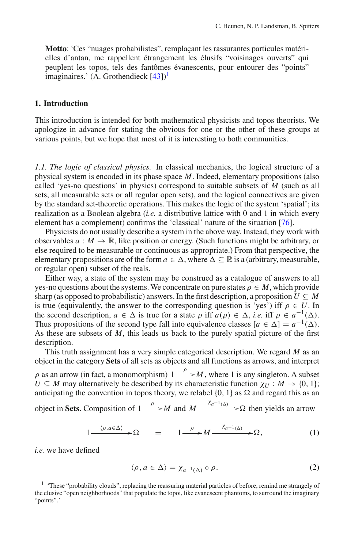**Motto**: 'Ces "nuages probabilistes", remplaçant les rassurantes particules matérielles d'antan, me rappellent étrangement les élusifs "voisinages ouverts" qui peuplent les topos, tels des fantômes évanescents, pour entourer des "points" imaginaires.' (A. Grothendieck  $[43]$  $[43]$ )<sup>[1](#page-1-0)</sup>

## **1. Introduction**

This introduction is intended for both mathematical physicists and topos theorists. We apologize in advance for stating the obvious for one or the other of these groups at various points, but we hope that most of it is interesting to both communities.

<span id="page-1-2"></span>*1.1. The logic of classical physics.* In classical mechanics, the logical structure of a physical system is encoded in its phase space *M*. Indeed, elementary propositions (also called 'yes-no questions' in physics) correspond to suitable subsets of *M* (such as all sets, all measurable sets or all regular open sets), and the logical connectives are given by the standard set-theoretic operations. This makes the logic of the system 'spatial'; its realization as a Boolean algebra (*i.e.* a distributive lattice with 0 and 1 in which every element has a complement) confirms the 'classical' nature of the situation [\[76\]](#page-47-0).

Physicists do not usually describe a system in the above way. Instead, they work with observables  $a : M \to \mathbb{R}$ , like position or energy. (Such functions might be arbitrary, or else required to be measurable or continuous as appropriate.) From that perspective, the elementary propositions are of the form  $a \in \Delta$ , where  $\Delta \subseteq \mathbb{R}$  is a (arbitrary, measurable, or regular open) subset of the reals.

Either way, a state of the system may be construed as a catalogue of answers to all yes-no questions about the systems. We concentrate on pure states  $\rho \in M$ , which provide sharp (as opposed to probabilistic) answers. In the first description, a proposition  $U \subseteq M$ is true (equivalently, the answer to the corresponding question is 'yes') iff  $\rho \in U$ . In the second description,  $a \in \Delta$  is true for a state  $\rho$  iff  $a(\rho) \in \Delta$ , *i.e.* iff  $\rho \in a^{-1}(\Delta)$ . Thus propositions of the second type fall into equivalence classes  $[a \in \Delta] = a^{-1}(\Delta)$ . As these are subsets of *M*, this leads us back to the purely spatial picture of the first description.

This truth assignment has a very simple categorical description. We regard *M* as an object in the category **Sets** of all sets as objects and all functions as arrows, and interpret  $\rho$  as an arrow (in fact, a monomorphism)  $1 \stackrel{\rho}{\longrightarrow} M$ , where 1 is any singleton. A subset  $U \subseteq M$  may alternatively be described by its characteristic function  $\chi_U : M \to \{0, 1\};$ anticipating the convention in topos theory, we relabel  $\{0, 1\}$  as  $\Omega$  and regard this as an

object in **Sets**. Composition of  $1 \xrightarrow{\rho} M$  and  $M \xrightarrow{\chi_{a^{-1}(\Delta)}} \infty$  then yields an arrow

$$
1 \xrightarrow{\langle \rho, a \in \Delta \rangle} \mathcal{D} \qquad = \qquad 1 \xrightarrow{\rho} M \xrightarrow{\chi_{a^{-1}(\Delta)}} \mathcal{D}, \tag{1}
$$

<span id="page-1-1"></span>*i.e.* we have defined

$$
\langle \rho, a \in \Delta \rangle = \chi_{a^{-1}(\Delta)} \circ \rho. \tag{2}
$$

<span id="page-1-0"></span><sup>&</sup>lt;sup>1</sup> 'These "probability clouds", replacing the reassuring material particles of before, remind me strangely of the elusive "open neighborhoods" that populate the topoi, like evanescent phantoms, to surround the imaginary "points".'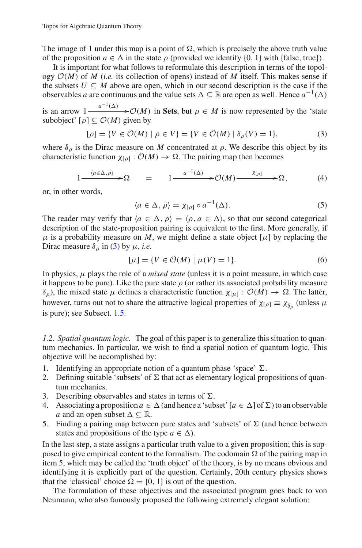The image of 1 under this map is a point of  $\Omega$ , which is precisely the above truth value of the proposition  $a \in \Delta$  in the state  $\rho$  (provided we identify {0, 1} with {false, true}).

It is important for what follows to reformulate this description in terms of the topology  $O(M)$  of *M* (*i.e.* its collection of opens) instead of *M* itself. This makes sense if the subsets  $U \subseteq M$  above are open, which in our second description is the case if the observables *a* are continuous and the value sets  $\Delta \subseteq \mathbb{R}$  are open as well. Hence  $a^{-1}(\Delta)$ 

is an arrow  $1 - \frac{a^{-1}(\Delta)}{a}$   $\geq \mathcal{O}(M)$  in Sets, but  $\rho \in M$  is now represented by the 'state subobject'  $[\rho] \subset \mathcal{O}(M)$  given by

$$
[\rho] = \{ V \in \mathcal{O}(M) \mid \rho \in V \} = \{ V \in \mathcal{O}(M) \mid \delta_{\rho}(V) = 1 \},\tag{3}
$$

<span id="page-2-0"></span>where  $\delta_{\rho}$  is the Dirac measure on *M* concentrated at  $\rho$ . We describe this object by its characteristic function  $\chi_{[\rho]} : \mathcal{O}(M) \to \Omega$ . The pairing map then becomes

$$
1 \xrightarrow{\langle a \in \Delta, \rho \rangle} \mathfrak{D} \qquad = \qquad 1 \xrightarrow{\qquad a^{-1}(\Delta)} \mathfrak{D}(M) \xrightarrow{\qquad \chi_{[\rho]}} \mathfrak{D}, \tag{4}
$$

<span id="page-2-3"></span>or, in other words,

$$
\langle a \in \Delta, \rho \rangle = \chi_{[\rho]} \circ a^{-1}(\Delta). \tag{5}
$$

The reader may verify that  $\langle a \in \Delta, \rho \rangle = \langle \rho, a \in \Delta \rangle$ , so that our second categorical description of the state-proposition pairing is equivalent to the first. More generally, if  $\mu$  is a probability measure on M, we might define a state object  $[\mu]$  by replacing the Dirac measure  $\delta_{\rho}$  in [\(3\)](#page-2-0) by  $\mu$ , *i.e.* 

$$
[\mu] = \{ V \in \mathcal{O}(M) \mid \mu(V) = 1 \}. \tag{6}
$$

<span id="page-2-2"></span>In physics,  $\mu$  plays the role of a *mixed state* (unless it is a point measure, in which case it happens to be pure). Like the pure state  $\rho$  (or rather its associated probability measure δ<sub>ρ</sub>), the mixed state μ defines a characteristic function  $\chi_{[\mu]} : \mathcal{O}(M) \to \Omega$ . The latter, however, turns out not to share the attractive logical properties of  $\chi_{[\rho]} \equiv \chi_{\delta_{\rho}}$  (unless  $\mu$ is pure); see Subsect. [1.5.](#page-7-0)

<span id="page-2-1"></span>*1.2. Spatial quantum logic.* The goal of this paper is to generalize this situation to quantum mechanics. In particular, we wish to find a spatial notion of quantum logic. This objective will be accomplished by:

- 1. Identifying an appropriate notion of a quantum phase 'space'  $\Sigma$ .
- 2. Defining suitable 'subsets' of  $\Sigma$  that act as elementary logical propositions of quantum mechanics.
- 3. Describing observables and states in terms of  $\Sigma$ .
- 4. Associating a proposition  $a \in \Delta$  (and hence a 'subset'  $[a \in \Delta]$  of  $\Sigma$ ) to an observable *a* and an open subset  $\Delta \subseteq \mathbb{R}$ .
- 5. Finding a pairing map between pure states and 'subsets' of  $\Sigma$  (and hence between states and propositions of the type  $a \in \Delta$ ).

In the last step, a state assigns a particular truth value to a given proposition; this is supposed to give empirical content to the formalism. The codomain  $\Omega$  of the pairing map in item 5, which may be called the 'truth object' of the theory, is by no means obvious and identifying it is explicitly part of the question. Certainly, 20th century physics shows that the 'classical' choice  $\Omega = \{0, 1\}$  is out of the question.

The formulation of these objectives and the associated program goes back to von Neumann, who also famously proposed the following extremely elegant solution: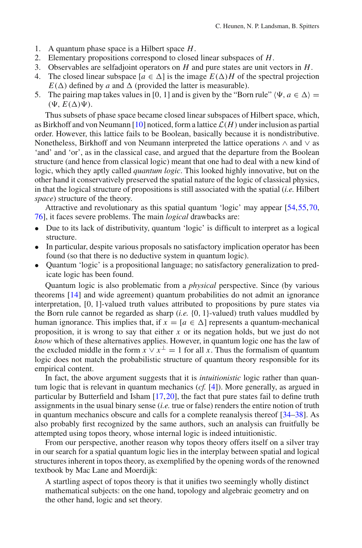- 1. A quantum phase space is a Hilbert space *H*.
- 2. Elementary propositions correspond to closed linear subspaces of *H*.
- 3. Observables are selfadjoint operators on *H* and pure states are unit vectors in *H*.
- 4. The closed linear subspace  $[a \in \Delta]$  is the image  $E(\Delta)H$  of the spectral projection  $E(\Delta)$  defined by *a* and  $\Delta$  (provided the latter is measurable).
- 5. The pairing map takes values in [0, 1] and is given by the "Born rule"  $\langle \Psi, a \in \Delta \rangle =$  $(\Psi, E(\Delta)\Psi).$

Thus subsets of phase space became closed linear subspaces of Hilbert space, which, as Birkhoff and von Neumann  $[10]$  noticed, form a lattice  $\mathcal{L}(H)$  under inclusion as partial order. However, this lattice fails to be Boolean, basically because it is nondistributive. Nonetheless, Birkhoff and von Neumann interpreted the lattice operations ∧ and ∨ as 'and' and 'or', as in the classical case, and argued that the departure from the Boolean structure (and hence from classical logic) meant that one had to deal with a new kind of logic, which they aptly called *quantum logic*. This looked highly innovative, but on the other hand it conservatively preserved the spatial nature of the logic of classical physics, in that the logical structure of propositions is still associated with the spatial (*i.e.* Hilbert *space*) structure of the theory.

Attractive and revolutionary as this spatial quantum 'logic' may appear [\[54](#page-46-1)[,55](#page-46-2)[,70](#page-47-1), [76](#page-47-0)], it faces severe problems. The main *logical* drawbacks are:

- Due to its lack of distributivity, quantum 'logic' is difficult to interpret as a logical structure.
- In particular, despite various proposals no satisfactory implication operator has been found (so that there is no deductive system in quantum logic).
- Quantum 'logic' is a propositional language; no satisfactory generalization to predicate logic has been found.

Quantum logic is also problematic from a *physical* perspective. Since (by various theorems [\[14](#page-45-1)] and wide agreement) quantum probabilities do not admit an ignorance interpretation, [0, 1]-valued truth values attributed to propositions by pure states via the Born rule cannot be regarded as sharp (*i.e.* {0, 1}-valued) truth values muddled by human ignorance. This implies that, if  $x = [a \in \Delta]$  represents a quantum-mechanical proposition, it is wrong to say that either *x* or its negation holds, but we just do not *know* which of these alternatives applies. However, in quantum logic one has the law of the excluded middle in the form  $\overrightarrow{x} \vee \overrightarrow{x} = 1$  for all *x*. Thus the formalism of quantum logic does not match the probabilistic structure of quantum theory responsible for its empirical content.

In fact, the above argument suggests that it is *intuitionistic* logic rather than quantum logic that is relevant in quantum mechanics (*cf.* [\[4\]](#page-45-2)). More generally, as argued in particular by Butterfield and Isham [\[17,](#page-45-3)[20\]](#page-45-4), the fact that pure states fail to define truth assignments in the usual binary sense (*i.e.* true or false) renders the entire notion of truth in quantum mechanics obscure and calls for a complete reanalysis thereof [\[34](#page-46-3)[–38](#page-46-4)]. As also probably first recognized by the same authors, such an analysis can fruitfully be attempted using topos theory, whose internal logic is indeed intuitionistic.

From our perspective, another reason why topos theory offers itself on a silver tray in our search for a spatial quantum logic lies in the interplay between spatial and logical structures inherent in topos theory, as exemplified by the opening words of the renowned textbook by Mac Lane and Moerdijk:

A startling aspect of topos theory is that it unifies two seemingly wholly distinct mathematical subjects: on the one hand, topology and algebraic geometry and on the other hand, logic and set theory.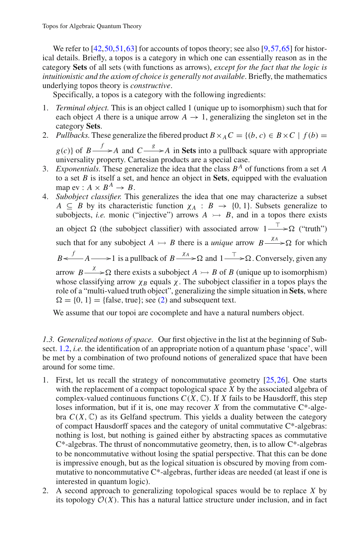We refer to [\[42,](#page-46-5) [50](#page-46-6), 51, 63] for accounts of topos theory; see also [\[9,](#page-45-5) [57](#page-46-8), 65] for historical details. Briefly, a topos is a category in which one can essentially reason as in the category **Sets** of all sets (with functions as arrows), *except for the fact that the logic is intuitionistic and the axiom of choice is generally not available*. Briefly, the mathematics underlying topos theory is *constructive*.

Specifically, a topos is a category with the following ingredients:

- 1. *Terminal object.* This is an object called 1 (unique up to isomorphism) such that for each object *A* there is a unique arrow  $A \rightarrow 1$ , generalizing the singleton set in the category **Sets**.
- 2. *Pullbacks*. These generalize the fibered product  $B \times_A C = \{(b, c) \in B \times C \mid f(b) =$  $g(c)$ } of  $B \xrightarrow{f} A$  and  $C \xrightarrow{g} A$  in **Sets** into a pullback square with appropriate universality property. Cartesian products are a special case.
- 3. *Exponentials.* These generalize the idea that the class *B<sup>A</sup>* of functions from a set *A* to a set *B* is itself a set, and hence an object in **Sets**, equipped with the evaluation map ev :  $A \times B^A \rightarrow B$ .
- 4. *Subobject classifier.* This generalizes the idea that one may characterize a subset *A*  $\subseteq$  *B* by its characteristic function  $\chi_A : B \to \{0, 1\}$ . Subsets generalize to subobjects, *i.e.* monic ("injective") arrows  $A \rightarrow B$ , and in a topos there exists an object  $\Omega$  (the subobject classifier) with associated arrow  $1 \rightarrow \Omega$  ("truth")

such that for any subobject  $A \rightarrow B$  there is a *unique* arrow  $B \xrightarrow{\chi_A} \Omega$  for which

 $B \leftarrow \longrightarrow A \longrightarrow 1$  is a pullback of  $B \xrightarrow{\chi_A} \Omega$  and  $1 \xrightarrow{\top} \Omega$ . Conversely, given any

arrow  $B \longrightarrow \Omega$  there exists a subobject  $A \rightarrow B$  of *B* (unique up to isomorphism) whose classifying arrow  $\chi_B$  equals  $\chi$ . The subobject classifier in a topos plays the role of a "multi-valued truth object", generalizing the simple situation in **Sets**, where  $\Omega = \{0, 1\}$  = {false, true}; see [\(2\)](#page-1-1) and subsequent text.

We assume that our topoi are cocomplete and have a natural numbers object.

<span id="page-4-0"></span>*1.3. Generalized notions of space.* Our first objective in the list at the beginning of Subsect. [1.2,](#page-2-1) *i.e.* the identification of an appropriate notion of a quantum phase 'space', will be met by a combination of two profound notions of generalized space that have been around for some time.

- 1. First, let us recall the strategy of noncommutative geometry [\[25](#page-45-6)[,26](#page-45-7)]. One starts with the replacement of a compact topological space *X* by the associated algebra of complex-valued continuous functions  $C(X, \mathbb{C})$ . If *X* fails to be Hausdorff, this step loses information, but if it is, one may recover  $X$  from the commutative  $C^*$ -algebra  $C(X, \mathbb{C})$  as its Gelfand spectrum. This yields a duality between the category of compact Hausdorff spaces and the category of unital commutative C\*-algebras: nothing is lost, but nothing is gained either by abstracting spaces as commutative  $C^*$ -algebras. The thrust of noncommutative geometry, then, is to allow  $C^*$ -algebras to be noncommutative without losing the spatial perspective. That this can be done is impressive enough, but as the logical situation is obscured by moving from commutative to noncommutative  $C^*$ -algebras, further ideas are needed (at least if one is interested in quantum logic).
- 2. A second approach to generalizing topological spaces would be to replace *X* by its topology  $O(X)$ . This has a natural lattice structure under inclusion, and in fact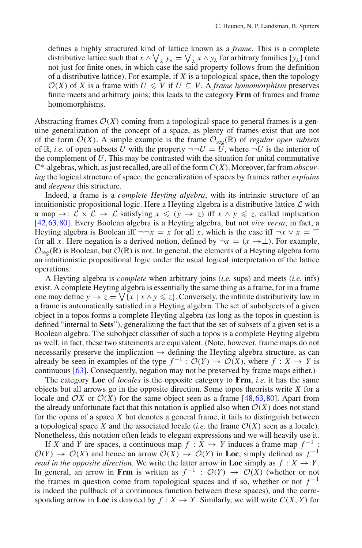defines a highly structured kind of lattice known as a *frame*. This is a complete distributive lattice such that  $x \wedge \bigvee_{\lambda} y_{\lambda} = \bigvee_{\lambda} x \wedge y_{\lambda}$  for arbitrary families {*y*<sub> $\lambda$ </sub>} (and not just for finite ones, in which case the said property follows from the definition of a distributive lattice). For example, if *X* is a topological space, then the topology  $O(X)$  of *X* is a frame with  $U \leq V$  if  $U \subseteq V$ . A *frame homomorphism* preserves finite meets and arbitrary joins; this leads to the category **Frm** of frames and frame homomorphisms.

Abstracting frames  $\mathcal{O}(X)$  coming from a topological space to general frames is a genuine generalization of the concept of a space, as plenty of frames exist that are not of the form  $\mathcal{O}(X)$ . A simple example is the frame  $\mathcal{O}_{reg}(\mathbb{R})$  of *regular open subsets* of  $\mathbb{R}$ , *i.e.* of open subsets *U* with the property  $\neg\neg U = U$ , where  $\neg U$  is the interior of the complement of *U*. This may be contrasted with the situation for unital commutative C\*-algebras, which, as just recalled, are all of the form *C*(*X*). Moreover, far from *obscuring* the logical structure of space, the generalization of spaces by frames rather *explains* and *deepens* this structure.

Indeed, a frame is a *complete Heyting algebra*, with its intrinsic structure of an intuitionistic propositional logic. Here a Heyting algebra is a distributive lattice *L* with a map  $\rightarrow$ :  $\mathcal{L} \times \mathcal{L} \rightarrow \mathcal{L}$  satisfying  $x \leq (y \rightarrow z)$  iff  $x \wedge y \leq z$ , called implication [\[42](#page-46-5),[63,](#page-47-2)[80\]](#page-47-4). Every Boolean algebra is a Heyting algebra, but not *vice versa*; in fact, a Heyting algebra is Boolean iff  $\neg\neg x = x$  for all *x*, which is the case iff  $\neg x \lor x = \top$ for all *x*. Here negation is a derived notion, defined by  $\neg x = (x \rightarrow \perp)$ . For example,  $\mathcal{O}_{\text{reg}}(\mathbb{R})$  is Boolean, but  $\mathcal{O}(\mathbb{R})$  is not. In general, the elements of a Heyting algebra form an intuitionistic propositional logic under the usual logical interpretation of the lattice operations.

A Heyting algebra is *complete* when arbitrary joins (*i.e.* sups) and meets (*i.e.* infs) exist. A complete Heyting algebra is essentially the same thing as a frame, for in a frame one may define  $y \to z = \bigvee \{x \mid x \land y \leq z\}$ . Conversely, the infinite distributivity law in a frame is automatically satisfied in a Heyting algebra. The set of subobjects of a given object in a topos forms a complete Heyting algebra (as long as the topos in question is defined "internal to **Sets**"), generalizing the fact that the set of subsets of a given set is a Boolean algebra. The subobject classifier of such a topos is a complete Heyting algebra as well; in fact, these two statements are equivalent. (Note, however, frame maps do not necessarily preserve the implication  $\rightarrow$  defining the Heyting algebra structure, as can already be seen in examples of the type  $f^{-1}$  :  $\mathcal{O}(Y) \to \mathcal{O}(X)$ , where  $f : X \to Y$  is continuous [\[63\]](#page-47-2). Consequently, negation may not be preserved by frame maps either.)

The category **Loc** of *locales* is the opposite category to **Frm**, *i.e.* it has the same objects but all arrows go in the opposite direction. Some topos theorists write *X* for a locale and  $OX$  or  $O(X)$  for the same object seen as a frame [\[48](#page-46-9)[,63](#page-47-2)[,80](#page-47-4)]. Apart from the already unfortunate fact that this notation is applied also when  $\mathcal{O}(X)$  does not stand for the opens of a space *X* but denotes a general frame, it fails to distinguish between a topological space *X* and the associated locale (*i.e.* the frame  $\mathcal{O}(X)$  seen as a locale). Nonetheless, this notation often leads to elegant expressions and we will heavily use it.

If *X* and *Y* are spaces, a continuous map  $f : X \to Y$  induces a frame map  $f^{-1}$ :  $\mathcal{O}(Y) \to \mathcal{O}(X)$  and hence an arrow  $\mathcal{O}(X) \to \mathcal{O}(Y)$  in **Loc**, simply defined as  $f^{-1}$ *read in the opposite direction.* We write the latter arrow in **Loc** simply as  $f : X \rightarrow Y$ . In general, an arrow in **Frm** is written as  $f^{-1}$  :  $\mathcal{O}(Y) \rightarrow \mathcal{O}(X)$  (whether or not the frames in question come from topological spaces and if so, whether or not  $f^{-1}$ is indeed the pullback of a continuous function between these spaces), and the corresponding arrow in **Loc** is denoted by  $f: X \to Y$ . Similarly, we will write  $C(X, Y)$  for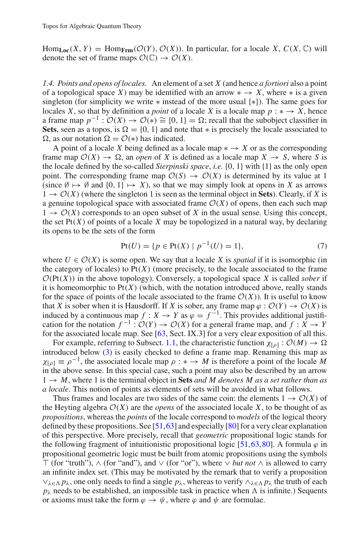$\text{Hom}_{\text{Loc}}(X, Y) = \text{Hom}_{\text{Frm}}(\mathcal{O}(Y), \mathcal{O}(X))$ . In particular, for a locale *X*,  $C(X, \mathbb{C})$  will denote the set of frame maps  $\mathcal{O}(\mathbb{C}) \to \mathcal{O}(X)$ .

<span id="page-6-1"></span>*1.4. Points and opens of locales.* An element of a set *X* (and hence *a fortiori* also a point of a topological space *X*) may be identified with an arrow  $* \rightarrow X$ , where  $*$  is a given singleton (for simplicity we write ∗ instead of the more usual {∗}). The same goes for locales *X*, so that by definition a *point* of a locale *X* is a locale map  $p : * \to X$ , hence a frame map  $p^{-1}$ :  $\mathcal{O}(X) \to \mathcal{O}(\epsilon) \cong \{0, 1\} = \Omega$ ; recall that the subobject classifier in **Sets**, seen as a topos, is  $\Omega = \{0, 1\}$  and note that  $*$  is precisely the locale associated to  $\Omega$ , as our notation  $\Omega = \mathcal{O}(*)$  has indicated.

A point of a locale *X* being defined as a locale map  $* \rightarrow X$  or as the corresponding frame map  $\mathcal{O}(X) \to \Omega$ , an *open* of *X* is defined as a locale map  $X \to S$ , where *S* is the locale defined by the so-called *Sierpinski space*, *i.e.* {0, 1} with {1} as the only open point. The corresponding frame map  $\mathcal{O}(S) \to \mathcal{O}(X)$  is determined by its value at 1 (since  $\emptyset \mapsto \emptyset$  and  $\{0, 1\} \mapsto X$ ), so that we may simply look at opens in X as arrows  $1 \rightarrow \mathcal{O}(X)$  (where the singleton 1 is seen as the terminal object in **Sets**). Clearly, if X is a genuine topological space with associated frame  $O(X)$  of opens, then each such map  $1 \rightarrow \mathcal{O}(X)$  corresponds to an open subset of X in the usual sense. Using this concept, the set  $Pt(X)$  of points of a locale X may be topologized in a natural way, by declaring its opens to be the sets of the form

$$
Pt(U) = \{ p \in Pt(X) \mid p^{-1}(U) = 1 \},\tag{7}
$$

<span id="page-6-0"></span>where  $U \in \mathcal{O}(X)$  is some open. We say that a locale X is *spatial* if it is isomorphic (in the category of locales) to  $Pt(X)$  (more precisely, to the locale associated to the frame  $O(Pt(X))$  in the above topology). Conversely, a topological space *X* is called *sober* if it is homeomorphic to  $Pt(X)$  (which, with the notation introduced above, really stands for the space of points of the locale associated to the frame  $\mathcal{O}(X)$ ). It is useful to know that *X* is sober when it is Hausdorff. If *X* is sober, any frame map  $\varphi : \mathcal{O}(Y) \to \mathcal{O}(X)$  is induced by a continuous map  $f : X \to Y$  as  $\varphi = f^{-1}$ . This provides additional justification for the notation  $f^{-1}: \mathcal{O}(Y) \to \mathcal{O}(X)$  for a general frame map, and  $f: X \to Y$ for the associated locale map. See [\[63](#page-47-2), Sect. IX.3] for a very clear exposition of all this.

For example, referring to Subsect. [1.1,](#page-1-2) the characteristic function  $\chi_{\lbrack \rho \rbrack} : \mathcal{O}(M) \to \Omega$ introduced below [\(3\)](#page-2-0) is easily checked to define a frame map. Renaming this map as  $\chi_{[\rho]} \equiv \rho^{-1}$ , the associated locale map  $\rho : * \to M$  is therefore a point of the locale M in the above sense. In this special case, such a point may also be described by an arrow  $1 \rightarrow M$ , where 1 is the terminal object in **Sets** *and M* denotes *M* as a set rather than as *a locale*. This notion of points as elements of sets will be avoided in what follows.

Thus frames and locales are two sides of the same coin: the elements  $1 \rightarrow \mathcal{O}(X)$  of the Heyting algebra  $O(X)$  are the *opens* of the associated locale X, to be thought of as *propositions*, whereas the *points* of the locale correspond to *models* of the logical theory defined by these propositions. See [\[51](#page-46-7),[63\]](#page-47-2) and especially [\[80](#page-47-4)] for a very clear explanation of this perspective. More precisely, recall that *geometric* propositional logic stands for the following fragment of intuitionistic propositional logic [\[51,](#page-46-7)[63](#page-47-2)[,80](#page-47-4)]. A formula  $\varphi$  in propositional geometric logic must be built from atomic propositions using the symbols (for "truth"), ∧ (for "and"), and ∨ (for "or"), where ∨ *but not* ∧ is allowed to carry an infinite index set. (This may be motivated by the remark that to verify a proposition ∨λ<sup>∈</sup> *p*λ, one only needs to find a single *p*λ, whereas to verify ∧λ<sup>∈</sup> *p*<sup>λ</sup> the truth of each  $p_{\lambda}$  needs to be established, an impossible task in practice when  $\Lambda$  is infinite.) Sequents or axioms must take the form  $\varphi \to \psi$ , where  $\varphi$  and  $\psi$  are formulae.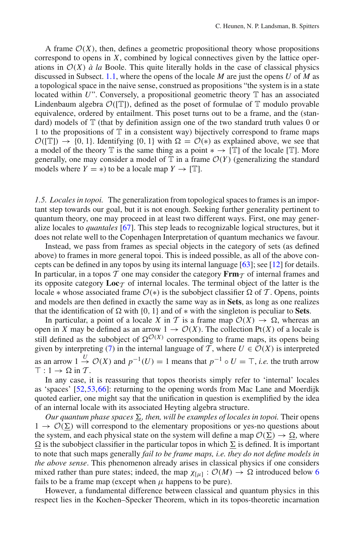A frame  $O(X)$ , then, defines a geometric propositional theory whose propositions correspond to opens in *X*, combined by logical connectives given by the lattice operations in  $O(X)$  *à la* Boole. This quite literally holds in the case of classical physics discussed in Subsect. [1.1,](#page-1-2) where the opens of the locale *M* are just the opens *U* of *M* as a topological space in the naive sense, construed as propositions "the system is in a state located within  $U$ ". Conversely, a propositional geometric theory  $T$  has an associated Lindenbaum algebra  $\mathcal{O}(|\mathbb{T}|)$ , defined as the poset of formulae of  $\mathbb{T}$  modulo provable equivalence, ordered by entailment. This poset turns out to be a frame, and the (standard) models of  $T$  (that by definition assign one of the two standard truth values 0 or 1 to the propositions of  $\mathbb T$  in a consistent way) bijectively correspond to frame maps  $\mathcal{O}(|T|) \rightarrow \{0, 1\}$ . Identifying  $\{0, 1\}$  with  $\Omega = \mathcal{O}(*)$  as explained above, we see that a model of the theory  $\mathbb T$  is the same thing as a point  $* \to [\mathbb T]$  of the locale  $[\mathbb T]$ . More generally, one may consider a model of  $\mathbb T$  in a frame  $\mathcal O(Y)$  (generalizing the standard models where  $Y = *)$  to be a locale map  $Y \to [\mathbb{T}]$ .

<span id="page-7-0"></span>*1.5. Locales in topoi.* The generalization from topological spaces to frames is an important step towards our goal, but it is not enough. Seeking further generality pertinent to quantum theory, one may proceed in at least two different ways. First, one may generalize locales to *quantales* [\[67\]](#page-47-5). This step leads to recognizable logical structures, but it does not relate well to the Copenhagen Interpretation of quantum mechanics we favour.

Instead, we pass from frames as special objects in the category of sets (as defined above) to frames in more general topoi. This is indeed possible, as all of the above concepts can be defined in any topos by using its internal language [\[63](#page-47-2)]; see [\[12](#page-45-8)] for details. In particular, in a topos  $T$  one may consider the category  $\mathbf{Frm}_{T}$  of internal frames and its opposite category  $\text{Loc}_{\mathcal{T}}$  of internal locales. The terminal object of the latter is the locale  $*$  whose associated frame  $\mathcal{O}(*)$  is the subobject classifier  $\Omega$  of  $\mathcal{T}$ . Opens, points and models are then defined in exactly the same way as in **Sets**, as long as one realizes that the identification of  $\Omega$  with {0, 1} and of  $*$  with the singleton is peculiar to **Sets**.

In particular, a point of a locale *X* in *T* is a frame map  $\mathcal{O}(X) \to \Omega$ , whereas an open in *X* may be defined as an arrow  $1 \rightarrow \mathcal{O}(X)$ . The collection Pt(*X*) of a locale is still defined as the subobject of  $\Omega^{O(X)}$  corresponding to frame maps, its opens being given by interpreting [\(7\)](#page-6-0) in the internal language of  $\widetilde{T}$ , where  $U \in \mathcal{O}(X)$  is interpreted as an arrow  $1 \stackrel{U}{\rightarrow} \mathcal{O}(X)$  and  $p^{-1}(U) = 1$  means that  $p^{-1} \circ U = \top$ , *i.e.* the truth arrow  $\top$ : 1  $\rightarrow \Omega$  in *T*.

In any case, it is reassuring that topos theorists simply refer to 'internal' locales as 'spaces' [\[52,](#page-46-10)[53](#page-46-11)[,66](#page-47-6)]: returning to the opening words from Mac Lane and Moerdijk quoted earlier, one might say that the unification in question is exemplified by the idea of an internal locale with its associated Heyting algebra structure.

 $Our quantum phase spaces  $\Sigma$ , then, will be examples of locales in topoi. Their opens$  $1 \rightarrow \mathcal{O}(\Sigma)$  will correspond to the elementary propositions or yes-no questions about the system, and each physical state on the system will define a map  $\mathcal{O}(\Sigma) \to \Omega$ , where  $\Omega$  is the subobject classifier in the particular topos in which  $\Sigma$  is defined. It is important to note that such maps generally *fail to be frame maps, i.e. they do not define models in the above sense*. This phenomenon already arises in classical physics if one considers mixed rather than pure states; indeed, the map  $\chi_{[u]} : \mathcal{O}(M) \to \Omega$  introduced below [6](#page-2-2) fails to be a frame map (except when  $\mu$  happens to be pure).

However, a fundamental difference between classical and quantum physics in this respect lies in the Kochen–Specker Theorem, which in its topos-theoretic incarnation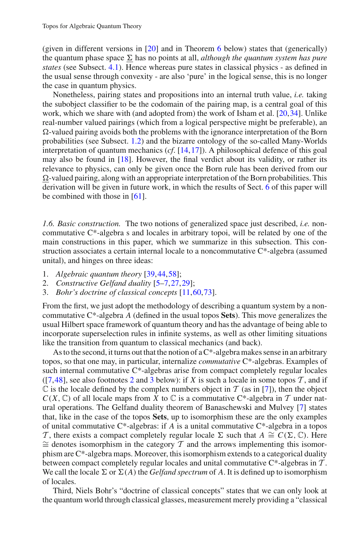(given in different versions in [\[20](#page-45-4)] and in Theorem [6](#page-23-0) below) states that (generically) the quantum phase space  $\Sigma$  has no points at all, *although the quantum system has pure states* (see Subsect. [4.1\)](#page-24-0). Hence whereas pure states in classical physics - as defined in the usual sense through convexity - are also 'pure' in the logical sense, this is no longer the case in quantum physics.

Nonetheless, pairing states and propositions into an internal truth value, *i.e.* taking the subobject classifier to be the codomain of the pairing map, is a central goal of this work, which we share with (and adopted from) the work of Isham et al. [\[20](#page-45-4)[,34](#page-46-3)]. Unlike real-number valued pairings (which from a logical perspective might be preferable), an  $\Omega$ -valued pairing avoids both the problems with the ignorance interpretation of the Born probabilities (see Subsect. [1.2\)](#page-2-1) and the bizarre ontology of the so-called Many-Worlds interpretation of quantum mechanics (*cf*. [\[14](#page-45-1)[,17](#page-45-3)]). A philosophical defence of this goal may also be found in [\[18](#page-45-9)]. However, the final verdict about its validity, or rather its relevance to physics, can only be given once the Born rule has been derived from our  $\Omega$ -valued pairing, along with an appropriate interpretation of the Born probabilities. This derivation will be given in future work, in which the results of Sect. [6](#page-32-0) of this paper will be combined with those in [\[61\]](#page-46-12).

<span id="page-8-0"></span>*1.6. Basic construction.* The two notions of generalized space just described, *i.e.* noncommutative  $C^*$ -algebra s and locales in arbitrary topoi, will be related by one of the main constructions in this paper, which we summarize in this subsection. This construction associates a certain internal locale to a noncommutative C\*-algebra (assumed unital), and hinges on three ideas:

- 1. *Algebraic quantum theory* [\[39](#page-46-13)[,44](#page-46-14),[58](#page-46-15)];
- 2. *Constructive Gelfand duality* [\[5](#page-45-10)[–7](#page-45-11),[27,](#page-45-12)[29\]](#page-45-13);
- 3. *Bohr's doctrine of classical concepts* [\[11](#page-45-14)[,60](#page-46-16),[73\]](#page-47-7).

From the first, we just adopt the methodology of describing a quantum system by a noncommutative C\*-algebra *A* (defined in the usual topos **Sets**). This move generalizes the usual Hilbert space framework of quantum theory and has the advantage of being able to incorporate superselection rules in infinite systems, as well as other limiting situations like the transition from quantum to classical mechanics (and back).

As to the second, it turns out that the notion of a  $C^*$ -algebra makes sense in an arbitrary topos, so that one may, in particular, internalize *commutative* C\*-algebras. Examples of such internal commutative C\*-algebras arise from compact completely regular locales  $([7,48],$  $([7,48],$  $([7,48],$  $([7,48],$  see also footnotes [2](#page-15-0) and [3](#page-15-1) below): if *X* is such a locale in some topos *T*, and if  $\mathbb C$  is the locale defined by the complex numbers object in  $\mathcal T$  (as in [\[7](#page-45-11)]), then the object  $C(X, \mathbb{C})$  of all locale maps from *X* to  $\mathbb{C}$  is a commutative C\*-algebra in  $\mathcal T$  under natural operations. The Gelfand duality theorem of Banaschewski and Mulvey [\[7\]](#page-45-11) states that, like in the case of the topos **Sets**, up to isomorphism these are the only examples of unital commutative  $C^*$ -algebras: if *A* is a unital commutative  $C^*$ -algebra in a topos *T*, there exists a compact completely regular locale  $\Sigma$  such that  $A \cong C(\Sigma)$  $\cong$  denotes isomorphism in the category  $\mathcal T$  and the arrows implementing this isomorphism are C\*-algebra maps. Moreover, this isomorphism extends to a categorical duality between compact completely regular locales and unital commutative C\*-algebras in *T* . We call the locale  $\Sigma$  or  $\Sigma(A)$  the *Gelfand spectrum* of A. It is defined up to isomorphism of locales.

Third, Niels Bohr's "doctrine of classical concepts" states that we can only look at the quantum world through classical glasses, measurement merely providing a "classical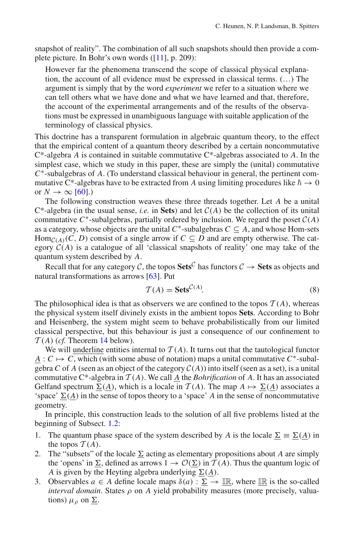snapshot of reality". The combination of all such snapshots should then provide a complete picture. In Bohr's own words ([\[11](#page-45-14)], p. 209):

However far the phenomena transcend the scope of classical physical explanation, the account of all evidence must be expressed in classical terms. (…) The argument is simply that by the word *experiment* we refer to a situation where we can tell others what we have done and what we have learned and that, therefore, the account of the experimental arrangements and of the results of the observations must be expressed in unambiguous language with suitable application of the terminology of classical physics.

This doctrine has a transparent formulation in algebraic quantum theory, to the effect that the empirical content of a quantum theory described by a certain noncommutative C\*-algebra *A* is contained in suitable commutative C\*-algebras associated to *A*. In the simplest case, which we study in this paper, these are simply the (unital) commutative *C*∗-subalgebras of *A*. (To understand classical behaviour in general, the pertinent commutative C\*-algebras have to be extracted from *A* using limiting procedures like  $\hbar \rightarrow 0$ or  $N \rightarrow \infty$  [\[60\]](#page-46-16).)

The following construction weaves these three threads together. Let *A* be a unital  $C^*$ -algebra (in the usual sense, *i.e.* in **Sets**) and let  $C(A)$  be the collection of its unital commutative  $C^*$ -subalgebras, partially ordered by inclusion. We regard the poset  $C(A)$ as a category, whose objects are the unital  $C^*$ -subalgebras  $C \subseteq A$ , and whose Hom-sets Hom<sub> $C(A)$ </sub> $(C, D)$  consist of a single arrow if  $C \subseteq D$  and are empty otherwise. The category  $C(A)$  is a catalogue of all 'classical snapshots of reality' one may take of the quantum system described by *A*.

Recall that for any category *C*, the topos  $\textbf{Sets}^C$  has functors  $C \rightarrow \textbf{Sets}$  as objects and natural transformations as arrows [\[63\]](#page-47-2). Put

$$
\mathcal{T}(A) = \mathbf{Sets}^{\mathcal{C}(A)}.
$$
 (8)

<span id="page-9-0"></span>The philosophical idea is that as observers we are confined to the topos  $T(A)$ , whereas the physical system itself divinely exists in the ambient topos **Sets**. According to Bohr and Heisenberg, the system might seem to behave probabilistically from our limited classical perspective, but this behaviour is just a consequence of our confinement to  $T(A)$  (*cf.* Theorem [14](#page-27-0) below).

We will <u>underline</u> entities internal to  $T(A)$ . It turns out that the tautological functor  $A: C \mapsto C$ , which (with some abuse of notation) maps a unital commutative  $C^*$ -subalgebra *C* of *A* (seen as an object of the category  $C(A)$ ) into itself (seen as a set), is a unital commutative C\*-algebra in  $T(A)$ . We call  $\underline{A}$  the *Bohrification* of A. It has an associated Gelfand spectrum  $\Sigma(\underline{A})$ , which is a locale in  $\mathcal{T}(A)$ . The map  $A \mapsto \Sigma(\underline{A})$  associates a 'space'  $\Sigma(\underline{A})$  in the sense of topos theory to a 'space' *A* in the sense of noncommutative geometry.

In principle, this construction leads to the solution of all five problems listed at the beginning of Subsect. [1.2:](#page-2-1)

- 1. The quantum phase space of the system described by *A* is the locale  $\Sigma = \Sigma(\Lambda)$  in the topos  $T(A)$ .
- 2. The "subsets" of the locale  $\Sigma$  acting as elementary propositions about *A* are simply the 'opens' in  $\Sigma$ , defined as arrows  $1 \rightarrow \mathcal{O}(\Sigma)$  in  $\mathcal{T}(A)$ . Thus the quantum logic of *A* is given by the Heyting algebra underlying  $\Sigma(\underline{A})$ .
- 3. Observables  $a \in A$  define locale maps  $\delta(a) : \Sigma \to \mathbb{IR}$ , where  $\mathbb{IR}$  is the so-called *interval domain*. States  $\rho$  on *A* yield probability measures (more precisely, valuations)  $\mu_{\rho}$  on  $\Sigma$ .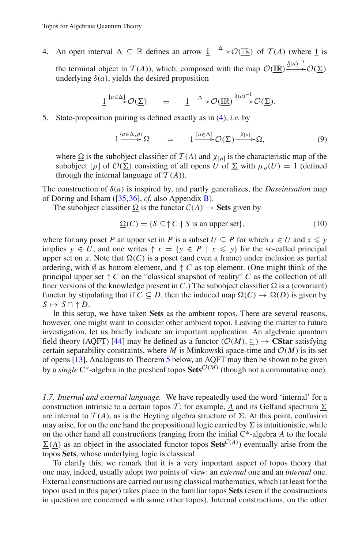4. An open interval  $\Delta \subseteq \mathbb{R}$  defines an arrow  $\underline{1-\Delta}$   $\infty(\mathbb{IR})$  of  $\mathcal{T}(A)$  (where  $\underline{1}$  is the terminal object in *T*(*A*)), which, composed with the map  $\mathcal{O}(\underline{\mathbb{R}}) \xrightarrow{\underline{\delta}(a)^{-1}} \mathcal{O}(\underline{\Sigma})$  $\overline{\phantom{a}}$ underlying  $\delta(a)$ , yields the desired proposition

$$
\underline{1} \overset{[a \in \Delta]}{\longrightarrow} \mathcal{O}(\underline{\Sigma}) \qquad = \qquad \underline{1} \overset{\Delta}{\longrightarrow} \mathcal{O}(\underline{\mathbb{IR}}) \overset{\underline{\delta}(a)^{-1}}{\longrightarrow} \mathcal{O}(\underline{\Sigma}).
$$

5. State-proposition pairing is defined exactly as in [\(4\)](#page-2-3), *i.e.* by

$$
\underline{1} \xrightarrow{\langle a \in \Delta, \rho \rangle} \underline{\Omega} = \underline{1} \xrightarrow{[a \in \Delta]} \mathcal{O}(\underline{\Sigma}) \xrightarrow{\chi_{[\rho]}} \underline{\Omega}, \tag{9}
$$

<span id="page-10-0"></span>where  $\Omega$  is the subobject classifier of  $\mathcal{T}(A)$  and  $\chi_{[0]}$  is the characteristic map of the subobject  $[\rho]$  of  $\mathcal{O}(\Sigma)$  consisting of all opens *U* of  $\Sigma$  with  $\mu_{\rho}(U) = 1$  (defined through the internal language of  $T(A)$ ).

The construction of  $\delta(a)$  is inspired by, and partly generalizes, the *Daseinisation* map of Döring and Isham ([\[35](#page-46-17),[36\]](#page-46-18), *cf.* also Appendix [B\)](#page-44-0).

<span id="page-10-2"></span>The subobject classifier  $\Omega$  is the functor  $C(A) \rightarrow$  **Sets** given by

$$
\underline{\Omega}(C) = \{ S \subseteq \uparrow C \mid S \text{ is an upper set} \},\tag{10}
$$

where for any poset *P* an upper set in *P* is a subset  $U \subseteq P$  for which  $x \in U$  and  $x \le y$ implies  $y \in U$ , and one writes  $\uparrow x = \{y \in P \mid x \leq y\}$  for the so-called principal upper set on *x*. Note that  $\Omega(C)$  is a poset (and even a frame) under inclusion as partial ordering, with Ø as bottom element, and  $\uparrow C$  as top element. (One might think of the principal upper set ↑*C* on the "classical snapshot of reality" *C* as the collection of all finer versions of the knowledge present in *C*.) The subobject classifier  $\Omega$  is a (covariant) functor by stipulating that if  $C \subseteq D$ , then the induced map  $\Omega(C) \to \Omega(D)$  is given by  $S \mapsto S \cap \uparrow D$ .

In this setup, we have taken **Sets** as the ambient topos. There are several reasons, however, one might want to consider other ambient topoi. Leaving the matter to future investigation, let us briefly indicate an important application. An algebraic quantum field theory (AQFT) [\[44](#page-46-14)] may be defined as a functor  $(\mathcal{O}(M), \subseteq) \rightarrow \mathbf{CStar}$  satisfying certain separability constraints, where *M* is Minkowski space-time and  $O(M)$  is its set of opens [\[13\]](#page-45-15). Analogous to Theorem [5](#page-21-0) below, an AQFT may then be shown to be given by a *single* C<sup>\*</sup>-algebra in the presheaf topos **Sets**<sup> $O(M)$ </sup> (though not a commutative one).

<span id="page-10-1"></span>*1.7. Internal and external language.* We have repeatedly used the word 'internal' for a construction intrinsic to a certain topos *T*; for example, <u>*A*</u> and its Gelfand spectrum  $\Sigma$ are internal to  $\mathcal{T}(A)$ , as is the Heyting algebra structure of  $\Sigma$ . At this point, confusion may arise, for on the one hand the propositional logic carried by  $\Sigma$  is intuitionistic, while on the other hand all constructions (ranging from the initial C\*-algebra *A* to the locale  $\Sigma(A)$  as an object in the associated functor topos **Sets**<sup> $C(A)$ </sup>) eventually arise from the topos **Sets**, whose underlying logic is classical.

To clarify this, we remark that it is a very important aspect of topos theory that one may, indeed, usually adopt two points of view: an *external* one and an *internal* one. External constructions are carried out using classical mathematics, which (at least for the topoi used in this paper) takes place in the familiar topos **Sets** (even if the constructions in question are concerned with some other topos). Internal constructions, on the other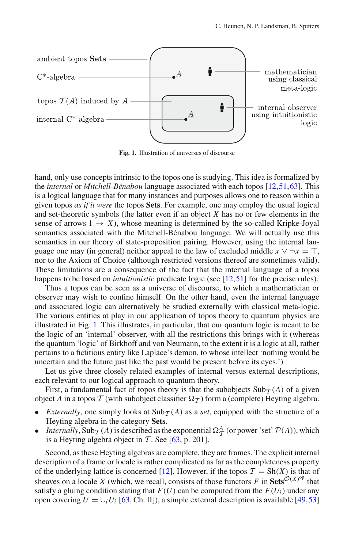

<span id="page-11-0"></span>**Fig. 1.** Illustration of universes of discourse

hand, only use concepts intrinsic to the topos one is studying. This idea is formalized by the *internal* or *Mitchell-Bénabou* language associated with each topos [\[12](#page-45-8),[51,](#page-46-7)[63\]](#page-47-2). This is a logical language that for many instances and purposes allows one to reason within a given topos *as if it were* the topos **Sets**. For example, one may employ the usual logical and set-theoretic symbols (the latter even if an object *X* has no or few elements in the sense of arrows  $1 \rightarrow X$ ), whose meaning is determined by the so-called Kripke-Joyal semantics associated with the Mitchell-Bénabou language. We will actually use this semantics in our theory of state-proposition pairing. However, using the internal language one may (in general) neither appeal to the law of excluded middle  $x \vee \neg x = \top$ , nor to the Axiom of Choice (although restricted versions thereof are sometimes valid). These limitations are a consequence of the fact that the internal language of a topos happens to be based on *intuitionistic* predicate logic (see [\[12](#page-45-8)[,51](#page-46-7)] for the precise rules).

Thus a topos can be seen as a universe of discourse, to which a mathematician or observer may wish to confine himself. On the other hand, even the internal language and associated logic can alternatively be studied externally with classical meta-logic. The various entities at play in our application of topos theory to quantum physics are illustrated in Fig. [1.](#page-11-0) This illustrates, in particular, that our quantum logic is meant to be the logic of an 'internal' observer, with all the restrictions this brings with it (whereas the quantum 'logic' of Birkhoff and von Neumann, to the extent it is a logic at all, rather pertains to a fictitious entity like Laplace's demon, to whose intellect 'nothing would be uncertain and the future just like the past would be present before its eyes.')

Let us give three closely related examples of internal versus external descriptions, each relevant to our logical approach to quantum theory.

First, a fundamental fact of topos theory is that the subobjects  $\text{Sub}_{\mathcal{T}}(A)$  of a given object *A* in a topos  $\mathcal T$  (with subobject classifier  $\Omega_{\mathcal T}$ ) form a (complete) Heyting algebra.

- *Externally*, one simply looks at  $\text{Sub}_{\mathcal{T}}(A)$  as a *set*, equipped with the structure of a Heyting algebra in the category **Sets**.
- *Internally*,  $\text{Sub}_{\mathcal{T}}(A)$  is described as the exponential  $\Omega_{\mathcal{T}}^A$  (or power 'set'  $\mathcal{P}(A)$ ), which is a Heyting algebra object in  $T$ . See [\[63](#page-47-2), p. 201].

Second, as these Heyting algebras are complete, they are frames. The explicit internal description of a frame or locale is rather complicated as far as the completeness property of the underlying lattice is concerned [\[12](#page-45-8)]. However, if the topos  $\mathcal{T} = \text{Sh}(X)$  is that of sheaves on a locale *X* (which, we recall, consists of those functors *F* in **Sets**<sup> $O(X)$ op</sup> that satisfy a gluing condition stating that  $F(U)$  can be computed from the  $F(U_i)$  under any open covering  $U = \bigcup_i U_i$  [\[63,](#page-47-2) Ch. II]), a simple external description is available [\[49](#page-46-19),[53\]](#page-46-11)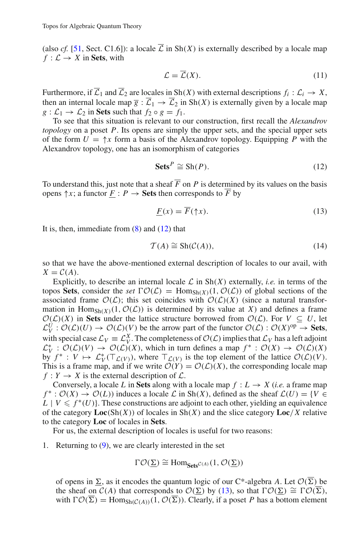(also *cf.* [\[51](#page-46-7), Sect. C1.6]): a locale  $\overline{L}$  in Sh(*X*) is externally described by a locale map  $f: \mathcal{L} \to X$  in **Sets**, with

<span id="page-12-2"></span>
$$
\mathcal{L} = \overline{\mathcal{L}}(X). \tag{11}
$$

Furthermore, if  $\overline{L}_1$  and  $\overline{L}_2$  are locales in Sh(*X*) with external descriptions  $f_i : L_i \to X$ , then an internal locale map  $\overline{g} : \overline{L}_1 \to \overline{L}_2$  in Sh(*X*) is externally given by a locale map  $g: \mathcal{L}_1 \to \mathcal{L}_2$  in **Sets** such that  $f_2 \circ g = f_1$ .

To see that this situation is relevant to our construction, first recall the *Alexandrov topology* on a poset *P*. Its opens are simply the upper sets, and the special upper sets of the form  $U = \uparrow x$  form a basis of the Alexandrov topology. Equipping *P* with the Alexandrov topology, one has an isomorphism of categories

$$
\mathbf{Sets}^P \cong \mathrm{Sh}(P). \tag{12}
$$

<span id="page-12-0"></span>To understand this, just note that a sheaf  $\overline{F}$  on  $P$  is determined by its values on the basis opens  $\uparrow x$ ; a functor  $F : P \to$  **Sets** then corresponds to  $\overline{F}$  by

$$
\underline{F}(x) = \overline{F}(\uparrow x). \tag{13}
$$

<span id="page-12-1"></span>It is, then, immediate from  $(8)$  and  $(12)$  that

$$
\mathcal{T}(A) \cong \mathrm{Sh}(\mathcal{C}(A)),\tag{14}
$$

so that we have the above-mentioned external description of locales to our avail, with  $X = C(A)$ .

Explicitly, to describe an internal locale  $\mathcal L$  in Sh $(X)$  externally, *i.e.* in terms of the topos Sets, consider the *set*  $\Gamma$  $O(\mathcal{L})$  = Hom<sub>Sh(X)</sub>(1,  $O(\mathcal{L})$ ) of global sections of the associated frame  $\mathcal{O}(\mathcal{L})$ ; this set coincides with  $\mathcal{O}(\mathcal{L})(X)$  (since a natural transformation in  $\text{Hom}_{\text{Sh}(X)}(1, \mathcal{O}(\mathcal{L}))$  is determined by its value at *X*) and defines a frame  $O(L)(X)$  in Sets under the lattice structure borrowed from  $O(L)$ . For  $V \subseteq U$ , let  $\mathcal{L}_{V}^{U} : \mathcal{O}(\mathcal{L})(U) \to \mathcal{O}(\mathcal{L})(V)$  be the arrow part of the functor  $\mathcal{O}(\mathcal{L}) : \mathcal{O}(X)^{op} \to \mathbf{Sets}$ , with special case  $\mathcal{L}_V = \mathcal{L}_V^X$ . The completeness of  $\mathcal{O}(\mathcal{L})$  implies that  $\mathcal{L}_V$  has a left adjoint  $\mathcal{L}_{V}^{*}$  :  $\mathcal{O}(\mathcal{L})(V) \to \mathcal{O}(\mathcal{L})(X)$ , which in turn defines a map  $f^{*}$  :  $\mathcal{O}(X) \to \mathcal{O}(\mathcal{L})(X)$ by  $f^* : V \mapsto L^*_{V}(\mathcal{T}_{\mathcal{L}(V)})$ , where  $\mathcal{T}_{\mathcal{L}(V)}$  is the top element of the lattice  $\mathcal{O}(\mathcal{L})(V)$ . This is a frame map, and if we write  $\mathcal{O}(Y) = \mathcal{O}(\mathcal{L})(X)$ , the corresponding locale map  $f: Y \to X$  is the external description of  $\mathcal{L}$ .

Conversely, a locale *L* in **Sets** along with a locale map  $f: L \rightarrow X$  (*i.e.* a frame map  $f^*$ :  $\mathcal{O}(X) \to \mathcal{O}(L)$ ) induces a locale  $\mathcal{L}$  in Sh(*X*), defined as the sheaf  $\mathcal{L}(U) = \{V \in$  $L \mid V \leqslant f^*(U)$ . These constructions are adjoint to each other, yielding an equivalence of the category **Loc**(Sh(*X*)) of locales in Sh(*X*) and the slice category **Loc**/*X* relative to the category **Loc** of locales in **Sets**.

For us, the external description of locales is useful for two reasons:

1. Returning to  $(9)$ , we are clearly interested in the set

$$
\Gamma\mathcal{O}(\underline{\Sigma})\cong Hom_{\text{Sets}}_{\mathcal{C}^{(A)}}(1,\mathcal{O}(\underline{\Sigma}))
$$

of opens in  $\Sigma$ , as it encodes the quantum logic of our C<sup>\*</sup>-algebra *A*. Let  $\mathcal{O}(\Sigma)$  be the sheaf on  $C(A)$  that corresponds to  $O(\Sigma)$  by [\(13\)](#page-12-1), so that  $\Gamma O(\Sigma) \cong \Gamma O(\overline{\Sigma})$ , with  $\Gamma \mathcal{O}(\overline{\Sigma}) = \text{Hom}_{\text{Sh}(\mathcal{C}(A))}(1, \mathcal{O}(\overline{\Sigma}))$ . Clearly, if a poset *P* has a bottom element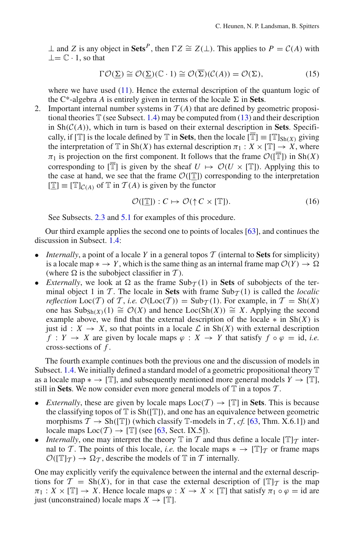⊥ and *Z* is any object in Sets<sup>*P*</sup>, then  $\Gamma Z \cong Z(\perp)$ . This applies to  $P = C(A)$  with  $\perp = \mathbb{C} \cdot 1$ , so that

$$
\Gamma \mathcal{O}(\underline{\Sigma}) \cong \mathcal{O}(\underline{\Sigma})(\mathbb{C} \cdot 1) \cong \mathcal{O}(\overline{\Sigma})(\mathcal{C}(A)) = \mathcal{O}(\Sigma), \tag{15}
$$

where we have used  $(11)$ . Hence the external description of the quantum logic of the C<sup>\*</sup>-algebra *A* is entirely given in terms of the locale  $\Sigma$  in **Sets**.

2. Important internal number systems in  $T(A)$  that are defined by geometric propositional theories  $\mathbb T$  (see Subsect. [1.4\)](#page-6-1) may be computed from [\(13\)](#page-12-1) and their description in  $\text{Sh}(\mathcal{C}(A))$ , which in turn is based on their external description in **Sets**. Specifically, if  $[T]$  is the locale defined by T in Sets, then the locale  $[\overline{T}] \equiv [T]_{\text{Sh}(X)}$  giving the interpretation of  $\mathbb{T}$  in Sh(*X*) has external description  $\pi_1 : X \times [\mathbb{T}] \to X$ , where  $\pi_1$  is projection on the first component. It follows that the frame  $\mathcal{O}(|\overline{T}|)$  in Sh(*X*) corresponding to  $[\overline{T}]$  is given by the sheaf  $U \mapsto \mathcal{O}(U \times [\mathbb{T}])$ . Applying this to the case at hand, we see that the frame  $\mathcal{O}(\mathbb{T})$  corresponding to the interpretation  $[\mathbb{T}] \equiv [\mathbb{T}]_{C(A)}$  of  $\mathbb{T}$  in  $\mathcal{T}(A)$  is given by the functor

$$
\mathcal{O}([\mathbb{T}]): C \mapsto \mathcal{O}(\uparrow C \times [\mathbb{T}]). \tag{16}
$$

<span id="page-13-0"></span>See Subsects. [2.3](#page-18-0) and [5.1](#page-29-0) for examples of this procedure.

Our third example applies the second one to points of locales [\[63\]](#page-47-2), and continues the discussion in Subsect. [1.4:](#page-6-1)

- *Internally*, a point of a locale *Y* in a general topos  $\mathcal T$  (internal to **Sets** for simplicity) is a locale map  $* \to Y$ , which is the same thing as an internal frame map  $\mathcal{O}(Y) \to \Omega$ (where  $\Omega$  is the subobject classifier in  $\mathcal T$ ).
- *Externally*, we look at  $\Omega$  as the frame  $\text{Sub}_{\mathcal{T}}(1)$  in **Sets** of subobjects of the terminal object 1 in  $\mathcal T$ . The locale in **Sets** with frame  $\text{Sub}_{\mathcal T}(1)$  is called the *localic reflection*  $Loc(\mathcal{T})$  of  $\mathcal{T}$ , *i.e.*  $\mathcal{O}(Loc(\mathcal{T})) = Sub_{\mathcal{T}}(1)$ . For example, in  $\mathcal{T} = Sh(X)$ one has Sub<sub>Sh(*X*)</sub>(1)  $\cong$  *O*(*X*) and hence Loc(Sh(*X*))  $\cong$  *X*. Applying the second example above, we find that the external description of the locale  $\ast$  in Sh(*X*) is just id :  $X \to X$ , so that points in a locale  $\mathcal L$  in Sh(*X*) with external description  $f: Y \to X$  are given by locale maps  $\varphi: X \to Y$  that satisfy  $f \circ \varphi = id$ , *i.e.* cross-sections of *f* .

The fourth example continues both the previous one and the discussion of models in Subsect. [1.4.](#page-6-1) We initially defined a standard model of a geometric propositional theory  $\mathbb T$ as a locale map  $* \rightarrow [\mathbb{T}]$ , and subsequently mentioned more general models  $Y \rightarrow [\mathbb{T}]$ , still in **Sets**. We now consider even more general models of  $T$  in a topos  $T$ .

- *Externally*, these are given by locale maps  $Loc(T) \rightarrow [\mathbb{T}]$  in **Sets**. This is because the classifying topos of  $\mathbb T$  is  $\text{Sh}(\mathbb T)$ , and one has an equivalence between geometric morphisms  $\mathcal{T} \to \text{Sh}([\mathbb{T}])$  (which classify  $\mathbb{T}$ -models in  $\mathcal{T}$ , *cf.* [\[63,](#page-47-2) Thm. X.6.1]) and locale maps  $Loc(T) \rightarrow [\mathbb{T}]$  (see [\[63,](#page-47-2) Sect. IX.5]).
- *Internally*, one may interpret the theory  $\mathbb T$  in  $\mathcal T$  and thus define a locale  $[\mathbb T]_{\mathcal T}$  internal to *T*. The points of this locale, *i.e.* the locale maps  $* \rightarrow [\mathbb{T}]_T$  or frame maps  $\mathcal{O}([\mathbb{T}]\tau) \to \Omega_{\mathcal{T}}$ , describe the models of  $\mathbb{T}$  in  $\mathcal{T}$  internally.

One may explicitly verify the equivalence between the internal and the external descriptions for  $\mathcal{T} = Sh(X)$ , for in that case the external description of  $[\mathbb{T}]\tau$  is the map  $\pi_1: X \times [\mathbb{T}] \to X$ . Hence locale maps  $\varphi: X \to X \times [\mathbb{T}]$  that satisfy  $\pi_1 \circ \varphi = id$  are just (unconstrained) locale maps  $X \to [\mathbb{T}]$ .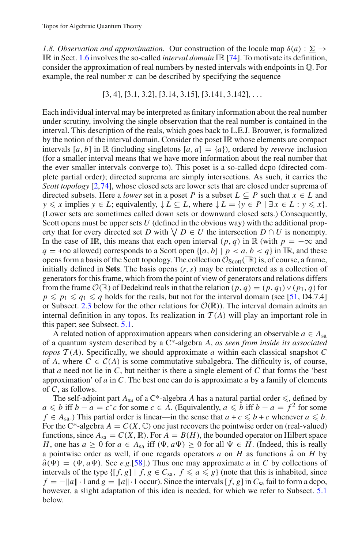<span id="page-14-0"></span>*1.8. Observation and approximation.* Our construction of the locale map  $\delta(a)$  :  $\underline{\Sigma} \rightarrow$ IR in Sect. [1.6](#page-8-0) involves the so-called *interval domain* IR [\[74](#page-47-8)]. To motivate its definition, consider the approximation of real numbers by nested intervals with endpoints in Q. For example, the real number  $\pi$  can be described by specifying the sequence

$$
[3, 4], [3.1, 3.2], [3.14, 3.15], [3.141, 3.142], \ldots
$$

Each individual interval may be interpreted as finitary information about the real number under scrutiny, involving the single observation that the real number is contained in the interval. This description of the reals, which goes back to L.E.J. Brouwer, is formalized by the notion of the interval domain. Consider the poset IR whose elements are compact intervals [a, b] in R (including singletons  $[a, a] = \{a\}$ ), ordered by *reverse* inclusion (for a smaller interval means that we have more information about the real number that the ever smaller intervals converge to). This poset is a so-called dcpo (directed complete partial order); directed suprema are simply intersections. As such, it carries the *Scott topology* [\[2](#page-45-16)[,74](#page-47-8)], whose closed sets are lower sets that are closed under suprema of directed subsets. Here a *lower* set in a poset *P* is a subset  $L \subseteq P$  such that  $x \in L$  and  $y \leq x$  implies  $y \in L$ ; equivalently,  $\downarrow L \subseteq L$ , where  $\downarrow L = \{y \in P \mid \exists x \in L : y \leq x\}.$ (Lower sets are sometimes called down sets or downward closed sets.) Consequently, Scott opens must be upper sets *U* (defined in the obvious way) with the additional property that for every directed set *D* with  $\bigvee D \in U$  the intersection  $D \cap U$  is nonempty. In the case of IR, this means that each open interval  $(p, q)$  in R (with  $p = -\infty$  and  $q = +\infty$  allowed) corresponds to a Scott open  $\{[a, b] | p < a, b < q\}$  in IR, and these opens form a basis of the Scott topology. The collection  $\mathcal{O}_{Scott}(\mathbb{IR})$  is, of course, a frame, initially defined in **Sets**. The basis opens (*r*,*s*) may be reinterpreted as a collection of generators for this frame, which from the point of view of generators and relations differs from the frame  $\mathcal{O}(\mathbb{R})$  of Dedekind reals in that the relation  $(p, q) = (p, q_1) \vee (p_1, q)$  for  $p \leqslant p_1 \leqslant q_1 \leqslant q$  holds for the reals, but not for the interval domain (see [\[51,](#page-46-7) D4.7.4] or Subsect. [2.3](#page-18-0) below for the other relations for  $\mathcal{O}(\mathbb{R})$ ). The interval domain admits an internal definition in any topos. Its realization in  $T(A)$  will play an important role in this paper; see Subsect. [5.1.](#page-29-0)

A related notion of approximation appears when considering an observable  $a \in A_{sa}$ of a quantum system described by a C\*-algebra *A*, *as seen from inside its associated topos*  $T(A)$ . Specifically, we should approximate *a* within each classical snapshot *C* of *A*, where  $C \in C(A)$  is some commutative subalgebra. The difficulty is, of course, that *a* need not lie in *C*, but neither is there a single element of *C* that forms the 'best approximation' of *a* in *C*. The best one can do is approximate *a* by a family of elements of *C*, as follows.

The self-adjoint part  $A_{sa}$  of a C\*-algebra *A* has a natural partial order  $\leqslant$ , defined by *a* ≤ *b* iff *b* − *a* =  $c$ <sup>\*</sup>*c* for some *c* ∈ *A*. (Equivalently, *a* ≤ *b* iff *b* − *a* =  $f$ <sup>2</sup> for some *f* ∈ *A*<sub>sa</sub>.) This partial order is linear—in the sense that  $a + c \leq b + c$  whenever  $a \leq b$ . For the C<sup>\*</sup>-algebra  $A = C(X, \mathbb{C})$  one just recovers the pointwise order on (real-valued) functions, since  $A_{sa} = C(X, \mathbb{R})$ . For  $A = B(H)$ , the bounded operator on Hilbert space *H*, one has  $a \ge 0$  for  $a \in A_{sa}$  iff  $(\Psi, a\Psi) \ge 0$  for all  $\Psi \in H$ . (Indeed, this is really a pointwise order as well, if one regards operators  $a$  on  $H$  as functions  $\hat{a}$  on  $H$  by  $\hat{a}(\Psi) = (\Psi, a\Psi)$ . See *e.g.*[\[58](#page-46-15)].) Thus one may approximate *a* in *C* by collections of intervals of the type  $\{[f, g] \mid f, g \in C_{sa}, f \leq a \leq g\}$  (note that this is inhabited, since  $f = -||a|| \cdot 1$  and  $g = ||a|| \cdot 1$  occur). Since the intervals [f, g] in  $C_{sa}$  fail to form a dcpo, however, a slight adaptation of this idea is needed, for which we refer to Subsect. [5.1](#page-29-0) below.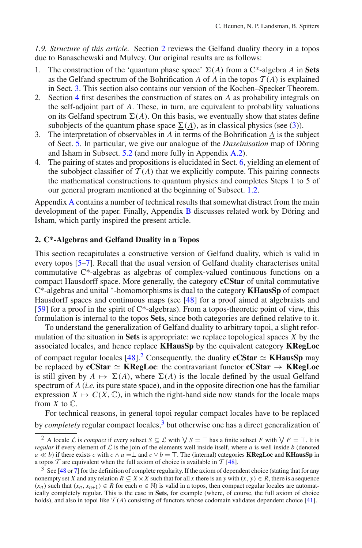<span id="page-15-3"></span>*1.9. Structure of this article.* Section [2](#page-15-2) reviews the Gelfand duality theory in a topos due to Banaschewski and Mulvey. Our original results are as follows:

- 1. The construction of the 'quantum phase space'  $\Sigma(A)$  from a C<sup>\*</sup>-algebra *A* in **Sets** as the Gelfand spectrum of the Bohrification *A* of *A* in the topos  $T(A)$  is explained in Sect. [3.](#page-20-0) This section also contains our version of the Kochen–Specker Theorem.
- 2. Section [4](#page-24-1) first describes the construction of states on *A* as probability integrals on the self-adjoint part of *A*. These, in turn, are equivalent to probability valuations on its Gelfand spectrum  $\underline{\Sigma}(\underline{A})$ . On this basis, we eventually show that states define subobjects of the quantum phase space  $\Sigma(\underline{A})$ , as in classical physics (see [\(3\)](#page-2-0)).
- 3. The interpretation of observables in *A* in terms of the Bohrification *A* is the subject of Sect. [5.](#page-28-0) In particular, we give our analogue of the *Daseinisation* map of Döring and Isham in Subsect. [5.2](#page-30-0) (and more fully in Appendix [A.2\)](#page-41-0).
- 4. The pairing of states and propositions is elucidated in Sect. [6,](#page-32-0) yielding an element of the subobject classifier of  $T(A)$  that we explicitly compute. This pairing connects the mathematical constructions to quantum physics and completes Steps 1 to 5 of our general program mentioned at the beginning of Subsect. [1.2.](#page-2-1)

Appendix [A](#page-34-0) contains a number of technical results that somewhat distract from the main development of the paper. Finally, Appendix [B](#page-44-0) discusses related work by Döring and Isham, which partly inspired the present article.

## <span id="page-15-2"></span>**2. C\*-Algebras and Gelfand Duality in a Topos**

This section recapitulates a constructive version of Gelfand duality, which is valid in every topos [\[5](#page-45-10)[–7](#page-45-11)]. Recall that the usual version of Gelfand duality characterises unital commutative C\*-algebras as algebras of complex-valued continuous functions on a compact Hausdorff space. More generally, the category **cCStar** of unital commutative C\*-algebras and unital <sup>∗</sup>-homomorphisms is dual to the category **KHausSp** of compact Hausdorff spaces and continuous maps (see [\[48\]](#page-46-9) for a proof aimed at algebraists and [\[59](#page-46-20)] for a proof in the spirit of C\*-algebras). From a topos-theoretic point of view, this formulation is internal to the topos **Sets**, since both categories are defined relative to it.

To understand the generalization of Gelfand duality to arbitrary topoi, a slight reformulation of the situation in **Sets** is appropriate: we replace topological spaces *X* by the associated locales, and hence replace **KHausSp** by the equivalent category **KRegLoc** of compact regular locales  $[48]$ .<sup>[2](#page-15-0)</sup> Consequently, the duality **cCStar**  $\simeq$  **KHausSp** may be replaced by **cCStar**  $\simeq$  **KRegLoc**: the contravariant functor **cCStar**  $\rightarrow$  **KRegLoc** is still given by  $A \mapsto \Sigma(A)$ , where  $\Sigma(A)$  is the locale defined by the usual Gelfand spectrum of *A* (*i.e.* its pure state space), and in the opposite direction one has the familiar expression  $X \mapsto C(X, \mathbb{C})$ , in which the right-hand side now stands for the locale maps from  $X$  to  $\mathbb{C}$ .

For technical reasons, in general topoi regular compact locales have to be replaced by *completely* regular compact locales,<sup>3</sup> but otherwise one has a direct generalization of

<span id="page-15-0"></span><sup>&</sup>lt;sup>2</sup> A locale *L* is *compact* if every subset  $S \subseteq L$  with  $\setminus S = \top$  has a finite subset *F* with  $\setminus F = \top$ . It is *regular* if every element of  $\mathcal L$  is the join of the elements well inside itself, where *a* is well inside *b* (denoted *a*  $\ll$  *b*) if there exists *c* with *c* ∧ *a* =⊥ and *c* ∨ *b* = ⊤. The (internal) categories **KRegLoc** and **KHausSp** in a topos  $\mathcal T$  are equivalent when the full axiom of choice is available in  $\mathcal T$  [\[48](#page-46-9)].

<span id="page-15-1"></span><sup>&</sup>lt;sup>3</sup> See [\[48](#page-46-9) or [7\]](#page-45-11) for the definition of complete regularity. If the axiom of dependent choice (stating that for any nonempty set *X* and any relation  $R \subseteq X \times X$  such that for all *x* there is an *y* with  $(x, y) \in R$ , there is a sequence  $(x_n)$  such that  $(x_n, x_{n+1}) \in R$  for each  $n \in \mathbb{N}$ ) is valid in a topos, then compact regular locales are automatically completely regular. This is the case in **Sets**, for example (where, of course, the full axiom of choice holds), and also in topoi like  $T(A)$  consisting of functors whose codomain validates dependent choice [\[41\]](#page-46-21).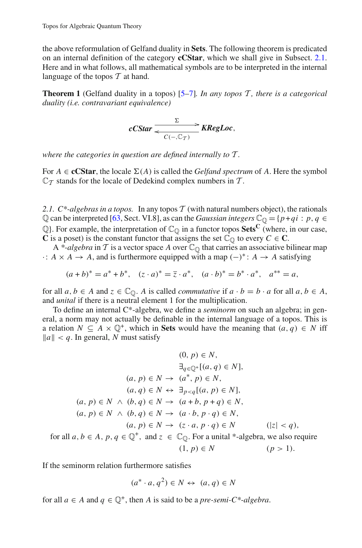the above reformulation of Gelfand duality in **Sets**. The following theorem is predicated on an internal definition of the category **cCStar**, which we shall give in Subsect. [2.1.](#page-16-0) Here and in what follows, all mathematical symbols are to be interpreted in the internal language of the topos *T* at hand.

**Theorem 1** (Gelfand duality in a topos) [\[5](#page-45-10)[–7\]](#page-45-11)*. In any topos T , there is a categorical duality (i.e. contravariant equivalence)*

$$
cCStar \frac{\Sigma}{\epsilon C(-,\mathbb{C}_T)}\times \textit{KRegLoc},
$$

*where the categories in question are defined internally to T .*

For  $A \in \mathbf{cCStar}$ , the locale  $\Sigma(A)$  is called the *Gelfand spectrum* of A. Here the symbol  $\mathbb{C}_{\mathcal{T}}$  stands for the locale of Dedekind complex numbers in  $\mathcal{T}$ .

<span id="page-16-0"></span>*2.1. C\*-algebras in a topos.* In any topos *T* (with natural numbers object), the rationals Q can be interpreted [\[63](#page-47-2), Sect. VI.8], as can the *Gaussian integers*  $\mathbb{C}_{\mathbb{Q}} = \{p + qi : p, q \in \mathbb{Q}\}$  $\mathbb{Q}$ . For example, the interpretation of  $\mathbb{C}_{\mathbb{Q}}$  in a functor topos **Sets**<sup>C</sup> (where, in our case, **C** is a poset) is the constant functor that assigns the set  $\overline{C}_0$  to every  $C \in \mathbb{C}$ .

A \*-algebra in  $T$  is a vector space  $A$  over  $\mathbb{C}_{\mathbb{Q}}$  that carries an associative bilinear map  $\cdot$ : *A* × *A* → *A*, and is furthermore equipped with a map (−)<sup>\*</sup>: *A* → *A* satisfying

$$
(a+b)^* = a^* + b^*, \quad (z \cdot a)^* = \overline{z} \cdot a^*, \quad (a \cdot b)^* = b^* \cdot a^*, \quad a^{**} = a,
$$

for all  $a, b \in A$  and  $z \in \mathbb{C}_{\mathbb{O}}$ . A is called *commutative* if  $a \cdot b = b \cdot a$  for all  $a, b \in A$ , and *unital* if there is a neutral element 1 for the multiplication.

To define an internal C\*-algebra, we define a *seminorm* on such an algebra; in general, a norm may not actually be definable in the internal language of a topos. This is a relation  $N \subseteq A \times \mathbb{Q}^+$ , which in **Sets** would have the meaning that  $(a, q) \in N$  iff  $\|a\| < q$ . In general, *N* must satisfy

$$
(0, p) \in N,
$$
  
\n
$$
\exists_{q \in \mathbb{Q}^+} [(a, q) \in N],
$$
  
\n
$$
(a, p) \in N \rightarrow (a^*, p) \in N,
$$
  
\n
$$
(a, q) \in N \leftrightarrow \exists_{p < q} [(a, p) \in N],
$$
  
\n
$$
(a, p) \in N \land (b, q) \in N \rightarrow (a + b, p + q) \in N,
$$
  
\n
$$
(a, p) \in N \land (b, q) \in N \rightarrow (a \cdot b, p \cdot q) \in N,
$$
  
\n
$$
(a, p) \in N \rightarrow (z \cdot a, p \cdot q) \in N \qquad (|z| < q),
$$
  
\nfor all  $a, b \in A, p, q \in \mathbb{Q}^+$ , and  $z \in \mathbb{C}_{\mathbb{Q}}$ . For a unital \*-algebra, we also require  
\n
$$
(1, p) \in N \qquad (p > 1).
$$

If the seminorm relation furthermore satisfies

$$
(a^* \cdot a, q^2) \in N \leftrightarrow (a, q) \in N
$$

for all  $a \in A$  and  $q \in \mathbb{Q}^+$ , then *A* is said to be a *pre-semi-C\*-algebra*.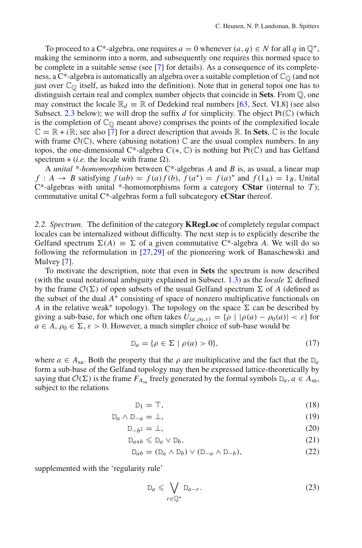To proceed to a C<sup>\*</sup>-algebra, one requires  $a = 0$  whenever  $(a, q) \in N$  for all  $q$  in  $\mathbb{Q}^+$ , making the seminorm into a norm, and subsequently one requires this normed space to be complete in a suitable sense (see [\[7\]](#page-45-11) for details). As a consequence of its completeness, a C\*-algebra is automatically an algebra over a suitable completion of  $\mathbb{C}_{\mathbb{O}}$  (and not just over  $\mathbb{C}_{\mathbb{O}}$  itself, as baked into the definition). Note that in general topoi one has to distinguish certain real and complex number objects that coincide in **Sets**. From Q, one may construct the locale  $\mathbb{R}_d \equiv \mathbb{R}$  of Dedekind real numbers [\[63,](#page-47-2) Sect. VI.8] (see also Subsect. [2.3](#page-18-0) below); we will drop the suffix  $d$  for simplicity. The object  $Pt(\mathbb{C})$  (which is the completion of  $\mathbb{C}_{\Omega}$  meant above) comprises the points of the complexified locale  $\mathbb{C} = \mathbb{R} + i\mathbb{R}$ ; see also [\[7](#page-45-11)] for a direct description that avoids  $\mathbb{R}$ . In **Sets**,  $\mathbb{C}$  is the locale with frame  $\mathcal{O}(\mathbb{C})$ , where (abusing notation)  $\mathbb C$  are the usual complex numbers. In any topos, the one-dimensional C<sup>\*</sup>-algebra  $C(*, \mathbb{C})$  is nothing but Pt( $\mathbb{C}$ ) and has Gelfand spectrum  $*(i.e.$  the locale with frame  $\Omega$ ).

A *unital \*-homomorphism* between C\*-algebras *A* and *B* is, as usual, a linear map *f* : *A*  $\rightarrow$  *B* satisfying  $\hat{f}(ab) = f(a)f(b)$ ,  $\hat{f}(a^*) = f(a)^*$  and  $f(1_A) = 1_B$ . Unital  $C^*$ -algebras with unital \*-homomorphisms form a category **CStar** (internal to *T*); commutative unital C\*-algebras form a full subcategory **cCStar** thereof.

<span id="page-17-3"></span>*2.2. Spectrum.* The definition of the category **KRegLoc** of completely regular compact locales can be internalized without difficulty. The next step is to explicitly describe the Gelfand spectrum  $\Sigma(A) \equiv \Sigma$  of a given commutative C<sup>\*</sup>-algebra *A*. We will do so following the reformulation in [\[27](#page-45-12)[,29](#page-45-13)] of the pioneering work of Banaschewski and Mulvey [\[7\]](#page-45-11).

To motivate the description, note that even in **Sets** the spectrum is now described (with the usual notational ambiguity explained in Subsect.  $1.3$ ) as the *locale*  $\Sigma$  defined by the frame  $\mathcal{O}(\Sigma)$  of open subsets of the usual Gelfand spectrum  $\Sigma$  of *A* (defined as the subset of the dual *A*<sup>∗</sup> consisting of space of nonzero multiplicative functionals on *A* in the relative weak<sup>\*</sup> topology). The topology on the space  $\Sigma$  can be described by giving a sub-base, for which one often takes  $U_{(a,\rho_0,\varepsilon)} = {\rho | |\rho(a) - \rho_0(a)| < \varepsilon}$  for  $a \in A$ ,  $\rho_0 \in \Sigma$ ,  $\varepsilon > 0$ . However, a much simpler choice of sub-base would be

$$
D_a = \{ \rho \in \Sigma \mid \rho(a) > 0 \},\tag{17}
$$

<span id="page-17-2"></span>where  $a \in A_{sa}$ . Both the property that the  $\rho$  are multiplicative and the fact that the D<sub>a</sub> form a sub-base of the Gelfand topology may then be expressed lattice-theoretically by saying that  $O(\Sigma)$  is the frame  $F_{A_{sa}}$  freely generated by the formal symbols  $D_a$ ,  $a \in A_{sa}$ , subject to the relations

$$
D_1 = T,\t\t(18)
$$

<span id="page-17-0"></span>
$$
D_a \wedge D_{-a} = \perp,\tag{19}
$$

$$
D_{-b^2} = \perp,\tag{20}
$$

$$
D_{a+b} \leq D_a \vee D_b,\tag{21}
$$

<span id="page-17-1"></span>
$$
D_{ab} = (D_a \wedge D_b) \vee (D_{-a} \wedge D_{-b}), \tag{22}
$$

supplemented with the 'regularity rule'

$$
\mathcal{D}_a \leqslant \bigvee_{r \in \mathbb{Q}^+} \mathcal{D}_{a-r}.\tag{23}
$$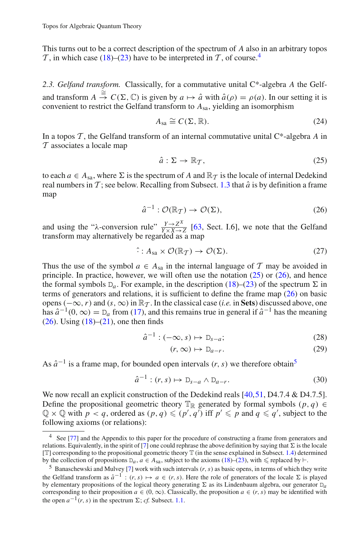This turns out to be a correct description of the spectrum of *A* also in an arbitrary topos  $\mathcal T$ , in which case [\(18\)](#page-17-0)–[\(23\)](#page-17-1) have to be interpreted in  $\mathcal T$ , of course.<sup>4</sup>

<span id="page-18-0"></span>*2.3. Gelfand transform.* Classically, for a commutative unital C\*-algebra *A* the Gelfand transform  $A \stackrel{\cong}{\to} C(\Sigma, \mathbb{C})$  is given by  $a \mapsto \hat{a}$  with  $\hat{a}(\rho) = \rho(a)$ . In our setting it is convenient to restrict the Gelfand transform to *A*sa, yielding an isomorphism

$$
A_{\rm sa} \cong C(\Sigma, \mathbb{R}).\tag{24}
$$

<span id="page-18-5"></span>In a topos *T* , the Gelfand transform of an internal commutative unital C\*-algebra *A* in *T* associates a locale map

$$
\hat{a}: \Sigma \to \mathbb{R}_T, \tag{25}
$$

<span id="page-18-2"></span>to each  $a \in A_{sa}$ , where  $\Sigma$  is the spectrum of *A* and  $\mathbb{R}_T$  is the locale of internal Dedekind real numbers in  $\mathcal T$ ; see below. Recalling from Subsect. [1.3](#page-4-0) that  $\hat a$  is by definition a frame map

$$
\hat{a}^{-1} : \mathcal{O}(\mathbb{R}_T) \to \mathcal{O}(\Sigma),\tag{26}
$$

<span id="page-18-3"></span>and using the " $\lambda$ -conversion rule"  $\frac{Y \rightarrow Z^X}{Y \times X \rightarrow Z}$  [\[63](#page-47-2), Sect. I.6], we note that the Gelfand transform may alternatively be regarded as a map

$$
\hat{\cdot}: A_{sa} \times \mathcal{O}(\mathbb{R}_T) \to \mathcal{O}(\Sigma). \tag{27}
$$

<span id="page-18-7"></span>Thus the use of the symbol  $a \in A_{sa}$  in the internal language of  $T$  may be avoided in principle. In practice, however, we will often use the notation  $(25)$  or  $(26)$ , and hence the formal symbols  $D_a$ . For example, in the description [\(18\)](#page-17-0)–[\(23\)](#page-17-1) of the spectrum  $\Sigma$  in terms of generators and relations, it is sufficient to define the frame map [\(26\)](#page-18-3) on basic opens ( $-\infty$ , *r*) and (*s*,  $\infty$ ) in  $\mathbb{R}_{\mathcal{T}}$ . In the classical case (*i.e.* in **Sets**) discussed above, one has  $\hat{a}^{-1}(0,\infty) = D_a$  from [\(17\)](#page-17-2), and this remains true in general if  $\hat{a}^{-1}$  has the meaning  $(26)$ . Using  $(18)$ – $(21)$ , one then finds

$$
\hat{a}^{-1} : (-\infty, s) \mapsto D_{s-a};\tag{28}
$$

$$
(r, \infty) \mapsto D_{a-r}.\tag{29}
$$

<span id="page-18-8"></span>As  $\hat{a}^{-1}$  is a frame map, for bounded open intervals (*r*, *s*) we therefore obtain<sup>5</sup>

$$
\hat{a}^{-1} : (r, s) \mapsto D_{s-a} \wedge D_{a-r}.
$$
 (30)

<span id="page-18-6"></span>We now recall an explicit construction of the Dedekind reals [\[40](#page-46-22)[,51,](#page-46-7) D4.7.4 & D4.7.5]. Define the propositional geometric theory  $\mathbb{T}_\mathbb{R}$  generated by formal symbols  $(p, q) \in$  $\mathbb{Q} \times \mathbb{Q}$  with  $p < q$ , ordered as  $(p, q) \leqslant (p', q')$  iff  $p' \leqslant p$  and  $q \leqslant q'$ , subject to the following axioms (or relations):

<span id="page-18-1"></span><sup>&</sup>lt;sup>4</sup> See [\[77\]](#page-47-9) and the Appendix to this paper for the procedure of constructing a frame from generators and relations. Equivalently, in the spirit of [\[7\]](#page-45-11) one could rephrase the above definition by saying that  $\Sigma$  is the locale [T] corresponding to the propositional geometric theory T (in the sense explained in Subsect. [1.4\)](#page-6-1) determined by the collection of propositions  $D_a$ ,  $a \in A_{sa}$ , subject to the axioms [\(18\)](#page-17-0)–[\(23\)](#page-17-1), with  $\leq$  replaced by  $\vdash$ .<br><sup>5</sup> Banaschewski and Mulvey [\[7\]](#page-45-11) work with such intervals (*r*, *s*) as basic opens, in terms of which they

<span id="page-18-4"></span>the Gelfand transform as  $\hat{a}^{-1}$  :  $(r, s) \mapsto a \in (r, s)$ . Here the role of generators of the locale  $\Sigma$  is played by elementary propositions of the logical theory generating  $\Sigma$  as its Lindenbaum algebra, our generator  $D_a$ corresponding to their proposition  $a \in (0, \infty)$ . Classically, the proposition  $a \in (r, s)$  may be identified with the open  $a^{-1}(r, s)$  in the spectrum  $\Sigma$ ; *cf.* Subsect. [1.1.](#page-1-2)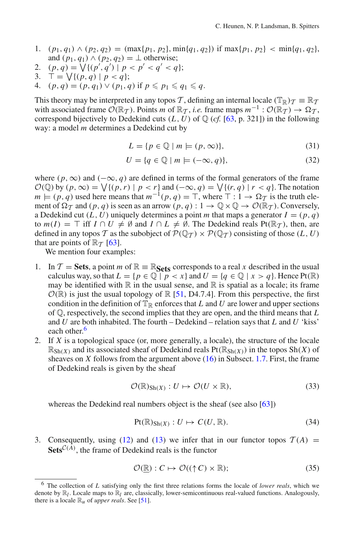- 1. (*p*1, *q*1) ∧ (*p*2, *q*2) = (max{*p*1, *p*2}, min{*q*1, *q*2}) if max{*p*1, *p*2} < min{*q*1, *q*2}, and  $(p_1, q_1) \wedge (p_2, q_2) = \perp$  otherwise;
- 2.  $(p, q) = \sqrt{(p', q') \mid p < p' < q' < q};$
- 3.  $\bar{T} = \sqrt{(p, q) | p < q};$
- 4.  $(p, q) = (p, q_1) \vee (p_1, q) \text{ if } p \leqslant p_1 \leqslant q_1 \leqslant q.$

This theory may be interpreted in any topos *T*, defining an internal locale  $(\mathbb{T}_\mathbb{R})_{\mathcal{T}} \equiv \mathbb{R}_{\mathcal{T}}$ with associated frame  $\mathcal{O}(\mathbb{R}_\mathcal{T})$ . Points *m* of  $\mathbb{R}_\mathcal{T}$ , *i.e.* frame maps  $m^{-1}$ :  $\mathcal{O}(\mathbb{R}_\mathcal{T}) \to \Omega_\mathcal{T}$ , correspond bijectively to Dedekind cuts  $(L, U)$  of  $\mathbb{Q}$  (*cf.* [\[63,](#page-47-2) p. 321]) in the following way: a model *m* determines a Dedekind cut by

$$
L = \{ p \in \mathbb{Q} \mid m \models (p, \infty) \},\tag{31}
$$

$$
U = \{ q \in \mathbb{Q} \mid m \models (-\infty, q) \},\tag{32}
$$

<span id="page-19-2"></span>where ( $p, \infty$ ) and ( $-\infty, q$ ) are defined in terms of the formal generators of the frame  $O(\mathbb{Q})$  by  $(p, \infty) = \bigvee \{(p, r) \mid p < r\}$  and  $(-\infty, q) = \bigvee \{(r, q) \mid r < q\}$ . The notation  $m \models (p, q)$  used here means that  $m^{-1}(p, q) = \top$ , where  $\top : 1 \rightarrow \Omega \top$  is the truth element of  $\Omega_{\mathcal{T}}$  and  $(p, q)$  is seen as an arrow  $(p, q) : 1 \to \mathbb{Q} \times \mathbb{Q} \to \mathcal{O}(\mathbb{R}_{\mathcal{T}})$ . Conversely, a Dedekind cut  $(L, U)$  uniquely determines a point *m* that maps a generator  $I = (p, q)$ to  $m(I) = \top$  iff  $I \cap U \neq \emptyset$  and  $I \cap L \neq \emptyset$ . The Dedekind reals Pt( $\mathbb{R}_{\mathcal{T}}$ ), then, are defined in any topos *T* as the subobject of  $P(\mathbb{Q}_T) \times P(\mathbb{Q}_T)$  consisting of those  $(L, U)$ that are points of  $\mathbb{R}_{\mathcal{T}}$  [\[63](#page-47-2)].

We mention four examples:

- 1. In  $\mathcal{T} = \mathbf{Sets}$ , a point *m* of  $\mathbb{R} \equiv \mathbb{R}_{\mathbf{Sets}}$  corresponds to a real *x* described in the usual calculus way, so that  $L = \{p \in \mathbb{Q} \mid p < x\}$  and  $U = \{q \in \mathbb{Q} \mid x > q\}$ . Hence Pt(R) may be identified with  $\mathbb R$  in the usual sense, and  $\mathbb R$  is spatial as a locale; its frame  $\mathcal{O}(\mathbb{R})$  is just the usual topology of  $\mathbb{R}$  [\[51,](#page-46-7) D4.7.4]. From this perspective, the first condition in the definition of  $\mathbb{T}_\mathbb{R}$  enforces that *L* and *U* are lower and upper sections of Q, respectively, the second implies that they are open, and the third means that *L* and *U* are both inhabited. The fourth – Dedekind – relation says that *L* and *U* 'kiss' each other.<sup>6</sup>
- 2. If *X* is a topological space (or, more generally, a locale), the structure of the locale  $\mathbb{R}_{\text{Sh}(X)}$  and its associated sheaf of Dedekind reals  $\text{Pt}(\mathbb{R}_{\text{Sh}(X)})$  in the topos  $\text{Sh}(X)$  of sheaves on *X* follows from the argument above [\(16\)](#page-13-0) in Subsect. [1.7.](#page-10-1) First, the frame of Dedekind reals is given by the sheaf

$$
\mathcal{O}(\mathbb{R})_{\text{Sh}(X)} : U \mapsto \mathcal{O}(U \times \mathbb{R}), \tag{33}
$$

<span id="page-19-1"></span>whereas the Dedekind real numbers object is the sheaf (see also [\[63](#page-47-2)])

$$
Pt(\mathbb{R})_{\text{Sh}(X)} : U \mapsto C(U, \mathbb{R}).
$$
\n(34)

3. Consequently, using [\(12\)](#page-12-0) and [\(13\)](#page-12-1) we infer that in our functor topos  $T(A)$  =  $\textbf{Sets}^{\mathcal{C}(A)}$ , the frame of Dedekind reals is the functor

$$
\mathcal{O}(\underline{\mathbb{R}}): C \mapsto \mathcal{O}((\uparrow C) \times \mathbb{R});\tag{35}
$$

<span id="page-19-0"></span><sup>6</sup> The collection of *L* satisfying only the first three relations forms the locale of *lower reals*, which we denote by R*<sup>l</sup>* . Locale maps to R*<sup>l</sup>* are, classically, lower-semicontinuous real-valued functions. Analogously, there is a locale  $\mathbb{R}_u$  of *upper reals*. See [\[51\]](#page-46-7).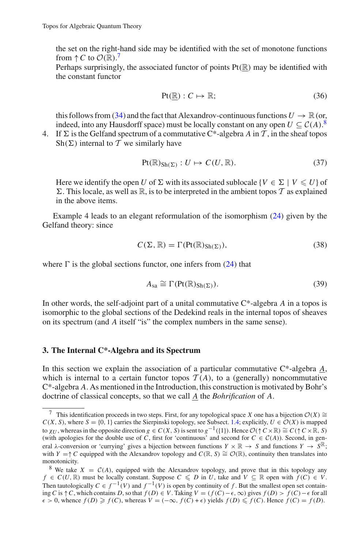the set on the right-hand side may be identified with the set of monotone functions from  $\uparrow$  *C* to  $\mathcal{O}(\mathbb{R})$ .<sup>[7](#page-20-1)</sup>

Perhaps surprisingly, the associated functor of points  $Pt(\mathbb{R})$  may be identified with the constant functor

$$
Pt(\underline{\mathbb{R}}): C \mapsto \mathbb{R};\tag{36}
$$

<span id="page-20-3"></span>this follows from [\(34\)](#page-19-1) and the fact that Alexandrov-continuous functions  $U \to \mathbb{R}$  (or, indeed, into any Hausdorff space) must be locally constant on any open  $U \subseteq C(A)$ .<sup>[8](#page-20-2)</sup>

4. If  $\Sigma$  is the Gelfand spectrum of a commutative C\*-algebra *A* in  $\mathcal{T}$ , in the sheaf topos Sh( $\Sigma$ ) internal to T we similarly have

$$
Pt(\mathbb{R})_{\text{Sh}(\Sigma)} : U \mapsto C(U, \mathbb{R}). \tag{37}
$$

Here we identify the open *U* of  $\Sigma$  with its associated sublocale {*V*  $\in \Sigma$  | *V*  $\leq U$ } of  $\Sigma$ . This locale, as well as  $\mathbb{R}$ , is to be interpreted in the ambient topos  $\mathcal T$  as explained in the above items.

Example 4 leads to an elegant reformulation of the isomorphism [\(24\)](#page-18-5) given by the Gelfand theory: since

$$
C(\Sigma, \mathbb{R}) = \Gamma(\text{Pt}(\mathbb{R})_{\text{Sh}(\Sigma)}),\tag{38}
$$

where  $\Gamma$  is the global sections functor, one infers from [\(24\)](#page-18-5) that

$$
A_{sa} \cong \Gamma(\text{Pt}(\mathbb{R})_{\text{Sh}(\Sigma)}).
$$
\n(39)

In other words, the self-adjoint part of a unital commutative C\*-algebra *A* in a topos is isomorphic to the global sections of the Dedekind reals in the internal topos of sheaves on its spectrum (and *A* itself "is" the complex numbers in the same sense).

# <span id="page-20-0"></span>**3. The Internal C\*-Algebra and its Spectrum**

In this section we explain the association of a particular commutative C\*-algebra *A*, which is internal to a certain functor topos  $T(A)$ , to a (generally) noncommutative C\*-algebra *A*. As mentioned in the Introduction, this construction is motivated by Bohr's doctrine of classical concepts, so that we call *A* the *Bohrification* of *A*.

<span id="page-20-1"></span><sup>&</sup>lt;sup>7</sup> This identification proceeds in two steps. First, for any topological space *X* one has a bijection  $\mathcal{O}(X) \cong$  $C(X, S)$ , where  $S = \{0, 1\}$  carries the Sierpinski topology, see Subsect. [1.4;](#page-6-1) explicitly,  $U \in \mathcal{O}(X)$  is mapped to  $\chi_U$ , whereas in the opposite direction  $g \in C(X, S)$  is sent to  $g^{-1}(\{1\})$ . Hence  $\mathcal{O}(\uparrow C \times \mathbb{R}) \cong C(\uparrow C \times \mathbb{R}, S)$ (with apologies for the double use of *C*, first for 'continuous' and second for  $C \in C(A)$ ). Second, in general  $\lambda$ -conversion or 'currying' gives a bijection between functions  $Y \times \mathbb{R} \to S$  and functions  $Y \to S^{\mathbb{R}}$ ; with *Y* =↑*C* equipped with the Alexandrov topology and  $C(\mathbb{R}, S) \cong \mathcal{O}(\mathbb{R})$ , continuity then translates into monotonicity.

<span id="page-20-2"></span><sup>&</sup>lt;sup>8</sup> We take  $X = C(A)$ , equipped with the Alexandrov topology, and prove that in this topology any *f* ∈ *C*(*U*, ℝ) must be locally constant. Suppose  $C \le D$  in *U*, take and  $V \subseteq \mathbb{R}$  open with  $f(C) \in V$ . Then tautologically  $C \in f^{-1}(V)$  and  $f^{-1}(V)$  is open by continuity of f. But the smallest open set containing *C* is  $\uparrow$  *C*, which contains *D*, so that *f* (*D*) ∈ *V*. Taking *V* = (*f* (*C*)− $\epsilon$ , ∞) gives *f* (*D*) > *f* (*C*)− $\epsilon$  for all  $\epsilon > 0$ , whence  $f(D) \geq f(C)$ , whereas  $V = (-\infty, f(C) + \epsilon)$  yields  $f(D) \leq f(C)$ . Hence  $f(C) = f(D)$ .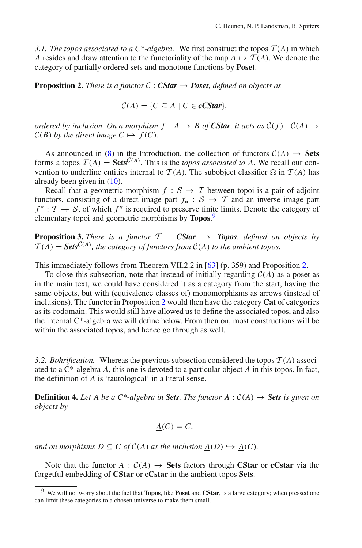*3.1. The topos associated to a C\*-algebra.* We first construct the topos *T* (*A*) in which *A* resides and draw attention to the functoriality of the map  $A \mapsto \mathcal{T}(A)$ . We denote the category of partially ordered sets and monotone functions by **Poset**.

<span id="page-21-2"></span>**Proposition 2.** *There is a functor*  $C : CStar \rightarrow Post$ *, defined on objects as* 

$$
C(A) = \{C \subseteq A \mid C \in c\text{CStar}\},\
$$

*ordered by inclusion. On a morphism*  $f : A \rightarrow B$  *of CStar, it acts as*  $C(f) : C(A) \rightarrow$  $C(B)$  *by the direct image*  $C \mapsto f(C)$ *.* 

As announced in [\(8\)](#page-9-0) in the Introduction, the collection of functors  $C(A) \rightarrow$  **Sets** forms a topos  $\mathcal{T}(A) = \mathbf{Sets}^{\mathcal{C}(A)}$ . This is the *topos associated to A*. We recall our convention to underline entities internal to  $T(A)$ . The subobject classifier  $\Omega$  in  $T(A)$  has already been given in [\(10\)](#page-10-2).

Recall that a geometric morphism  $f : S \rightarrow T$  between topoi is a pair of adjoint functors, consisting of a direct image part  $f_* : S \to T$  and an inverse image part  $f^* : \mathcal{T} \to \mathcal{S}$ , of which  $f^*$  is required to preserve finite limits. Denote the category of elementary topoi and geometric morphisms by **Topos**. [9](#page-21-1)

**Proposition 3.** *There is a functor*  $T : CStar \rightarrow Topos$ *, defined on objects by*  $T(A) = \text{Sets}^{\mathcal{C}(A)}$ , the category of functors from  $\mathcal{C}(A)$  to the ambient topos.

This immediately follows from Theorem VII.2.2 in [\[63\]](#page-47-2) (p. 359) and Proposition [2.](#page-21-2)

To close this subsection, note that instead of initially regarding  $C(A)$  as a poset as in the main text, we could have considered it as a category from the start, having the same objects, but with (equivalence classes of) monomorphisms as arrows (instead of inclusions). The functor in Proposition [2](#page-21-2) would then have the category **Cat** of categories as its codomain. This would still have allowed us to define the associated topos, and also the internal C\*-algebra we will define below. From then on, most constructions will be within the associated topos, and hence go through as well.

*3.2. Bohrification.* Whereas the previous subsection considered the topos *T* (*A*) associated to a  $C^*$ -algebra *A*, this one is devoted to a particular object  $\underline{A}$  in this topos. In fact, the definition of *A* is 'tautological' in a literal sense.

<span id="page-21-3"></span>**Definition 4.** Let A be a C\*-algebra in Sets. The functor  $\underline{A}$  :  $C(A) \rightarrow$  Sets is given on *objects by*

$$
\underline{A}(C) = C,
$$

*and on morphisms D*  $\subseteq$  *C of*  $C(A)$  *as the inclusion*  $\underline{A}(D) \hookrightarrow \underline{A}(C)$ *.* 

<span id="page-21-0"></span>Note that the functor  $\underline{A}$  :  $C(A) \rightarrow$  **Sets** factors through **CStar** or **cCstar** via the forgetful embedding of **CStar** or **cCstar** in the ambient topos **Sets**.

<span id="page-21-1"></span><sup>9</sup> We will not worry about the fact that **Topos**, like **Poset** and **CStar**, is a large category; when pressed one can limit these categories to a chosen universe to make them small.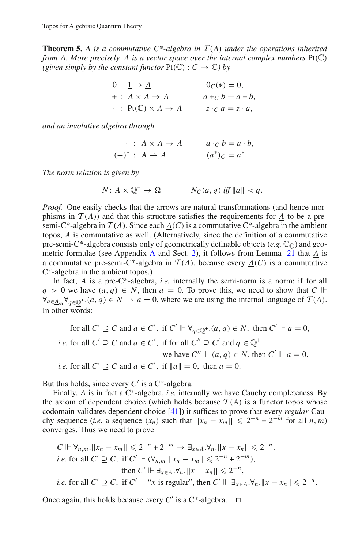**Theorem 5.** A *is a commutative*  $C^*$ -algebra in  $T(A)$  *under the operations inherited from A. More precisely, A is a vector space over the internal complex numbers* Pt(C) *(given simply by the constant functor*  $\text{Pt}(\mathbb{C}) : C \mapsto \mathbb{C}$  *by* 

$$
0: \underline{1} \rightarrow \underline{A} \qquad 0_C(*) = 0,
$$
  
+:  $\underline{A} \times \underline{A} \rightarrow \underline{A} \qquad a +_C b = a + b,$   
.:  $\text{Pt}(\underline{C}) \times \underline{A} \rightarrow \underline{A} \qquad z \cdot_C a = z \cdot a,$ 

*and an involutive algebra through*

$$
\therefore \underline{A} \times \underline{A} \to \underline{A} \qquad a \cdot c \ b = a \cdot b,
$$
  

$$
(-)^{*} : \underline{A} \to \underline{A} \qquad (a^{*})_{C} = a^{*}.
$$

*The norm relation is given by*

$$
N: \underline{A} \times \underline{\mathbb{Q}}^+ \to \underline{\Omega} \qquad N_C(a, q) \text{ iff } \|a\| < q.
$$

*Proof.* One easily checks that the arrows are natural transformations (and hence morphisms in  $T(A)$ ) and that this structure satisfies the requirements for *A* to be a presemi-C\*-algebra in  $T(A)$ . Since each  $A(C)$  is a commutative C\*-algebra in the ambient topos, *A* is commutative as well. (Alternatively, since the definition of a commutative pre-semi-C\*-algebra consists only of geometrically definable objects (e.g.  $\mathbb{C}_{\mathbb{Q}}$ ) and geometric formulae (see Appendix [A](#page-34-0) and Sect. [2\)](#page-15-2), it follows from Lemma [21](#page-36-0) that *A* is a commutative pre-semi-C\*-algebra in  $T(A)$ , because every  $A(C)$  is a commutative C\*-algebra in the ambient topos.)

In fact,  $\underline{A}$  is a pre-C\*-algebra, *i.e.* internally the semi-norm is a norm: if for all *q* > 0 we have  $(a, q)$  ∈ *N*, then  $a = 0$ . To prove this, we need to show that *C*  $\Vdash$  $\forall_{a \in A_{sa}} \forall_{q \in \mathbb{Q}^+} (a, q) \in N \to a = 0$ , where we are using the internal language of  $\mathcal{T}(A)$ . In other words:

for all  $C' \supseteq C$  and  $a \in C'$ , if  $C' \Vdash \forall_{q \in \mathbb{Q}^+} (a, q) \in N$ , then  $C' \Vdash a = 0$ , *i.e.* for all  $C' \supseteq C$  and  $a \in C'$ , if for all  $C'' \supseteq C'$  and  $q \in \mathbb{Q}^+$ we have  $C'' \Vdash (a, q) \in N$ , then  $C' \Vdash a = 0$ , *i.e.* for all  $C' \supseteq C$  and  $a \in C'$ , if  $||a|| = 0$ , then  $a = 0$ .

But this holds, since every  $C'$  is a  $C^*$ -algebra.

Finally, *A* is in fact a C\*-algebra, *i.e.* internally we have Cauchy completeness. By the axiom of dependent choice (which holds because  $T(A)$  is a functor topos whose codomain validates dependent choice [\[41](#page-46-21)]) it suffices to prove that every *regular* Cauchy sequence (*i.e.* a sequence  $(x_n)$  such that  $||x_n - x_m|| \leq 2^{-n} + 2^{-m}$  for all *n*, *m*) converges. Thus we need to prove

$$
C \Vdash \forall_{n,m}. ||x_n - x_m|| \leq 2^{-n} + 2^{-m} \to \exists_{x \in A} . \forall_n . ||x - x_n|| \leq 2^{-n},
$$
  
*i.e.* for all  $C' \supseteq C$ , if  $C' \Vdash (\forall_{n,m}. ||x_n - x_m|| \leq 2^{-n} + 2^{-m}),$   
then  $C' \Vdash \exists_{x \in A} . \forall_n . ||x - x_n|| \leq 2^{-n},$   
*i.e.* for all  $C' \supseteq C$ , if  $C' \Vdash ``x$  is regular", then  $C' \Vdash \exists_{x \in A} . \forall_n . ||x - x_n|| \leq 2^{-n}.$ 

Once again, this holds because every  $C'$  is a C<sup>\*</sup>-algebra.  $\Box$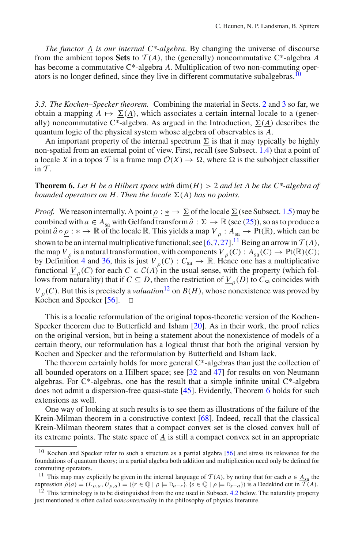*The functor A is our internal C\*-algebra*. By changing the universe of discourse from the ambient topos Sets to  $T(A)$ , the (generally) noncommutative C<sup>\*</sup>-algebra *A* has become a commutative C\*-algebra *A*. Multiplication of two non-commuting oper-ators is no longer defined, since they live in different commutative subalgebras.<sup>[10](#page-23-1)</sup>

*3.3. The Kochen–Specker theorem.* Combining the material in Sects. [2](#page-15-2) and [3](#page-20-0) so far, we obtain a mapping  $A \mapsto \underline{\Sigma}(A)$ , which associates a certain internal locale to a (generally) noncommutative C<sup>\*</sup>-algebra. As argued in the Introduction,  $\underline{\Sigma}(\underline{A})$  describes the quantum logic of the physical system whose algebra of observables is *A*.

An important property of the internal spectrum  $\Sigma$  is that it may typically be highly non-spatial from an external point of view. First, recall (see Subsect. [1.4\)](#page-6-1) that a point of a locale *X* in a topos *T* is a frame map  $\mathcal{O}(X) \to \Omega$ , where  $\Omega$  is the subobject classifier in  $T$ .

<span id="page-23-0"></span>**Theorem 6.** Let H be a Hilbert space with  $\dim(H) > 2$  and let A be the C\*-algebra of *bounded operators on H. Then the locale*  $\underline{\Sigma}(\underline{A})$  *has no points.* 

*Proof.* We reason internally. A point  $\rho : \underline{\ast} \to \underline{\Sigma}$  of the locale  $\underline{\Sigma}$  (see Subsect. [1.5\)](#page-7-0) may be combined with  $a \in \underline{A}_{sa}$  with Gelfand transform  $\hat{a} : \underline{\Sigma} \to \mathbb{R}$  (see [\(25\)](#page-18-2)), so as to produce a point  $\hat{a} \circ \underline{\rho} : \underline{\ast} \to \mathbb{R}$  of the locale  $\underline{\mathbb{R}}$ . This yields a map  $\underline{V}_{\rho} : \underline{A}_{sa} \to \text{Pt}(\underline{\mathbb{R}})$ , which can be shown to be an internal multiplicative functional; see  $[6,7,27]$  $[6,7,27]$  $[6,7,27]$  $[6,7,27]$  $[6,7,27]$ .<sup>[11](#page-23-2)</sup> Being an arrow in  $\mathcal{T}(A)$ , the map  $\underline{V}_o$  is a natural transformation, with components  $\underline{V}_o(C) : \underline{A}_{sa}(C) \to \mathrm{Pt}(\underline{\mathbb{R}})(C);$ by Definition [4](#page-21-3) and [36,](#page-20-3) this is just  $\underline{V}_{\rho}(C)$ :  $C_{sa} \to \mathbb{R}$ . Hence one has a multiplicative functional  $V_{\rho}(C)$  for each  $C \in C(A)^{r}$  in the usual sense, with the property (which follows from naturality) that if  $C \subseteq D$ , then the restriction of  $\underline{V}_o(D)$  to  $C_{sa}$  coincides with  $V_P$ <sub> $(C)$ </sub>. But this is precisely a *valuation*<sup>[12](#page-23-3)</sup> on *B*(*H*), whose nonexistence was proved by Kochen and Specker [\[56](#page-46-23)].  $\Box$ 

This is a localic reformulation of the original topos-theoretic version of the Kochen-Specker theorem due to Butterfield and Isham [\[20](#page-45-4)]. As in their work, the proof relies on the original version, but in being a statement about the nonexistence of models of a certain theory, our reformulation has a logical thrust that both the original version by Kochen and Specker and the reformulation by Butterfield and Isham lack.

The theorem certainly holds for more general  $C^*$ -algebras than just the collection of all bounded operators on a Hilbert space; see [\[32](#page-46-24) and [47](#page-46-25)] for results on von Neumann algebras. For  $C^*$ -algebras, one has the result that a simple infinite unital  $C^*$ -algebra does not admit a dispersion-free quasi-state [\[45](#page-46-26)]. Evidently, Theorem [6](#page-23-0) holds for such extensions as well.

One way of looking at such results is to see them as illustrations of the failure of the Krein-Milman theorem in a constructive context [\[68\]](#page-47-10). Indeed, recall that the classical Krein-Milman theorem states that a compact convex set is the closed convex hull of its extreme points. The state space of *A* is still a compact convex set in an appropriate

<span id="page-23-1"></span><sup>&</sup>lt;sup>10</sup> Kochen and Specker refer to such a structure as a partial algebra [\[56\]](#page-46-23) and stress its relevance for the foundations of quantum theory; in a partial algebra both addition and multiplication need only be defined for commuting operators.

<sup>&</sup>lt;sup>11</sup> This map may explicitly be given in the internal language of  $\mathcal{T}(A)$ , by noting that for each  $a \in \underline{A}_{sa}$  the expression  $\tilde{\rho}(a) = (L_{\rho,a}, U_{\rho,a}) = (\{r \in \mathbb{Q} \mid \rho \models D_{a-r}\}, \{s \in \mathbb{Q} \mid \rho \models D_{s-a}\})$  is a Dedekind cut in  $\tilde{T}(A)$ .<br><sup>12</sup> This terminology is to be distinguished from the one used in Subsect. [4.2](#page-25-0) below. The naturality prope

<span id="page-23-3"></span><span id="page-23-2"></span>just mentioned is often called *noncontextuality* in the philosophy of physics literature.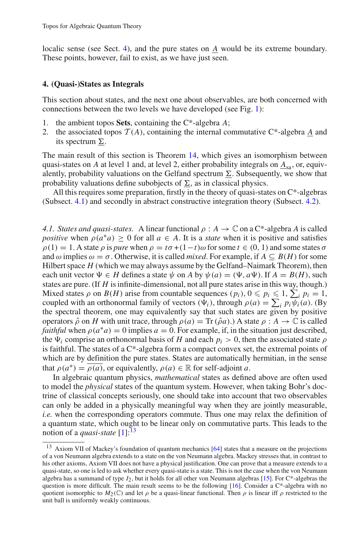localic sense (see Sect. [4\)](#page-24-1), and the pure states on *A* would be its extreme boundary. These points, however, fail to exist, as we have just seen.

# <span id="page-24-1"></span>**4. (Quasi-)States as Integrals**

This section about states, and the next one about observables, are both concerned with connections between the two levels we have developed (see Fig. [1\)](#page-11-0):

- 1. the ambient topos **Sets**, containing the C\*-algebra *A*;
- 2. the associated topos  $T(A)$ , containing the internal commutative  $C^*$ -algebra A and its spectrum  $\Sigma$ .

The main result of this section is Theorem [14,](#page-27-0) which gives an isomorphism between quasi-states on *A* at level 1 and, at level 2, either probability integrals on  $\underline{A}_{sa}$ , or, equivalently, probability valuations on the Gelfand spectrum  $\Sigma$ . Subsequently, we show that probability valuations define subobjects of  $\Sigma$ , as in classical physics.

All this requires some preparation, firstly in the theory of quasi-states on C\*-algebras (Subsect. [4.1\)](#page-24-0) and secondly in abstract constructive integration theory (Subsect. [4.2\)](#page-25-0).

<span id="page-24-0"></span>*4.1. States and quasi-states.* A linear functional  $\rho : A \to \mathbb{C}$  on a C<sup>\*</sup>-algebra *A* is called *positive* when  $\rho(a^*a) > 0$  for all  $a \in A$ . It is a *state* when it is positive and satisfies  $\rho(1) = 1$ . A state  $\rho$  is *pure* when  $\rho = t\sigma + (1-t)\omega$  for some  $t \in (0, 1)$  and some states  $\sigma$ and  $\omega$  implies  $\omega = \sigma$ . Otherwise, it is called *mixed*. For example, if  $A \subseteq B(H)$  for some Hilbert space *H* (which we may always assume by the Gelfand–Naimark Theorem), then each unit vector  $\Psi \in H$  defines a state  $\psi$  on A by  $\psi(a) = (\Psi, a\Psi)$ . If  $A = B(H)$ , such states are pure. (If *H* is infinite-dimensional, not all pure states arise in this way, though.) Mixed states  $\rho$  on  $B(H)$  arise from countable sequences  $(p_i)$ ,  $0 \leq p_i \leq 1$ ,  $\sum_i p_i = 1$ , coupled with an orthonormal family of vectors  $(\Psi_i)$ , through  $\rho(a) = \sum_i p_i \psi_i(a)$ . (By the spectral theorem, one may equivalently say that such states are given by positive operators  $\hat{\rho}$  on *H* with unit trace, through  $\rho(a) = \text{Tr}(\hat{\rho}a)$ .) A state  $\rho : A \to \mathbb{C}$  is called *faithful* when  $\rho(a^*a) = 0$  implies  $a = 0$ . For example, if, in the situation just described, the  $\Psi_i$  comprise an orthonormal basis of *H* and each  $p_i > 0$ , then the associated state  $\rho$ is faithful. The states of a C\*-algebra form a compact convex set, the extremal points of which are by definition the pure states. States are automatically hermitian, in the sense that  $\rho(a^*) = \overline{\rho(a)}$ , or equivalently,  $\rho(a) \in \mathbb{R}$  for self-adjoint *a*.

In algebraic quantum physics, *mathematical* states as defined above are often used to model the *physical* states of the quantum system. However, when taking Bohr's doctrine of classical concepts seriously, one should take into account that two observables can only be added in a physically meaningful way when they are jointly measurable, *i.e.* when the corresponding operators commute. Thus one may relax the definition of a quantum state, which ought to be linear only on commutative parts. This leads to the notion of a *quasi-state* [\[1\]](#page-45-18):[13](#page-24-2)

<span id="page-24-2"></span><sup>&</sup>lt;sup>13</sup> Axiom VII of Mackey's foundation of quantum mechanics [\[64](#page-47-11)] states that a measure on the projections of a von Neumann algebra extends to a state on the von Neumann algebra. Mackey stresses that, in contrast to his other axioms, Axiom VII does not have a physical justification. One can prove that a measure extends to a quasi-state, so one is led to ask whether every quasi-state is a state. This is not the case when the von Neumann algebra has a summand of type *I*2, but it holds for all other von Neumann algebras [\[15](#page-45-19)]. For C\*-algebras the question is more difficult. The main result seems to be the following [\[16\]](#page-45-20). Consider a C\*-algebra with no quotient isomorphic to  $M_2(\mathbb{C})$  and let  $\rho$  be a quasi-linear functional. Then  $\rho$  is linear iff  $\rho$  restricted to the unit ball is uniformly weakly continuous.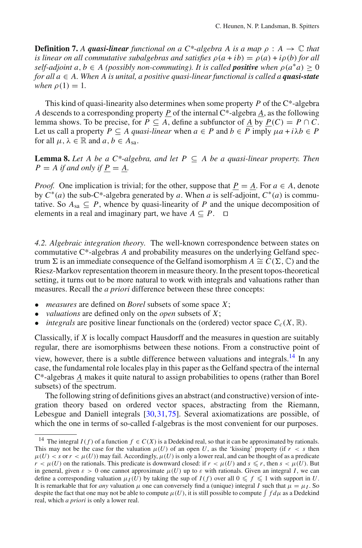**Definition 7.** A **quasi-linear** functional on a  $C^*$ -algebra A is a map  $\rho : A \to \mathbb{C}$  that *is linear on all commutative subalgebras and satisfies*  $\rho(a + ib) = \rho(a) + i\rho(b)$  *for all self-adjoint a, b*  $\in$  *A (possibly non-commuting). It is called positive when*  $\rho(a^*a)$  *> 0 for all*  $a \in A$ . When  $\overline{A}$  *is unital, a positive quasi-linear functional is called a quasi-state when*  $\rho(1) = 1$ *.* 

This kind of quasi-linearity also determines when some property *P* of the C\*-algebra *A* descends to a corresponding property *P* of the internal  $C^*$ -algebra *A*, as the following lemma shows. To be precise, for  $P \subseteq A$ , define a subfunctor of *A* by  $P(C) = P \cap C$ . Let us call a property  $P \subseteq A$  quasi-linear when  $a \in P$  and  $b \in P$  imply  $\mu a + i\lambda b \in P$ for all  $\mu$ ,  $\lambda \in \mathbb{R}$  and  $a, b \in A$ <sub>sa</sub>.

<span id="page-25-3"></span>**Lemma 8.** *Let A be a C\*-algebra, and let P*  $\subseteq$  *A be a quasi-linear property. Then*  $P = A$  *if and only if*  $P = A$ .

*Proof.* One implication is trivial; for the other, suppose that  $P = A$ . For  $a \in A$ , denote by  $C^*(a)$  the sub-C<sup>\*</sup>-algebra generated by *a*. When *a* is self-adjoint,  $C^*(a)$  is commutative. So  $A_{sa} \subseteq P$ , whence by quasi-linearity of P and the unique decomposition of elements in a real and imaginary part, we have  $A \subseteq P$ .  $\Box$ 

<span id="page-25-0"></span>*4.2. Algebraic integration theory.* The well-known correspondence between states on commutative C\*-algebras *A* and probability measures on the underlying Gelfand spectrum  $\Sigma$  is an immediate consequence of the Gelfand isomorphism  $A \cong C(\Sigma, \mathbb{C})$  and the Riesz-Markov representation theorem in measure theory. In the present topos-theoretical setting, it turns out to be more natural to work with integrals and valuations rather than measures. Recall the *a priori* difference between these three concepts:

- *measures* are defined on *Borel* subsets of some space *X*;
- *valuations* are defined only on the *open* subsets of *X*;
- *integrals* are positive linear functionals on the (ordered) vector space  $C_c(X, \mathbb{R})$ .

Classically, if *X* is locally compact Hausdorff and the measures in question are suitably regular, there are isomorphisms between these notions. From a constructive point of view, however, there is a subtle difference between valuations and integrals[.14](#page-25-1) In any case, the fundamental role locales play in this paper as the Gelfand spectra of the internal C\*-algebras *A* makes it quite natural to assign probabilities to opens (rather than Borel subsets) of the spectrum.

The following string of definitions gives an abstract (and constructive) version of integration theory based on ordered vector spaces, abstracting from the Riemann, Lebesgue and Daniell integrals [\[30](#page-45-21),[31,](#page-46-27)[75\]](#page-47-12). Several axiomatizations are possible, of which the one in terms of so-called f-algebras is the most convenient for our purposes.

<span id="page-25-2"></span><span id="page-25-1"></span><sup>&</sup>lt;sup>14</sup> The integral *I*(*f*) of a function  $f \in C(X)$  is a Dedekind real, so that it can be approximated by rationals. This may not be the case for the valuation  $\mu(U)$  of an open *U*, as the 'kissing' property (if  $r < s$  then  $\mu(U) < s$  or  $r < \mu(U)$ ) may fail. Accordingly,  $\mu(U)$  is only a lower real, and can be thought of as a predicate  $r < \mu(U)$  on the rationals. This predicate is downward closed: if  $r < \mu(U)$  and  $s \leq r$ , then  $s < \mu(U)$ . But in general, given  $\varepsilon > 0$  one cannot approximate  $\mu(U)$  up to  $\varepsilon$  with rationals. Given an integral *I*, we can define a corresponding valuation  $\mu_I(\hat{U})$  by taking the sup of  $I(f)$  over all  $0 \leq f \leq 1$  with support in *U*. It is remarkable that for *any* valuation  $\mu$  one can conversely find a (unique) integral *I* such that  $\mu = \mu_I$ . So despite the fact that one may not be able to compute  $\mu(U)$ , it is still possible to compute  $\int f d\mu$  as a Dedekind real, which *a priori* is only a lower real.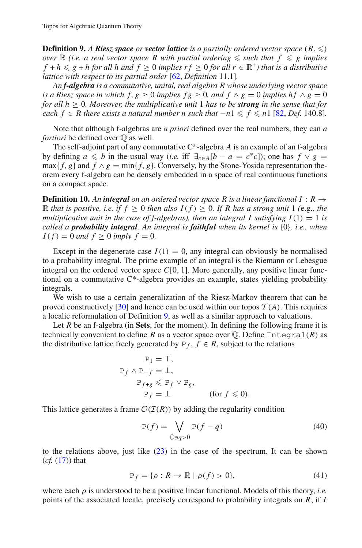**Definition 9.** A *Riesz space or vector lattice* is a partially ordered vector space  $(R, \leqslant)$ *over*  $\mathbb R$  *(i.e. a real vector space* R with partial ordering  $\leq$  such that  $f \leq g$  implies *f* + *h*  $\leq$  *g* + *h* for all *h* and *f*  $\geq$  0 *implies rf*  $\geq$  0 *for all r*  $\in$   $\mathbb{R}^+$ *) that is a distributive lattice with respect to its partial order* [\[62,](#page-47-13) *Definition* 11.1]*.*

*An f-algebra is a commutative, unital, real algebra R whose underlying vector space is a Riesz space in which f, g*  $\geq$  0 *implies fg*  $\geq$  0*, and f*  $\land$  *g* = 0 *implies hf*  $\land$  *g* = 0 *for all*  $h \geq 0$ *. Moreover, the multiplicative unit* 1 *has to be strong in the sense that for each*  $f$  ∈ *R* there exists a natural number n such that  $-n1 ≤ f ≤ n1$  [\[82,](#page-47-14) Def. 140.8].

Note that although f-algebras are *a priori* defined over the real numbers, they can *a fortiori* be defined over  $\mathbb{O}$  as well.

The self-adjoint part of any commutative C\*-algebra *A* is an example of an f-algebra by defining  $a \leq b$  in the usual way (*i.e.* iff  $\exists_{c \in A} [b - a = c^*c]$ ); one has  $f \vee g =$  $\max\{f, g\}$  and  $f \wedge g = \min\{f, g\}$ . Conversely, by the Stone-Yosida representation theorem every f-algebra can be densely embedded in a space of real continuous functions on a compact space.

**Definition 10.** An *integral on an ordered vector space R is a linear functional I* :  $R \rightarrow$  $ℝ$  *that is positive, i.e. if*  $f ≥ 0$  *then also*  $I(f) ≥ 0$ *. If*  $R$  *has a strong unit* 1 (e.g.*, the multiplicative unit in the case of f-algebras), then an integral I satisfying*  $I(1) = 1$  *is called a probability integral. An integral is faithful when its kernel is* {0}*, i.e., when*  $I(f) = 0$  *and*  $f > 0$  *imply*  $f = 0$ *.* 

Except in the degenerate case  $I(1) = 0$ , any integral can obviously be normalised to a probability integral. The prime example of an integral is the Riemann or Lebesgue integral on the ordered vector space *C*[0, 1]. More generally, any positive linear functional on a commutative C\*-algebra provides an example, states yielding probability integrals.

We wish to use a certain generalization of the Riesz-Markov theorem that can be proved constructively [\[30](#page-45-21)] and hence can be used within our topos  $T(A)$ . This requires a localic reformulation of Definition [9,](#page-25-2) as well as a similar approach to valuations.

Let *R* be an f-algebra (in **Sets**, for the moment). In defining the following frame it is technically convenient to define *R* as a vector space over  $\mathbb Q$ . Define Integral(*R*) as the distributive lattice freely generated by  $P_f$ ,  $f \in R$ , subject to the relations

$$
\begin{aligned}\n\mathbf{P}_1 &= \top, \\
\mathbf{P}_f \wedge \mathbf{P}_{-f} &= \bot, \\
\mathbf{P}_{f+g} &\leq \mathbf{P}_f \vee \mathbf{P}_g, \\
\mathbf{P}_f &= \bot \qquad \text{(for } f \leq 0).\n\end{aligned}
$$

This lattice generates a frame  $\mathcal{O}(\mathcal{I}(R))$  by adding the regularity condition

$$
P(f) = \bigvee_{\mathbb{Q} \ni q > 0} P(f - q)
$$
\n(40)

to the relations above, just like [\(23\)](#page-17-1) in the case of the spectrum. It can be shown (*cf.* [\(17\)](#page-17-2)) that

$$
\mathbb{P}_f = \{ \rho : R \to \mathbb{R} \mid \rho(f) > 0 \},\tag{41}
$$

<span id="page-26-0"></span>where each  $\rho$  is understood to be a positive linear functional. Models of this theory, *i.e.* points of the associated locale, precisely correspond to probability integrals on *R*; if *I*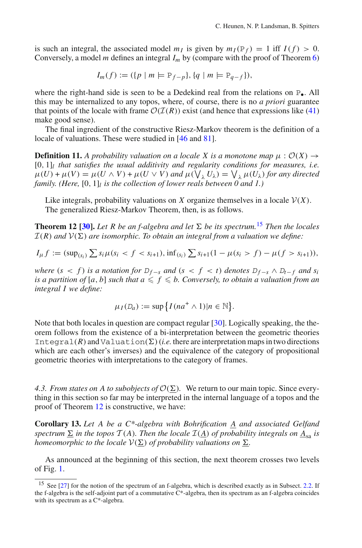is such an integral, the associated model  $m_l$  is given by  $m_l(P_f) = 1$  iff  $I(f) > 0$ . Conversely, a model *m* defines an integral *Im* by (compare with the proof of Theorem [6\)](#page-23-0)

$$
I_m(f) := (\{ p \mid m \models \mathbb{P}_{f-p} \}, \{ q \mid m \models \mathbb{P}_{q-f} \}),
$$

where the right-hand side is seen to be a Dedekind real from the relations on P<sub>•</sub>. All this may be internalized to any topos, where, of course, there is no *a priori* guarantee that points of the locale with frame  $\mathcal{O}(\mathcal{I}(R))$  exist (and hence that expressions like [\(41\)](#page-26-0) make good sense).

The final ingredient of the constructive Riesz-Markov theorem is the definition of a locale of valuations. These were studied in [\[46](#page-46-28) and [81](#page-47-15)].

**Definition 11.** *A probability valuation on a locale X is a monotone map*  $\mu$  :  $\mathcal{O}(X) \rightarrow$ [0, 1]*<sup>l</sup> that satisfies the usual additivity and regularity conditions for measures, i.e.*  $\mu(U) + \mu(V) = \mu(U \wedge V) + \mu(U \vee V)$  and  $\mu(\bigvee_{\lambda} U_{\lambda}) = \bigvee_{\lambda} \mu(U_{\lambda})$  for any directed *family. (Here,* [0, 1]*<sup>l</sup> is the collection of lower reals between 0 and 1.)*

Like integrals, probability valuations on *X* organize themselves in a locale  $V(X)$ . The generalized Riesz-Markov Theorem, then, is as follows.

<span id="page-27-2"></span>**Theorem 12 [\[30](#page-45-21)].** Let R be an f-algebra and let  $\Sigma$  be its spectrum.<sup>[15](#page-27-1)</sup> Then the locales  $\mathcal{I}(R)$  *and*  $\mathcal{V}(\Sigma)$  *are isomorphic. To obtain an integral from a valuation we define:* 

$$
I_{\mu}f := (\sup_{(s_i)} \sum s_i \mu(s_i < f < s_{i+1}), \inf_{(s_i)} \sum s_{i+1} (1 - \mu(s_i > f) - \mu(f > s_{i+1})),
$$

*where*  $(s < f)$  *is a notation for*  $D_{f-s}$  *and*  $(s < f < t)$  *denotes*  $D_{f-s} \wedge D_{t-f}$  *and*  $s_i$ is a partition of  $[a, b]$  such that  $a \leqslant f \leqslant b$ . Conversely, to obtain a valuation from an *integral I we define:*

$$
\mu_I(D_a) := \sup \big\{ I(na^+ \wedge 1) | n \in \mathbb{N} \big\}.
$$

Note that both locales in question are compact regular [\[30\]](#page-45-21). Logically speaking, the theorem follows from the existence of a bi-interpretation between the geometric theories Integral(R) and Valuation( $\Sigma$ ) (*i.e.* there are interpretation maps in two directions which are each other's inverses) and the equivalence of the category of propositional geometric theories with interpretations to the category of frames.

<span id="page-27-3"></span>4.3. From states on A to subobjects of  $\mathcal{O}(\Sigma)$ . We return to our main topic. Since everything in this section so far may be interpreted in the internal language of a topos and the proof of Theorem [12](#page-27-2) is constructive, we have:

**Corollary 13.** *Let A be a C\*-algebra with Bohrification A and associated Gelfand*  $s$ *pectrum*  $\Sigma$  *in the topos*  $T(A)$ *. Then the locale*  $I(A)$  *of probability integrals on*  $\underline{A}_{sa}$  *is homeomorphic to the locale*  $V(\Sigma)$  *of probability valuations on*  $\Sigma$ *.* 

<span id="page-27-0"></span>As announced at the beginning of this section, the next theorem crosses two levels of Fig. [1.](#page-11-0)

<span id="page-27-1"></span><sup>&</sup>lt;sup>15</sup> See [\[27](#page-45-12)] for the notion of the spectrum of an f-algebra, which is described exactly as in Subsect. [2.2.](#page-17-3) If the f-algebra is the self-adjoint part of a commutative C\*-algebra, then its spectrum as an f-algebra coincides with its spectrum as a C\*-algebra.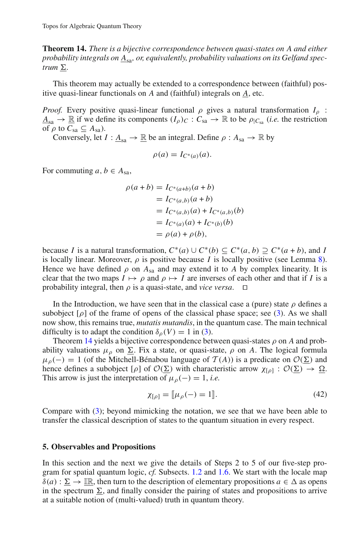**Theorem 14.** *There is a bijective correspondence between quasi-states on A and either* probability integrals on  $\underline{A}_{sa}$ , or, equivalently, probability valuations on its Gelfand spec*trum*  $\underline{\Sigma}$ .

This theorem may actually be extended to a correspondence between (faithful) positive quasi-linear functionals on *A* and (faithful) integrals on *A*, etc.

*Proof.* Every positive quasi-linear functional  $\rho$  gives a natural transformation  $I_{\rho}$ :  $A_{sa} \rightarrow \mathbb{R}$  if we define its components  $(I_\rho)_C : C_{sa} \rightarrow \mathbb{R}$  to be  $\rho_{|C_{sa}}$  *(i.e.* the restriction of  $\rho$  to  $C_{sa} \subseteq A_{sa}$ ).

Conversely, let  $I: \underline{A}_{sa} \to \mathbb{R}$  be an integral. Define  $\rho: A_{sa} \to \mathbb{R}$  by

$$
\rho(a) = I_{C^*(a)}(a).
$$

For commuting  $a, b \in A_{sa}$ ,

$$
\rho(a+b) = I_{C^*(a+b)}(a+b)
$$
  
=  $I_{C^*(a,b)}(a+b)$   
=  $I_{C^*(a,b)}(a) + I_{C^*(a,b)}(b)$   
=  $I_{C^*(a)}(a) + I_{C^*(b)}(b)$   
=  $\rho(a) + \rho(b)$ ,

because *I* is a natural transformation,  $C^*(a) \cup C^*(b) \subseteq C^*(a, b) \supseteq C^*(a + b)$ , and *I* is locally linear. Moreover,  $\rho$  is positive because *I* is locally positive (see Lemma [8\)](#page-25-3). Hence we have defined  $\rho$  on  $A_{sa}$  and may extend it to A by complex linearity. It is clear that the two maps  $I \mapsto \rho$  and  $\rho \mapsto I$  are inverses of each other and that if *I* is a probability integral, then  $\rho$  is a quasi-state, and *vice versa*.  $\Box$ 

In the Introduction, we have seen that in the classical case a (pure) state  $\rho$  defines a subobject  $[\rho]$  of the frame of opens of the classical phase space; see [\(3\)](#page-2-0). As we shall now show, this remains true, *mutatis mutandis*, in the quantum case. The main technical difficulty is to adapt the condition  $\delta_{\rho}(V) = 1$  in [\(3\)](#page-2-0).

Theorem [14](#page-27-0) yields a bijective correspondence between quasi-states  $\rho$  on A and probability valuations  $\mu_{\rho}$  on  $\Sigma$ . Fix a state, or quasi-state,  $\rho$  on A. The logical formula  $\mu_{\rho}(-) = 1$  (of the Mitchell-Bénabou language of  $\mathcal{T}(A)$ ) is a predicate on  $\mathcal{O}(\Sigma)$  and hence defines a subobject  $[\rho]$  of  $\mathcal{O}(\Sigma)$  with characteristic arrow  $\chi_{[\rho]} : \mathcal{O}(\Sigma) \to \Omega$ . This arrow is just the interpretation of  $\mu_{\rho}(-) = 1$ , *i.e.* 

$$
\chi_{[\rho]} = [\![\mu_{\rho}(-) = 1]\!].\tag{42}
$$

<span id="page-28-1"></span>Compare with [\(3\)](#page-2-0); beyond mimicking the notation, we see that we have been able to transfer the classical description of states to the quantum situation in every respect.

#### <span id="page-28-0"></span>**5. Observables and Propositions**

In this section and the next we give the details of Steps 2 to 5 of our five-step program for spatial quantum logic, *cf.* Subsects. [1.2](#page-2-1) and [1.6.](#page-8-0) We start with the locale map  $\delta(a): \Sigma \to \mathbb{R}$ , then turn to the description of elementary propositions  $a \in \Delta$  as opens in the spectrum  $\Sigma$ , and finally consider the pairing of states and propositions to arrive at a suitable notion of (multi-valued) truth in quantum theory.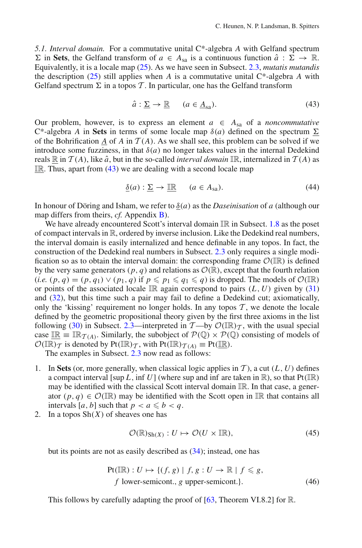<span id="page-29-0"></span>*5.1. Interval domain.* For a commutative unital C\*-algebra *A* with Gelfand spectrum  $\Sigma$  in **Sets**, the Gelfand transform of  $a \in A_{sa}$  is a continuous function  $\hat{a} : \Sigma \to \mathbb{R}$ . Equivalently, it is a locale map [\(25\)](#page-18-2). As we have seen in Subsect. [2.3,](#page-18-0) *mutatis mutandis* the description [\(25\)](#page-18-2) still applies when *A* is a commutative unital C\*-algebra *A* with Gelfand spectrum  $\Sigma$  in a topos  $\mathcal T$ . In particular, one has the Gelfand transform

$$
\hat{a} : \underline{\Sigma} \to \underline{\mathbb{R}} \qquad (a \in \underline{A}_{sa}). \tag{43}
$$

<span id="page-29-1"></span>Our problem, however, is to express an element  $a \in A_{sa}$  of a *noncommutative* C<sup>\*</sup>-algebra *A* in **Sets** in terms of some locale map  $\delta(a)$  defined on the spectrum  $\Sigma$ of the Bohrification *A* of *A* in  $T(A)$ . As we shall see, this problem can be solved if we introduce some fuzziness, in that  $\delta(a)$  no longer takes values in the internal Dedekind reals  $\mathbb R$  in  $\mathcal T(A)$ , like  $\hat a$ , but in the so-called *interval domain*  $\mathbb I\mathbb R$ , internalized in  $\mathcal T(A)$  as  $\mathbb{IR}$ . Thus, apart from [\(43\)](#page-29-1) we are dealing with a second locale map

$$
\underline{\delta}(a) : \underline{\Sigma} \to \underline{\mathbb{IR}} \qquad (a \in A_{sa}). \tag{44}
$$

<span id="page-29-2"></span>In honour of Döring and Isham, we refer to δ(*a*) as the *Daseinisation* of *a* (although our map differs from theirs, *cf.* Appendix [B\)](#page-44-0).

We have already encountered Scott's interval domain  $\mathbb{IR}$  in Subsect. [1.8](#page-14-0) as the poset of compact intervals in R, ordered by inverse inclusion. Like the Dedekind real numbers, the interval domain is easily internalized and hence definable in any topos. In fact, the construction of the Dedekind real numbers in Subsect. [2.3](#page-18-0) only requires a single modification so as to obtain the interval domain: the corresponding frame  $\mathcal{O}(\mathbb{IR})$  is defined by the very same generators  $(p, q)$  and relations as  $\mathcal{O}(\mathbb{R})$ , except that the fourth relation (*i.e.*  $(p, q) = (p, q_1) \vee (p_1, q)$  if  $p \leq p_1 \leq q_1 \leq q$ ) is dropped. The models of  $\mathcal{O}(\mathbb{R})$ or points of the associated locale  $\mathbb{IR}$  again correspond to pairs  $(L, U)$  given by [\(31\)](#page-19-2) and [\(32\)](#page-19-2), but this time such a pair may fail to define a Dedekind cut; axiomatically, only the 'kissing' requirement no longer holds. In any topos  $T$ , we denote the locale defined by the geometric propositional theory given by the first three axioms in the list following [\(30\)](#page-18-6) in Subsect. [2.3—](#page-18-0)interpreted in  $\mathcal{T}$ —by  $\mathcal{O}(\mathbb{R})_{\mathcal{T}}$ , with the usual special case  $\mathbb{IR} = \mathbb{IR}_{\mathcal{T}(A)}$ . Similarly, the subobject of  $\mathcal{P}(\mathbb{Q}) \times \mathcal{P}(\mathbb{Q})$  consisting of models of  $\mathcal{O}(\mathbb{IR})_T$  is denoted by Pt $(\mathbb{IR})_T$ , with Pt $(\mathbb{IR})_{T(A)} \equiv \text{Pt}(\mathbb{IR})$ .

The examples in Subsect. [2.3](#page-18-0) now read as follows:

- 1. In **Sets** (or, more generally, when classical logic applies in  $T$ ), a cut  $(L, U)$  defines a compact interval [sup *L*, inf *U*] (where sup and inf are taken in  $\mathbb{R}$ ), so that  $Pt(IR)$ may be identified with the classical Scott interval domain IR. In that case, a generator  $(p, q) \in \mathcal{O}(\mathbb{IR})$  may be identified with the Scott open in  $\mathbb{IR}$  that contains all intervals [a, b] such that  $p < a \leq b < q$ .
- 2. In a topos Sh(*X*) of sheaves one has

$$
\mathcal{O}(\mathbb{R})_{\text{Sh}(X)} : U \mapsto \mathcal{O}(U \times \mathbb{IR}), \tag{45}
$$

but its points are not as easily described as [\(34\)](#page-19-1); instead, one has

$$
Pt(IR): U \mapsto \{ (f, g) \mid f, g: U \to \mathbb{R} \mid f \le g, f lower-semicont., g upper-semicont.).
$$
 (46)

This follows by carefully adapting the proof of  $[63,$  Theorem VI.8.2] for R.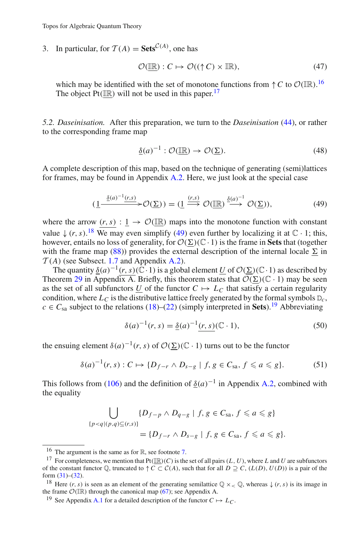3. In particular, for  $T(A) = \textbf{Sets}^{\mathcal{C}(A)}$ , one has

$$
\mathcal{O}(\underline{\mathbb{IR}}): C \mapsto \mathcal{O}((\uparrow C) \times \underline{\mathbb{IR}}),\tag{47}
$$

<span id="page-30-8"></span>which may be identified with the set of monotone functions from  $\uparrow C$  to  $\mathcal{O}(\mathbb{R})$ .<sup>[16](#page-30-1)</sup> The object Pt( $\mathbb{IR}$ ) will not be used in this paper.<sup>[17](#page-30-2)</sup>

<span id="page-30-0"></span>*5.2. Daseinisation.* After this preparation, we turn to the *Daseinisation* [\(44\)](#page-29-2), or rather to the corresponding frame map

$$
\underline{\delta}(a)^{-1} : \mathcal{O}(\underline{\mathbb{R}}) \to \mathcal{O}(\underline{\Sigma}).\tag{48}
$$

<span id="page-30-7"></span>A complete description of this map, based on the technique of generating (semi)lattices for frames, may be found in Appendix [A.2.](#page-41-0) Here, we just look at the special case

$$
(\underline{1} \xrightarrow{\underline{\delta(a)^{-1}(r,s)}} \mathcal{O}(\underline{\Sigma})) = (\underline{1} \xrightarrow{(r,s)} \mathcal{O}(\underline{\mathbb{R}}) \xrightarrow{\underline{\delta(a)^{-1}}} \mathcal{O}(\underline{\Sigma})), \tag{49}
$$

<span id="page-30-4"></span>where the arrow  $(r, s) : 1 \rightarrow \mathcal{O}(\mathbb{R})$  maps into the monotone function with constant value  $\downarrow$  (*r*, *s*).<sup>[18](#page-30-3)</sup> We may even simplify [\(49\)](#page-30-4) even further by localizing it at  $\mathbb{C} \cdot 1$ ; this, however, entails no loss of generality, for  $\mathcal{O}(\Sigma)$  (C · 1) is the frame in **Sets** that (together with the frame map [\(88\)](#page-40-0)) provides the external description of the internal locale  $\Sigma$  in  $T(A)$  (see Subsect. [1.7](#page-10-1) and Appendix [A.2\)](#page-41-0).

The quantity  $\delta(a)^{-1}(r, s)(\tilde{\mathbb{C}} \cdot 1)$  is a global element *U* of  $\mathcal{O}(\Sigma)(\mathbb{C} \cdot 1)$  as described by Theorem [29](#page-40-1) in Appendix A. Briefly, this theorem states that  $\overline{\mathcal{O}(\Sigma)}(\mathbb{C} \cdot 1)$  may be seen as the set of all subfunctors *U* of the functor  $C \mapsto L_C$  that satisfy a certain regularity condition, where  $L_C$  is the distributive lattice freely generated by the formal symbols  $D_C$ ,  $c \in C_{sa}$  subject to the relations [\(18\)](#page-17-0)–[\(22\)](#page-17-0) (simply interpreted in **Sets**).<sup>[19](#page-30-5)</sup> Abbreviating

$$
\delta(a)^{-1}(r,s) = \underline{\delta}(a)^{-1}(r,s) (\mathbb{C} \cdot 1), \tag{50}
$$

the ensuing element  $\delta(a)^{-1}(r, s)$  of  $\mathcal{O}(\Sigma)(\mathbb{C} \cdot 1)$  turns out to be the functor

$$
\delta(a)^{-1}(r,s) : C \mapsto \{D_{f-r} \wedge D_{s-g} \mid f, g \in C_{sa}, f \leq a \leq g\}.
$$
 (51)

<span id="page-30-6"></span>This follows from [\(106\)](#page-43-0) and the definition of  $\delta(a)^{-1}$  in Appendix [A.2,](#page-41-0) combined with the equality

$$
\bigcup_{\{p < q \mid (p,q) \subseteq (r,s)\}} \{D_{f-p} \land D_{q-g} \mid f, g \in C_{\text{sa}}, f \leqslant a \leqslant g\}
$$
\n
$$
= \{D_{f-r} \land D_{s-g} \mid f, g \in C_{\text{sa}}, f \leqslant a \leqslant g\}.
$$

<sup>&</sup>lt;sup>16</sup> The argument is the same as for  $\mathbb{R}$ , see footnote [7.](#page-20-1)

<span id="page-30-2"></span><span id="page-30-1"></span><sup>&</sup>lt;sup>17</sup> For completeness, we mention that  $Pt(\mathbb{IR})(C)$  is the set of all pairs  $(L, U)$ , where *L* and *U* are subfunctors of the constant functor  $\mathbb{Q}$ , truncated to  $\uparrow C \subset C(A)$ , such that for all  $D \supseteq C$ ,  $(L(D), U(D))$  is a pair of the form  $(31)–(32)$  $(31)–(32)$  $(31)–(32)$ .

<span id="page-30-3"></span><sup>&</sup>lt;sup>18</sup> Here  $(r, s)$  is seen as an element of the generating semilattice  $\mathbb{Q} \times_{\leq} \mathbb{Q}$ , whereas  $\downarrow (r, s)$  is its image in the frame  $\mathcal{O}(\mathbb{IR})$  through the canonical map [\(67\)](#page-35-0); see Appendix A.

<span id="page-30-5"></span><sup>&</sup>lt;sup>19</sup> See Appendix [A.1](#page-36-1) for a detailed description of the functor  $C \mapsto L_C$ .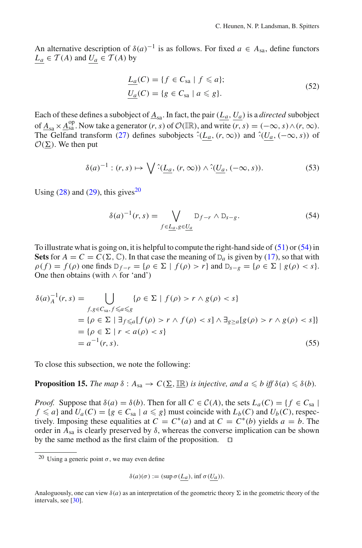An alternative description of  $\delta(a)^{-1}$  is as follows. For fixed  $a \in A_{sa}$ , define functors  $L_a \in \mathcal{T}(A)$  and  $U_a \in \mathcal{T}(A)$  by

$$
\underline{L_a}(C) = \{ f \in C_{sa} \mid f \leq a \};
$$
\n
$$
\underline{U_a}(C) = \{ g \in C_{sa} \mid a \leq g \}.
$$
\n
$$
(52)
$$

Each of these defines a subobject of  $\underline{A}_{sa}$ . In fact, the pair  $(L_a, U_a)$  is a *directed* subobject of  $\underline{A}_{sa} \times \underline{A}_{sa}^{op}$ . Now take a generator  $(r, s)$  of  $\mathcal{O}(\mathbb{IR})$ , and write  $\overline{(r, s)} = (-\infty, s) \wedge (r, \infty)$ . The Gelfand transform [\(27\)](#page-18-7) defines subobjects  $\hat{L}_a$ ,  $(r, \infty)$  and  $\hat{L}_a$ ,  $(-\infty, s)$  of  $\mathcal{O}(\underline{\Sigma})$ . We then put

$$
\delta(a)^{-1} : (r, s) \mapsto \bigvee \hat{L}_{\underline{a}}, (r, \infty) \wedge \hat{L}_{\underline{a}}, (-\infty, s)). \tag{53}
$$

<span id="page-31-1"></span>Using  $(28)$  and  $(29)$ , this gives<sup>[20](#page-31-0)</sup>

$$
\delta(a)^{-1}(r,s) = \bigvee_{f \in \underline{L}_a, g \in \underline{U}_a} D_{f-r} \wedge D_{s-g}.
$$
 (54)

To illustrate what is going on, it is helpful to compute the right-hand side of [\(51\)](#page-30-6) or [\(54\)](#page-31-1) in **Sets** for  $A = C = C(\Sigma, \mathbb{C})$ . In that case the meaning of  $D_a$  is given by [\(17\)](#page-17-2), so that with  $\rho(f) = f(\rho)$  one finds  $D_{f-r} = {\rho \in \Sigma \mid f(\rho) > r}$  and  $D_{s-g} = {\rho \in \Sigma \mid g(\rho) < s}.$ One then obtains (with ∧ for 'and')

$$
\delta(a)_{A}^{-1}(r,s) = \bigcup_{f,g \in C_{\text{sa}}, f \leq a \leq g} \{\rho \in \Sigma \mid f(\rho) > r \wedge g(\rho) < s\}
$$
  
\n
$$
= \{\rho \in \Sigma \mid \exists_{f \leq a} [f(\rho) > r \wedge f(\rho) < s] \wedge \exists_{g \geq a} [g(\rho) > r \wedge g(\rho) < s]\}
$$
  
\n
$$
= \{\rho \in \Sigma \mid r < a(\rho) < s\}
$$
  
\n
$$
= a^{-1}(r,s). \tag{55}
$$

To close this subsection, we note the following:

**Proposition 15.** *The map*  $\delta: A_{sa} \to C(\underline{\Sigma}, \underline{\mathbb{IR}})$  *is injective, and*  $a \leq b$  *iff*  $\delta(a) \leq \delta(b)$ *.* 

*Proof.* Suppose that  $\delta(a) = \delta(b)$ . Then for all  $C \in C(A)$ , the sets  $L_a(C) = \{f \in C_{sa} \mid$  $f \le a$ } and  $U_a(C) = \{g \in C_{sa} \mid a \le g\}$  must coincide with  $L_b(C)$  and  $U_b(C)$ , respectively. Imposing these equalities at  $C = C^*(a)$  and at  $C = C^*(b)$  yields  $a = b$ . The order in  $A_{sa}$  is clearly preserved by  $\delta$ , whereas the converse implication can be shown by the same method as the first claim of the proposition.  $\Box$ 

$$
\delta(a)(\sigma) := (\sup \sigma(\underline{L}_a), \inf \sigma(\underline{U}_a)).
$$

<span id="page-31-0"></span><sup>&</sup>lt;sup>20</sup> Using a generic point  $\sigma$ , we may even define

Analoguously, one can view  $\delta(a)$  as an interpretation of the geometric theory  $\Sigma$  in the geometric theory of the intervals, see [\[30](#page-45-21)].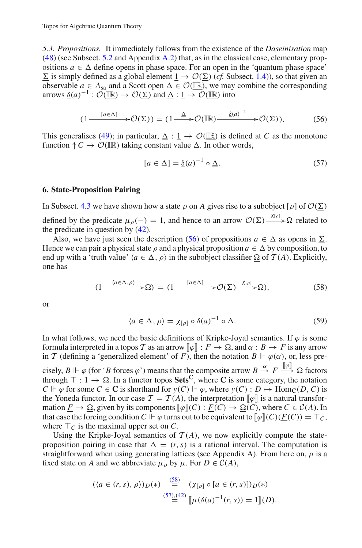*5.3. Propositions.* It immediately follows from the existence of the *Daseinisation* map [\(48\)](#page-30-7) (see Subsect. [5.2](#page-30-0) and Appendix [A.2\)](#page-41-0) that, as in the classical case, elementary propositions  $a \in \Delta$  define opens in phase space. For an open in the 'quantum phase space'  $\underline{\Sigma}$  is simply defined as a global element  $\underline{1} \rightarrow \mathcal{O}(\underline{\Sigma})$  (*cf.* Subsect. [1.4\)](#page-6-1)), so that given an observable  $a \in A_{sa}$  and a Scott open  $\Delta \in \mathcal{O}(\mathbb{IR})$ , we may combine the corresponding arrows  $\underline{\delta}(a)^{-1} : \mathcal{O}(\underline{\mathbb{R}}) \to \mathcal{O}(\underline{\Sigma})$  and  $\underline{\Delta} : \underline{1} \to \mathcal{O}(\underline{\mathbb{R}})$  into

<span id="page-32-3"></span>
$$
(\underline{1} \xrightarrow{[a \in \Delta]} \mathcal{O}(\underline{\Sigma})) = (\underline{1} \xrightarrow{\Delta} \mathcal{O}(\underline{\mathbb{R}}) \xrightarrow{\underline{\delta}(a)^{-1}} \mathcal{O}(\underline{\Sigma})). \tag{56}
$$

<span id="page-32-1"></span>This generalises [\(49\)](#page-30-4); in particular,  $\Delta : 1 \rightarrow \mathcal{O}(\mathbb{IR})$  is defined at *C* as the monotone function  $\uparrow C \rightarrow \mathcal{O}(\mathbb{IR})$  taking constant value  $\Delta$ . In other words,

$$
[a \in \Delta] = \underline{\delta}(a)^{-1} \circ \underline{\Delta}.
$$
 (57)

#### <span id="page-32-0"></span>**6. State-Proposition Pairing**

In Subsect. [4.3](#page-27-3) we have shown how a state  $\rho$  on *A* gives rise to a subobject [ $\rho$ ] of  $\mathcal{O}(\Sigma)$ defined by the predicate  $\mu_{\rho}(-) = 1$ , and hence to an arrow  $\mathcal{O}(\Sigma) \xrightarrow{\chi_{[\rho]}} \Omega$  related to the predicate in question by  $(42)$ .

Also, we have just seen the description [\(56\)](#page-32-1) of propositions  $a \in \Delta$  as opens in  $\Sigma$ . Hence we can pair a physical state  $\rho$  and a physical proposition  $a \in \Delta$  by composition, to end up with a 'truth value'  $\langle a \in \Delta, \rho \rangle$  in the subobject classifier  $\Omega$  of  $\mathcal{T}(A)$ . Explicitly, one has

$$
(\underline{1} \xrightarrow{\langle a \in \Delta, \rho \rangle} \Rightarrow \underline{\Omega}) = (\underline{1} \xrightarrow{\langle a \in \Delta \rangle} \Rightarrow \mathcal{O}(\underline{\Sigma}) \xrightarrow{\chi_{[\rho]}} \underline{\Omega}), \tag{58}
$$

<span id="page-32-2"></span>or

$$
\langle a \in \Delta, \rho \rangle = \chi_{[\rho]} \circ \underline{\delta}(a)^{-1} \circ \underline{\Delta}.
$$
 (59)

In what follows, we need the basic definitions of Kripke-Joyal semantics. If  $\varphi$  is some formula interpreted in a topos *T* as an arrow  $[\![\varphi]\!] : F \to \Omega$ , and  $\alpha : B \to F$  is any arrow in *T* (defining a 'generalized element' of *F*), then the notation  $B \Vdash \varphi(\alpha)$ , or, less pre-

cisely,  $B \Vdash \varphi$  (for '*B* forces  $\varphi$ ') means that the composite arrow  $B \stackrel{\alpha}{\to} F \stackrel{\lVert \varphi \rVert}{\to} \Omega$  factors through  $\top : 1 \to \Omega$ . In a functor topos **Sets<sup>C</sup>**, where **C** is some category, the notation  $C \Vdash \varphi$  for some  $C \in \mathbb{C}$  is shorthand for  $y(C) \Vdash \varphi$ , where  $y(C) : D \mapsto \text{Hom}_{\mathbb{C}}(D, C)$  is the Yoneda functor. In our case  $\mathcal{T} = \mathcal{T}(A)$ , the interpretation  $[\![\varphi]\!]$  is a natural transformation  $\underline{F} \to \Omega$ , given by its components  $[\![\varphi]\!] (C) : \underline{F}(C) \to \Omega(C)$ , where  $C \in \mathcal{C}(A)$ . In that case the forcing condition  $C \Vdash \varphi$  turns out to be equivalent to  $\llbracket \varphi \rrbracket(C)(\underline{F}(C)) = \top_C$ , where  $\top_C$  is the maximal upper set on C.

Using the Kripke-Joyal semantics of  $T(A)$ , we now explicitly compute the stateproposition pairing in case that  $\Delta = (r, s)$  is a rational interval. The computation is straightforward when using generating lattices (see Appendix A). From here on,  $\rho$  is a fixed state on *A* and we abbreviate  $\mu_{\rho}$  by  $\mu$ . For  $D \in C(A)$ ,

$$
(\langle a \in (r, s), \rho \rangle)D(*) \stackrel{(58)}{=} (\chi_{[\rho]} \circ [a \in (r, s)])D(*)
$$
  

$$
\stackrel{(57),(42)}{=} [\mu(\underline{\delta}(a)^{-1}(r, s)) = 1](D).
$$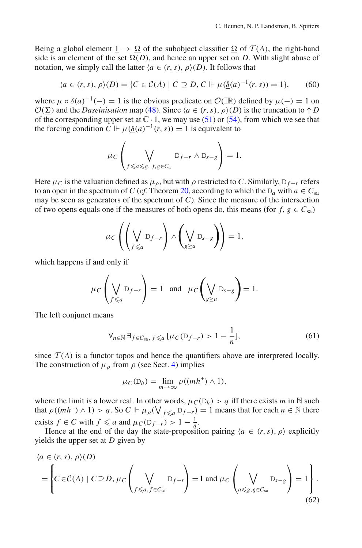Being a global element  $1 \rightarrow \Omega$  of the subobject classifier  $\Omega$  of  $\mathcal{T}(A)$ , the right-hand side is an element of the set  $\Omega(D)$ , and hence an upper set on *D*. With slight abuse of notation, we simply call the latter  $\langle a \in (r, s), \rho \rangle$  (*D*). It follows that

$$
\langle a \in (r, s), \rho \rangle(D) = \{ C \in \mathcal{C}(A) \mid C \supseteq D, C \Vdash \mu(\underline{\delta}(a)^{-1}(r, s)) = 1 \},\tag{60}
$$

where  $\mu \circ \delta(a)^{-1}(-) = 1$  is the obvious predicate on  $\mathcal{O}(\mathbb{R})$  defined by  $\mu(-) = 1$  on  $\mathcal{O}(\Sigma)$  and the *Daseinisation* map [\(48\)](#page-30-7). Since  $\langle a \in (r, s), \rho \rangle(D)$  is the truncation to  $\uparrow D$ of the corresponding upper set at  $\mathbb{C} \cdot 1$ , we may use [\(51\)](#page-30-6) or [\(54\)](#page-31-1), from which we see that the forcing condition  $C \Vdash \mu(\delta(a)^{-1}(r,s)) = 1$  is equivalent to

$$
\mu_C \left( \bigvee_{f \leq a \leq g, f, g \in C_{sa}} D_{f-r} \wedge D_{s-g} \right) = 1.
$$

Here  $\mu_C$  is the valuation defined as  $\mu_D$ , but with  $\rho$  restricted to *C*. Similarly,  $D_{f-r}$  refers to an open in the spectrum of *C* (*cf.* Theorem [20,](#page-36-2) according to which the  $D_a$  with  $a \in C_{sa}$ may be seen as generators of the spectrum of *C*). Since the measure of the intersection of two opens equals one if the measures of both opens do, this means (for  $f, g \in C_{sa}$ )

$$
\mu_C\left(\left(\bigvee_{f\leq a}\mathbb{D}_{f-r}\right)\wedge\left(\bigvee_{g\geq a}\mathbb{D}_{s-g}\right)\right)=1,
$$

which happens if and only if

$$
\mu_C\left(\bigvee_{f\leq a}\mathbb{D}_{f-r}\right)=1 \text{ and } \mu_C\left(\bigvee_{g\geq a}\mathbb{D}_{g-g}\right)=1.
$$

The left conjunct means

$$
\forall_{n \in \mathbb{N}} \, \exists_{f \in C_{\text{sa}}, \, f \leq a} \, [\mu_C(\mathbb{D}_{f-r}) > 1 - \frac{1}{n}], \tag{61}
$$

<span id="page-33-0"></span>since  $\mathcal{T}(A)$  is a functor topos and hence the quantifiers above are interpreted locally. The construction of  $\mu_{\rho}$  from  $\rho$  (see Sect. [4\)](#page-24-1) implies

$$
\mu_C(\mathsf{D}_h) = \lim_{m \to \infty} \rho((mh^+) \wedge 1),
$$

where the limit is a lower real. In other words,  $\mu_C(D_h) > q$  iff there exists *m* in N such that  $\rho((mh^+) \wedge 1) > q$ . So  $C \Vdash \mu_\rho(\bigvee_{f \leq a} D_{f-r}) = 1$  means that for each  $n \in \mathbb{N}$  there exists  $f \in C$  with  $f \leq a$  and  $\mu_C(D_{f-r}) > 1 - \frac{1}{n}$ .

Hence at the end of the day the state-proposition pairing  $\langle a \in (r, s), \rho \rangle$  explicitly yields the upper set at *D* given by

$$
\langle a \in (r, s), \rho \rangle(D)
$$
  
= 
$$
\left\{ C \in \mathcal{C}(A) \mid C \supseteq D, \mu_C \left( \bigvee_{f \leq a, f \in C_{sa}} D_{f-r} \right) = 1 \text{ and } \mu_C \left( \bigvee_{a \leq g, g \in C_{sa}} D_{s-g} \right) = 1 \right\}.
$$
 (62)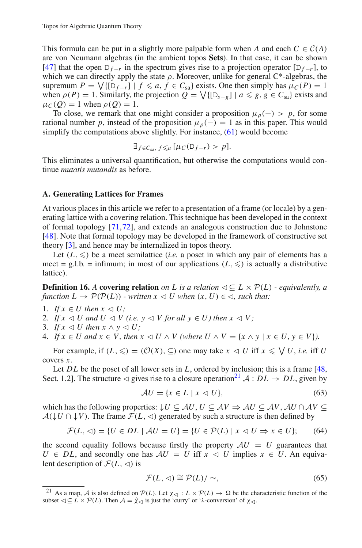This formula can be put in a slightly more palpable form when *A* and each  $C \in \mathcal{C}(A)$ are von Neumann algebras (in the ambient topos **Sets**). In that case, it can be shown [\[47\]](#page-46-25) that the open  $D_{f-r}$  in the spectrum gives rise to a projection operator  $[D_{f-r}]$ , to which we can directly apply the state  $\rho$ . Moreover, unlike for general C\*-algebras, the supremum  $P = \bigvee \{ [D_{f-r}] \mid f \leq a, f \in C_{sa} \}$  exists. One then simply has  $\mu_C(P) = 1$ when  $\rho(P) = 1$ . Similarly, the projection  $Q = \sqrt{\{[D_{s-g}]} \mid a \leq g, g \in C_{sa}\}\)$  exists and  $\mu_C(O) = 1$  when  $\rho(O) = 1$ .

To close, we remark that one might consider a proposition  $\mu_{\rho}(-) > p$ , for some rational number *p*, instead of the proposition  $\mu_{\rho}(-) = 1$  as in this paper. This would simplify the computations above slightly. For instance, [\(61\)](#page-33-0) would become

$$
\exists_{f \in C_{\operatorname{sa}},\, f \leq a} \, [\mu_C(\mathsf{D}_{f-r}) > p].
$$

This eliminates a universal quantification, but otherwise the computations would continue *mutatis mutandis* as before.

### <span id="page-34-0"></span>**A. Generating Lattices for Frames**

At various places in this article we refer to a presentation of a frame (or locale) by a generating lattice with a covering relation. This technique has been developed in the context of formal topology [\[71](#page-47-16),[72\]](#page-47-17), and extends an analogous construction due to Johnstone [\[48\]](#page-46-9). Note that formal topology may be developed in the framework of constructive set theory [\[3\]](#page-45-22), and hence may be internalized in topos theory.

Let  $(L, \leqslant)$  be a meet semilattice *(i.e.* a poset in which any pair of elements has a meet = g.l.b. = infimum; in most of our applications  $(L, \leqslant)$  is actually a distributive lattice).

**Definition 16.** A **covering relation** *on L* is a relation  $\triangleleft \subset L \times \mathcal{P}(L)$  *- equivalently, a function*  $L \to \mathcal{P}(\mathcal{P}(L))$  *- written*  $x \leq U$  when  $(x, U) \in \mathcal{P}(L)$  such that:

- 1. *If*  $x \in U$  then  $x \triangleleft U$ ;
- 2. *If*  $x \triangleleft U$  and  $U \triangleleft V$  (i.e.  $y \triangleleft V$  for all  $y \in U$ ) then  $x \triangleleft V$ ;
- 3. If  $x \triangleleft U$  then  $x \wedge y \triangleleft U$ ;
- 4. *If*  $x \in U$  and  $x \in V$ , then  $x \leq U \land V$  (where  $U \land V = \{x \land y \mid x \in U, y \in V\}$ ).

For example, if  $(L, \leqslant) = (\mathcal{O}(X), \subseteq)$  one may take  $x \leq U$  iff  $x \leq V$  *U*, *i.e.* iff *U* covers *x*.

Let *DL* be the poset of all lower sets in *L*, ordered by inclusion; this is a frame [\[48,](#page-46-9) Sect. 1.2]. The structure  $\triangleleft$  gives rise to a closure operation<sup>21</sup> *A* : *DL*  $\rightarrow$  *DL*, given by

$$
\mathcal{A}U = \{x \in L \mid x \lhd U\},\tag{63}
$$

which has the following properties:  $\downarrow U \subseteq AU$ ,  $U \subseteq AV \Rightarrow AU \subseteq AV$ ,  $AU \cap AV \subseteq$  $A(\downarrow U \cap \downarrow V)$ . The frame  $\mathcal{F}(L, \triangleleft)$  generated by such a structure is then defined by

$$
\mathcal{F}(L, \lhd) = \{ U \in DL \mid AU = U \} = \{ U \in \mathcal{P}(L) \mid x \lhd U \Rightarrow x \in U \};\tag{64}
$$

<span id="page-34-2"></span>the second equality follows because firstly the property  $AU = U$  guarantees that  $U \in DL$ , and secondly one has  $AU = U$  iff  $x \leq U$  implies  $x \in U$ . An equivalent description of  $\mathcal{F}(L, \triangleleft)$  is

$$
\mathcal{F}(L,\triangleleft) \cong \mathcal{P}(L)/\sim,\tag{65}
$$

<span id="page-34-3"></span><span id="page-34-1"></span><sup>&</sup>lt;sup>21</sup> As a map, *A* is also defined on  $P(L)$ . Let  $\chi$ <sup>{</sup> i  $L \times P(L) \rightarrow \Omega$  be the characteristic function of the subset  $\triangleleft \subseteq L \times \mathcal{P}(L)$ . Then  $\mathcal{A} = \hat{\chi}_{\triangleleft}$  is just the 'curry' or ' $\lambda$ -conversion' of  $\chi_{\triangleleft}$ .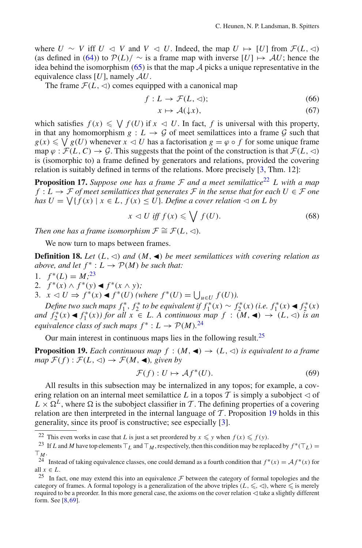where *U* ∼ *V* iff *U*  $\lhd$  *V* and *V*  $\lhd$  *U*. Indeed, the map *U*  $\mapsto$  [*U*] from *F*(*L*,  $\lhd$ ) (as defined in [\(64\)](#page-34-2)) to  $P(L)/ \sim$  is a frame map with inverse  $[U] \mapsto AU$ ; hence the idea behind the isomorphism  $(65)$  is that the map  $\tilde{A}$  picks a unique representative in the equivalence class [*U*], namely *AU*.

<span id="page-35-0"></span>The frame  $\mathcal{F}(L, \triangleleft)$  comes equipped with a canonical map

$$
f: L \to \mathcal{F}(L, \triangleleft); \tag{66}
$$

$$
x \mapsto \mathcal{A}(\downarrow x),\tag{67}
$$

which satisfies  $f(x) \leq \bigvee f(U)$  if  $x \leq U$ . In fact, f is universal with this property, in that any homomorphism  $g: L \to G$  of meet semilattices into a frame  $G$  such that  $g(x) \leq \bigvee g(U)$  whenever  $x \leq U$  has a factorisation  $g = \varphi \circ f$  for some unique frame map  $\varphi$ :  $\mathcal{F}(L, C) \to \mathcal{G}$ . This suggests that the point of the construction is that  $\mathcal{F}(L, \triangleleft)$ is (isomorphic to) a frame defined by generators and relations, provided the covering relation is suitably defined in terms of the relations. More precisely [\[3,](#page-45-22) Thm. 12]:

<span id="page-35-7"></span>**Proposition 17.** *Suppose one has a frame*  $F$  *and a meet semilattice*<sup>[22](#page-35-1)</sup> *L with a map f* ∶ *L* →  $F$  *of meet semilattices that generates*  $F$  *in the sense that for each*  $U \in F$  *one has*  $U = \bigvee \{ f(x) \mid x \in L, f(x) \leq U \}$ *. Define a cover relation*  $\triangleleft$  *on L by* 

$$
x \lhd U \text{ iff } f(x) \leqslant \bigvee f(U). \tag{68}
$$

*Then one has a frame isomorphism*  $\mathcal{F} \cong \mathcal{F}(L, \triangleleft)$ *.* 

<span id="page-35-6"></span>We now turn to maps between frames.

<span id="page-35-8"></span>**Definition 18.** Let  $(L, \triangleleft)$  and  $(M, \triangleleft)$  be meet semilattices with covering relation as *above, and let*  $f^*: L \to \mathcal{P}(M)$  *be such that:* 

- 1.  $f^*(L) = M^{23}$  $f^*(L) = M^{23}$  $f^*(L) = M^{23}$
- 2.  $f^*(x) \wedge f^*(y)$  ◀  $f^*(x \wedge y)$ ;
- 3.  $x \leq U \Rightarrow f^*(x) \triangleleft f^*(U)$  (where  $f^*(U) = \bigcup_{u \in U} f(U)$ ).

*Define two such maps*  $f_1^*, f_2^*$  *to be equivalent if*  $f_1^*(x) \sim f_2^*(x)$  (*i.e.*  $f_1^*(x) \triangleleft f_2^*(x)$ *and*  $f_2^*(x) \triangleleft f_1^*(x)$  *for all*  $x \in L$ . A continuous map  $f : (M, \triangleleft) \rightarrow (L, \triangleleft)$  *is an equivalence class of such maps*  $f^* : L \to \mathcal{P}(M)$ .<sup>[24](#page-35-3)</sup>

Our main interest in continuous maps lies in the following result.<sup>25</sup>

<span id="page-35-5"></span>**Proposition 19.** *Each continuous map*  $f : (M, \triangleleft) \rightarrow (L, \triangleleft)$  *is equivalent to a frame*  $map$   $\mathcal{F}(f): \mathcal{F}(L, \triangleleft) \rightarrow \mathcal{F}(M, \triangleleft)$ *, given by* 

$$
\mathcal{F}(f): U \mapsto \mathcal{A}f^*(U). \tag{69}
$$

<span id="page-35-9"></span>All results in this subsection may be internalized in any topos; for example, a covering relation on an internal meet semilattice L in a topos T is simply a subobject  $\lhd$  of  $L \times \Omega^L$ , where  $\Omega$  is the subobject classifier in *T*. The defining properties of a covering relation are then interpreted in the internal language of  $T$ . Proposition [19](#page-35-5) holds in this generality, since its proof is constructive; see especially [\[3\]](#page-45-22).

<span id="page-35-1"></span><sup>&</sup>lt;sup>22</sup> This even works in case that *L* is just a set preordered by  $x \le y$  when  $f(x) \le f(y)$ .<br><sup>23</sup> If *L* and *M* have top elements  $\top_L$  and  $\top_M$ , respectively, then this condition may be replaced by  $f^*(\top_L) = \top_M$ .

<span id="page-35-2"></span><sup>&</sup>lt;sup>24</sup> Instead of taking equivalence classes, one could demand as a fourth condition that  $f^*(x) = Af^*(x)$  for all  $x \in L$ .

<span id="page-35-4"></span><span id="page-35-3"></span><sup>&</sup>lt;sup>25</sup> In fact, one may extend this into an equivalence  $\mathcal F$  between the category of formal topologies and the category of frames. A formal topology is a generalization of the above triples  $(L, \leq, \leq)$ , where  $\leq$  is merely required to be a preorder. In this more general case, the axioms on the cover relation  $\triangleleft$  take a slightly different form. See [\[8](#page-45-23)[,69](#page-47-18)].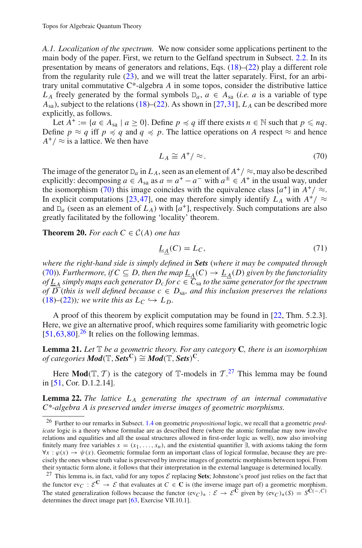<span id="page-36-1"></span>*A.1. Localization of the spectrum.* We now consider some applications pertinent to the main body of the paper. First, we return to the Gelfand spectrum in Subsect. [2.2.](#page-17-3) In its presentation by means of generators and relations, Eqs.  $(18)$ – $(22)$  play a different role from the regularity rule [\(23\)](#page-17-1), and we will treat the latter separately. First, for an arbitrary unital commutative C\*-algebra *A* in some topos, consider the distributive lattice *L<sub>A</sub>* freely generated by the formal symbols  $D_a$ ,  $a \in A_{sa}$  (*i.e. a* is a variable of type  $A_{sa}$ ), subject to the relations [\(18\)](#page-17-0)–[\(22\)](#page-17-0). As shown in [\[27](#page-45-12),[31\]](#page-46-27),  $L_A$  can be described more explicitly, as follows.

Let  $A^+ := \{a \in A_{sa} \mid a \ge 0\}$ . Define  $p \preccurlyeq q$  iff there exists  $n \in \mathbb{N}$  such that  $p \leq nq$ . Define  $p \approx q$  iff  $p \preccurlyeq q$  and  $q \preccurlyeq p$ . The lattice operations on *A* respect  $\approx$  and hence  $A^+$  /  $\approx$  is a lattice. We then have

$$
L_A \cong A^+ / \approx. \tag{70}
$$

<span id="page-36-3"></span>The image of the generator  $D_a$  in  $L_A$ , seen as an element of  $A^+$  /  $\approx$ , may also be described explicitly: decomposing  $a \in A_{sa}$  as  $a = a^+ - a^-$  with  $a^{\pm} \in A^+$  in the usual way, under the isomorphism [\(70\)](#page-36-3) this image coincides with the equivalence class  $[a^+]$  in  $A^+$  /  $\approx$ . In explicit computations [\[23,](#page-45-24)[47\]](#page-46-25), one may therefore simply identify  $L_A$  with  $A^+$  /  $\approx$ and  $D_a$  (seen as an element of  $L_A$ ) with  $[a^+]$ , respectively. Such computations are also greatly facilitated by the following 'locality' theorem.

## <span id="page-36-2"></span>**Theorem 20.** For each  $C \in C(A)$  one has

$$
\underline{L}_{\underline{A}}(C) = L_C,\tag{71}
$$

<span id="page-36-7"></span>*where the right-hand side is simply defined in Sets* (*where it may be computed through* [\(70\)](#page-36-3)). Furthermore, if  $C \subseteq D$ , then the map  $\underline{L_A}(C) \to \underline{L_A}(D)$  given by the functoriality *of L <sup>A</sup> simply maps each generator Dc for c* ∈ *C*sa *to the same generator for the spectrum of*  $\overline{D}$  (*this is well defined because*  $c \in D_{sa}$ *, and this inclusion preserves the relations*  $(18)$ – $(22)$ )*; we write this as*  $L_C \hookrightarrow L_D$ .

A proof of this theorem by explicit computation may be found in [\[22](#page-45-25), Thm. 5.2.3]. Here, we give an alternative proof, which requires some familiarity with geometric logic  $[51,63,80]$  $[51,63,80]$  $[51,63,80]$  $[51,63,80]$ <sup>[26](#page-36-4)</sup> It relies on the following lemmas.

<span id="page-36-0"></span>**Lemma 21.** *Let* T *be a geometric theory. For any category* **C***, there is an isomorphism of categories*  $Mod(T, Sets^C) \cong Mod(T, Sets)^C$ *.* 

<span id="page-36-6"></span>Here **Mod**( $T$ ,  $T$ ) is the category of  $T$ -models in  $T$ .<sup>[27](#page-36-5)</sup> This lemma may be found in [\[51](#page-46-7), Cor. D.1.2.14].

**Lemma 22.** *The lattice L <sup>A</sup> generating the spectrum of an internal commutative C\*-algebra A is preserved under inverse images of geometric morphisms.*

<span id="page-36-4"></span><sup>26</sup> Further to our remarks in Subsect. [1.4](#page-6-1) on geometric *propositional* logic, we recall that a geometric *predicate* logic is a theory whose formulae are as described there (where the atomic formulae may now involve relations and equalities and all the usual structures allowed in first-order logic as well), now also involving finitely many free variables  $x = (x_1, \ldots, x_n)$ , and the existential quantifier  $\exists$ , with axioms taking the form  $\forall x : \varphi(x) \rightarrow \psi(x)$ . Geometric formulae form an important class of logical formulae, because they are precisely the ones whose truth value is preserved by inverse images of geometric morphisms between topoi. From their syntactic form alone, it follows that their interpretation in the external language is determined locally.

<span id="page-36-5"></span><sup>27</sup> This lemma is, in fact, valid for any topos *<sup>E</sup>* replacing **Sets**; Johnstone's proof just relies on the fact that the functor  $ev_C : \mathcal{E}^C \to \mathcal{E}$  that evaluates at  $C \in \mathbf{C}$  is (the inverse image part of) a geometric morphism. The stated generalization follows because the functor  $(ev_C)_* : \mathcal{E} \to \mathcal{E}^{\tilde{C}}$  given by  $(ev_C)_*(S) = S^{\tilde{C}(-,C)}$ determines the direct image part [\[63,](#page-47-2) Exercise VII.10.1].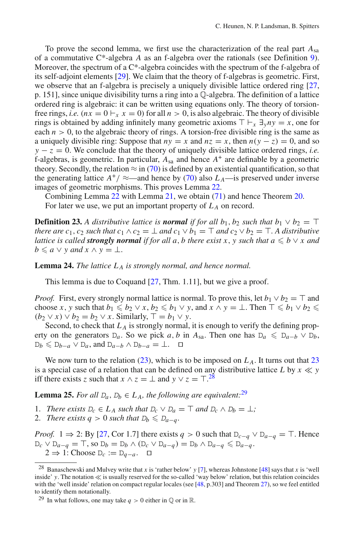To prove the second lemma, we first use the characterization of the real part *A*sa of a commutative C\*-algebra *A* as an f-algebra over the rationals (see Definition [9\)](#page-25-2). Moreover, the spectrum of a C<sup>\*</sup>-algebra coincides with the spectrum of the f-algebra of its self-adjoint elements [\[29\]](#page-45-13). We claim that the theory of f-algebras is geometric. First, we observe that an f-algebra is precisely a uniquely divisible lattice ordered ring [\[27](#page-45-12), p. 151], since unique divisibility turns a ring into a Q-algebra. The definition of a lattice ordered ring is algebraic: it can be written using equations only. The theory of torsionfree rings, *i.e.*  $(nx = 0 \, | \, x = 0)$  for all  $n > 0$ , is also algebraic. The theory of divisible rings is obtained by adding infinitely many geometric axioms  $\top \vdash_x \exists_y ny = x$ , one for each  $n > 0$ , to the algebraic theory of rings. A torsion-free divisible ring is the same as a uniquely divisible ring: Suppose that  $ny = x$  and  $nz = x$ , then  $n(y - z) = 0$ , and so  $y - z = 0$ . We conclude that the theory of uniquely divisible lattice ordered rings, *i.e.* f-algebras, is geometric. In particular,  $A_{sa}$  and hence  $A^+$  are definable by a geometric theory. Secondly, the relation  $\approx$  in [\(70\)](#page-36-3) is defined by an existential quantification, so that the generating lattice  $A^+$ /  $\approx$ —and hence by [\(70\)](#page-36-3) also  $L_A$ —is preserved under inverse images of geometric morphisms. This proves Lemma [22.](#page-36-6)

Combining Lemma [22](#page-36-6) with Lemma [21,](#page-36-0) we obtain [\(71\)](#page-36-7) and hence Theorem [20.](#page-36-2) For later we use, we put an important property of  $L_A$  on record.

**Definition 23.** *A distributive lattice is normal if for all*  $b_1$ *,*  $b_2$  *such that*  $b_1 \vee b_2 = \top$ *there are c*<sub>1</sub>, *c*<sub>2</sub> *such that c*<sub>1</sub>  $\wedge$  *c*<sub>2</sub> =  $\perp$  *and c*<sub>1</sub>  $\vee$  *b*<sub>1</sub> =  $\top$  *and c*<sub>2</sub>  $\vee$  *b*<sub>2</sub> =  $\top$ *. A distributive lattice is called strongly normal if for all a, b there exist x, y such that*  $a \leq b \vee x$  *and*  $b \leq a \vee y$  and  $x \wedge y = \bot$ .

**Lemma 24.** *The lattice L <sup>A</sup> is strongly normal, and hence normal.*

This lemma is due to Coquand [\[27,](#page-45-12) Thm. 1.11], but we give a proof.

*Proof.* First, every strongly normal lattice is normal. To prove this, let  $b_1 \vee b_2 = \top$  and choose *x*, *y* such that  $b_1 \leq b_2 \vee x$ ,  $b_2 \leq b_1 \vee y$ , and  $x \wedge y = \bot$ . Then  $\top \leq b_1 \vee b_2 \leq$  $(b_2 \vee x) \vee b_2 = b_2 \vee x$ . Similarly,  $\top = b_1 \vee y$ .

Second, to check that  $L_A$  is strongly normal, it is enough to verify the defining property on the generators  $D_a$ . So we pick *a*, *b* in  $A_{sa}$ . Then one has  $D_a \le D_{a-b} \vee D_b$ ,  $D_b \le D_{b-a} \vee D_a$ , and  $D_{a-b} \wedge D_{b-a} = \perp$ .  $\Box$ 

We now turn to the relation  $(23)$ , which is to be imposed on  $L_A$ . It turns out that  $23$ is a special case of a relation that can be defined on any distributive lattice *L* by  $x \ll y$ iff there exists *z* such that  $x \wedge z = \perp$  and  $y \vee z = \top$ .<sup>[28](#page-37-0)</sup>

<span id="page-37-2"></span>**Lemma 25.** *For all*  $D_a$ ,  $D_b \in L_A$ , *the following are equivalent:*<sup>[29](#page-37-1)</sup>

- 1. *There exists*  $D_c \in L_A$  *such that*  $D_c \vee D_a = \top$  *and*  $D_c \wedge D_b = \bot$ *;*
- 2. *There exists*  $q > 0$  *such that*  $D_b \leq D_{a-q}$ .

*Proof.* 1  $\Rightarrow$  2: By [\[27,](#page-45-12) Cor 1.7] there exists *q* > 0 such that  $D_{c-q} \vee D_{a-q} = T$ . Hence  $D_c \vee D_{a-q} = \top$ , so  $D_b = D_b \wedge (D_c \vee D_{a-q}) = D_b \wedge D_{a-q} \leq D_{a-q}$ . 2  $\Rightarrow$  1: Choose  $D_c := D_{a-a}$ .  $\Box$ 

<span id="page-37-0"></span><sup>&</sup>lt;sup>28</sup> Banaschewski and Mulvey write that *x* is 'rather below' *y* [\[7](#page-45-11)], whereas Johnstone [\[48](#page-46-9)] says that *x* is 'well inside'  $y$ . The notation  $\ll$  is usually reserved for the so-called 'way below' relation, but this relation coincides with the 'well inside' relation on compact regular locales (see [\[48](#page-46-9), p.303] and Theorem [27\)](#page-39-0), so we feel entitled to identify them notationally.

<span id="page-37-1"></span><sup>&</sup>lt;sup>29</sup> In what follows, one may take  $q > 0$  either in  $\mathbb{Q}$  or in  $\mathbb{R}$ .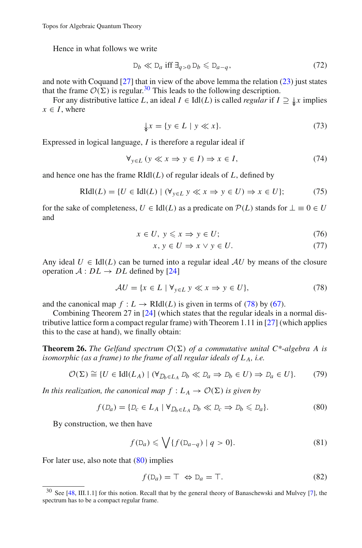Hence in what follows we write

$$
D_b \ll D_a \text{ iff } \exists_{q>0} D_b \leq D_{a-q}, \tag{72}
$$

and note with Coquand  $[27]$  that in view of the above lemma the relation  $(23)$  just states that the frame  $\mathcal{O}(\Sigma)$  is regular.<sup>30</sup> This leads to the following description.

For any distributive lattice *L*, an ideal  $I \in \text{Idl}(L)$  is called *regular* if  $I \supseteq \int \mathcal{L}x$  implies  $x \in I$ , where

$$
\downarrow x = \{ y \in L \mid y \ll x \}. \tag{73}
$$

Expressed in logical language, *I* is therefore a regular ideal if

$$
\forall_{y \in L} (y \ll x \Rightarrow y \in I) \Rightarrow x \in I,
$$
\n(74)

and hence one has the frame  $RIdI(L)$  of regular ideals of  $L$ , defined by

<span id="page-38-6"></span>
$$
\text{RIdl}(L) = \{ U \in \text{Idl}(L) \mid (\forall_{y \in L} \ y \ll x \Rightarrow y \in U) \Rightarrow x \in U \};\tag{75}
$$

for the sake of completeness,  $U \in \text{Idl}(L)$  as a predicate on  $\mathcal{P}(L)$  stands for  $\bot \equiv 0 \in U$ and

$$
x \in U, \ y \leqslant x \Rightarrow y \in U; \tag{76}
$$

$$
x, y \in U \Rightarrow x \lor y \in U. \tag{77}
$$

Any ideal  $U \in \text{Id}(L)$  can be turned into a regular ideal  $AU$  by means of the closure operation  $A: DL \rightarrow DL$  defined by [\[24\]](#page-45-26)

$$
\mathcal{A}U = \{x \in L \mid \forall_{y \in L} y \ll x \Rightarrow y \in U\},\tag{78}
$$

<span id="page-38-1"></span>and the canonical map  $f: L \to \text{RIdl}(L)$  is given in terms of [\(78\)](#page-38-1) by [\(67\)](#page-35-0).

Combining Theorem 27 in [\[24\]](#page-45-26) (which states that the regular ideals in a normal distributive lattice form a compact regular frame) with Theorem 1.11 in [\[27](#page-45-12)] (which applies this to the case at hand), we finally obtain:

**Theorem 26.** *The Gelfand spectrum*  $\mathcal{O}(\Sigma)$  *of a commutative unital*  $C^*$ -algebra A is *isomorphic (as a frame) to the frame of all regular ideals of L A, i.e.*

$$
\mathcal{O}(\Sigma) \cong \{ U \in \text{Idl}(L_A) \mid (\forall_{D_b \in L_A} D_b \ll D_a \Rightarrow D_b \in U) \Rightarrow D_a \in U \}. \tag{79}
$$

<span id="page-38-3"></span><span id="page-38-2"></span>*In this realization, the canonical map*  $f: L_A \to \mathcal{O}(\Sigma)$  *is given by* 

$$
f(D_a) = \{D_c \in L_A \mid \forall D_b \in L_A D_b \ll D_c \Rightarrow D_b \le D_a\}.
$$
\n
$$
(80)
$$

<span id="page-38-4"></span>By construction, we then have

$$
f(\mathsf{D}_a) \leqslant \bigvee \{ f(\mathsf{D}_{a-q}) \mid q > 0 \}. \tag{81}
$$

For later use, also note that  $(80)$  implies

$$
f(\mathbf{D}_a) = \top \Leftrightarrow \mathbf{D}_a = \top. \tag{82}
$$

<span id="page-38-5"></span><span id="page-38-0"></span><sup>30</sup> See [\[48,](#page-46-9) III.1.1] for this notion. Recall that by the general theory of Banaschewski and Mulvey [\[7\]](#page-45-11), the spectrum has to be a compact regular frame.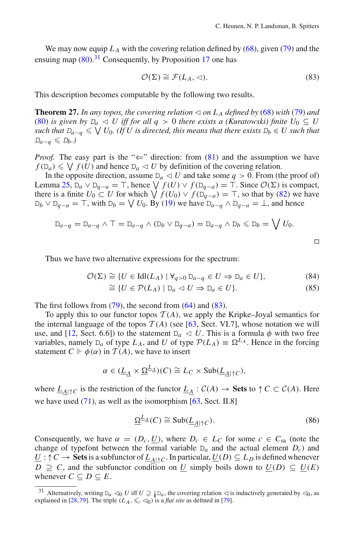We may now equip  $L_A$  with the covering relation defined by  $(68)$ , given [\(79\)](#page-38-3) and the ensuing map  $(80)$ <sup>[31](#page-39-1)</sup> Consequently, by Proposition [17](#page-35-7) one has

$$
\mathcal{O}(\Sigma) \cong \mathcal{F}(L_A, \triangleleft). \tag{83}
$$

<span id="page-39-2"></span><span id="page-39-0"></span>This description becomes computable by the following two results.

**Theorem 27.** *In any topos, the covering relation*  $\triangleleft$  *on*  $L_A$  *defined by* [\(68\)](#page-35-6) *with* [\(79\)](#page-38-3) *and* [\(80\)](#page-38-2) *is given by*  $D_q \leq U$  *iff for all*  $q > 0$  *there exists a (Kuratowski) finite*  $U_0 \subseteq U$  $s$ uch that  $D_{a-q}\leqslant\bigvee U_0.$  (If  $U$  is directed, this means that there exists  $D_b\in U$  such that  $D_{a-q} \leqslant D_b$ .)

*Proof.* The easy part is the " $\Leftarrow$ " direction: from [\(81\)](#page-38-4) and the assumption we have  $f(D_a) \leq \bigvee f(U)$  and hence  $D_a \lhd U$  by definition of the covering relation.

In the opposite direction, assume  $D_a \lhd U$  and take some  $q > 0$ . From (the proof of) Lemma [25,](#page-37-2) D<sub>a</sub> ∨ D<sub>q−</sub>*a* =  $\top$ , hence  $\bigvee f(U) \vee f(D_{q-a}) = \top$ . Since  $\mathcal{O}(\Sigma)$  is compact, there is a finite  $U_0 \subset U$  for which  $\bigvee f(U_0) \vee f(\mathcal{D}_{q-a}) = \top$ , so that by [\(82\)](#page-38-5) we have  $D_b \vee D_{q-a} = \top$ , with  $D_b = \bigvee U_0$ . By [\(19\)](#page-17-0) we have  $D_{a-q} \wedge D_{q-a} = \bot$ , and hence

$$
D_{a-q} = D_{a-q} \wedge \top = D_{a-q} \wedge (D_b \vee D_{q-a}) = D_{a-q} \wedge D_b \le D_b = \bigvee U_0.
$$

 $\Box$ 

<span id="page-39-3"></span>Thus we have two alternative expressions for the spectrum:

$$
\mathcal{O}(\Sigma) \cong \{ U \in \text{Idl}(L_A) \mid \forall_{q>0} \, \mathbb{D}_{a-q} \in U \Rightarrow \mathbb{D}_a \in U \},\tag{84}
$$

$$
\cong \{ U \in \mathcal{P}(L_A) \mid \mathbb{D}_a \lhd U \Rightarrow \mathbb{D}_a \in U \}. \tag{85}
$$

The first follows from  $(79)$ , the second from  $(64)$  and  $(83)$ .

To apply this to our functor topos  $T(A)$ , we apply the Kripke–Joyal semantics for the internal language of the topos  $T(A)$  (see [\[63,](#page-47-2) Sect. VI.7], whose notation we will use, and [\[12](#page-45-8), Sect. 6.6]) to the statement  $D_a \triangleleft U$ . This is a formula  $\phi$  with two free variables, namely  $D_a$  of type  $L_A$ , and *U* of type  $\mathcal{P}(L_A) \equiv \Omega^{L_A}$ . Hence in the forcing statement  $C \Vdash \phi(\alpha)$  in  $\mathcal{T}(A)$ , we have to insert

$$
\alpha \in (\underline{L}_\underline{A} \times \underline{\Omega}^{\underline{L}_\underline{A}})(C) \cong L_C \times \text{Sub}(\underline{L}_{\underline{A}|\uparrow C}),
$$

where  $L_{A|\uparrow}C$  is the restriction of the functor  $L_A : C(A) \to \textbf{Sets}$  to  $\uparrow C \subset C(A)$ . Here we have used  $(71)$ , as well as the isomorphism  $[63, Sect. II.8]$  $[63, Sect. II.8]$ 

$$
\underline{\Omega}^{\underline{L}_{\underline{A}}}(C) \cong \text{Sub}(\underline{L}_{\underline{A}|\uparrow C}).\tag{86}
$$

<span id="page-39-4"></span>Consequently, we have  $\alpha = (D_c, U)$ , where  $D_c \in L_c$  for some  $c \in C_{sa}$  (note the change of typefont between the formal variable  $D_a$  and the actual element  $D_c$ ) and *U* : ↑ *C* → **Sets** is a subfunctor of  $L_{A|\uparrow}C$ . In particular,  $U(D) \subseteq L_D$  is defined whenever *D* ⊇ *C*, and the subfunctor condition on *U* simply boils down to  $U(D)$  ⊆  $U(E)$ whenever  $C \subseteq D \subseteq E$ .

<span id="page-39-1"></span><sup>&</sup>lt;sup>31</sup> Alternatively, writing  $D_a \lhd_0 U$  iff  $U \supseteq \oint D_a$ , the covering relation  $\lhd$  is inductively generated by  $\lhd_0$ , as explained in [\[28](#page-45-27)[,79](#page-47-19)]. The triple  $(L_A, \leq, \leq_0)$  is a *flat site* as defined in [\[79](#page-47-19)].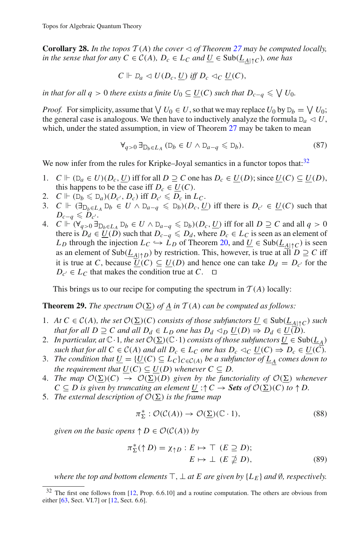<span id="page-40-3"></span>**Corollary 28.** In the topos  $T(A)$  the cover  $\triangleleft$  of Theorem [27](#page-39-0) may be computed locally, *in the sense that for any*  $C \in C(A)$ *,*  $D_c \in L_C$  *and*  $\underline{U} \in Sub(\underline{L}_{A \upharpoonright C})$ *, one has* 

$$
C \Vdash D_a \vartriangleleft U(D_c, \underline{U}) \text{ iff } D_c \vartriangleleft_C \underline{U}(C),
$$

*in that for all*  $q > 0$  *there exists a finite*  $U_0 \subseteq \underline{U}(C)$  *such that*  $D_{c-q} \leqslant \bigvee U_0$ *.* 

*Proof.* For simplicity, assume that  $\bigvee U_0 \in U$ , so that we may replace  $U_0$  by  $D_b = \bigvee U_0$ ; the general case is analogous. We then have to inductively analyze the formula  $D<sub>a</sub> \triangleleft U$ , which, under the stated assumption, in view of Theorem [27](#page-39-0) may be taken to mean

$$
\forall_{q>0} \,\exists_{\mathcal{D}_b \in L_A} \, (\mathcal{D}_b \in U \land \mathcal{D}_{a-q} \leq \mathcal{D}_b). \tag{87}
$$

We now infer from the rules for Kripke–Joyal semantics in a functor topos that: $32$ 

- 1. *C*  $V$  ( $D_a \in U$ )( $D_c$ , *U*) iff for all  $D \supseteq C$  one has  $D_c \in U(D)$ ; since  $U(C) \subseteq U(D)$ , this happens to be the case iff  $D_c \in U(C)$ .
- 2.  $C \Vdash (\mathbb{D}_b \leq \mathbb{D}_a)(D_{c'}, D_c) \text{ iff } D_{c'} \leq D_c \text{ in } L_c.$
- 3. *C*  $\Vdash (\exists_{D_b \in L_A} D_b \in U \land D_{a-q} \leq D_b)(D_c, \underline{U})$  iff there is  $D_{c'} \in \underline{U}(C)$  such that  $D_{c-q} \leqslant D_{c^{\prime}}.$
- 4. *C*  $\Vdash (\forall_{q>0} \exists_{\mathcal{D}_b \in L_A} \mathcal{D}_b \in U \land \mathcal{D}_{a-q} \leq \mathcal{D}_b)(D_c, U)$  iff for all *D* ⊇ *C* and all *q* > 0 there is  $D_d \in \underline{U}(D)$  such that  $D_{c-q} \leq D_d$ , where  $D_c \in L_C$  is seen as an element of *L*<sub>D</sub> through the injection  $L_C \hookrightarrow L_D$  of Theorem [20,](#page-36-2) and  $\underline{U} \in Sub(\underline{L}_{A \upharpoonright C})$  is seen as an element of  $\text{Sub}(\underline{L}_{A|\uparrow D})$  by restriction. This, however, is true at all  $D \supseteq C$  iff it is true at *C*, because  $U(C) \subseteq U(D)$  and hence one can take  $D_d = D_{c'}$  for the  $D_{c'}$  ∈  $L_C$  that makes the condition true at  $C$ .  $\Box$

This brings us to our recipe for computing the spectrum in  $T(A)$  locally:

<span id="page-40-1"></span>**Theorem 29.** *The spectrum*  $\mathcal{O}(\Sigma)$  *of* <u>*A*</u> *in*  $\mathcal{T}(A)$  *can be computed as follows:* 

- 1. *At*  $C \in C(A)$ *, the set*  $\mathcal{O}(\Sigma)(C)$  *consists of those subfunctors*  $\underline{U} \in Sub(\underline{L}_{\underline{A}|\uparrow C})$  *such that for all*  $D \supseteq C$  *and all*  $D_d \in L_D$  *one has*  $D_d \triangleleft_D \underline{U}(D) \Rightarrow D_d \in \underline{U}(D)$ *.*
- 2. *In particular, at*  $\mathbb{C} \cdot 1$ *, the set*  $\mathcal{O}(\Sigma)(\mathbb{C} \cdot 1)$  *consists of those subfunctors*  $\underline{U} \in Sub(\underline{L}_{\underline{A}})$ *such that for all*  $C \in C(A)$  *and all*  $D_c \in L_C$  *one has*  $D_c \lhd_C \underline{U}(C) \Rightarrow D_c \in \underline{U}(\overline{C})$ *.*
- 3. *The condition that*  $\underline{U} = {\underline{U}(C) \subseteq L_C}_{C \in C(A)}$  *be a subfunctor of*  $\underline{L}_A$  *comes down to the requirement that*  $U(C) \subseteq U(D)$  *whenever*  $C \subseteq D$ *.*
- 4. *The map*  $\mathcal{O}(\Sigma)(C) \rightarrow \mathcal{O}(\Sigma)(D)$  *given by the functoriality of*  $\mathcal{O}(\Sigma)$  *whenever C* ⊆ *D* is given by truncating an element <u>U</u> :↑ *C* → **Sets** of  $\mathcal{O}(\Sigma)(C)$  to ↑ *D*.
- 5. The external description of  $\mathcal{O}(\Sigma)$  is the frame map

$$
\pi_{\Sigma}^* : \mathcal{O}(\mathcal{C}(A)) \to \mathcal{O}(\Sigma)(\mathbb{C} \cdot 1),\tag{88}
$$

<span id="page-40-4"></span><span id="page-40-0"></span>*given on the basic opens*  $\uparrow$  *D*  $\in$   $\mathcal{O}(\mathcal{C}(A))$  *by* 

$$
\pi_{\Sigma}^{*}(\uparrow D) = \chi_{\uparrow D} : E \mapsto \top \ (E \supseteq D);
$$
  

$$
E \mapsto \bot \ (E \supsetneq D), \tag{89}
$$

*where the top and bottom elements*  $\top$ ,  $\bot$  *at E are given by* { $L_F$ } *and* Ø, *respectively.* 

<span id="page-40-2"></span><sup>32</sup> The first one follows from [\[12,](#page-45-8) Prop. 6.6.10] and a routine computation. The others are obvious from either [\[63](#page-47-2), Sect. VI.7] or [\[12](#page-45-8), Sect. 6.6].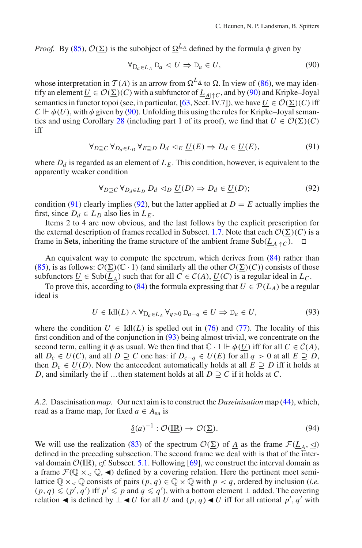<span id="page-41-1"></span>*Proof.* By [\(85\)](#page-39-3),  $O(\Sigma)$  is the subobject of  $\Omega^{L_{\Delta}}$  defined by the formula  $\phi$  given by

$$
\forall_{D_a \in L_A} D_a \lhd U \Rightarrow D_a \in U,\tag{90}
$$

whose interpretation in  $T(A)$  is an arrow from  $\Omega^{\underline{L}_A}$  to  $\Omega$ . In view of [\(86\)](#page-39-4), we may identify an element  $\underline{U} \in \mathcal{O}(\underline{\Sigma})(C)$  with a subfunctor of  $\underline{L}_{\underline{A}|\uparrow C}$ , and by [\(90\)](#page-41-1) and Kripke–Joyal semantics in functor topoi (see, in particular, [\[63](#page-47-2), Sect. IV.7]), we have  $\underline{U} \in \mathcal{O}(\Sigma)(C)$  iff  $C \Vdash \phi(U)$ , with  $\phi$  given by [\(90\)](#page-41-1). Unfolding this using the rules for Kripke–Joyal seman-tics and using Corollary [28](#page-40-3) (including part 1 of its proof), we find that  $\underline{U} \in \mathcal{O}(\underline{\Sigma})(C)$ iff

$$
\forall_{D \supseteq C} \, \forall_{D_d \in L_D} \, \forall_{E \supseteq D} \, D_d \, \triangleleft_E \, \underline{U}(E) \Rightarrow D_d \in \underline{U}(E),\tag{91}
$$

<span id="page-41-2"></span>where  $D_d$  is regarded as an element of  $L_F$ . This condition, however, is equivalent to the apparently weaker condition

$$
\forall_{D \supseteq C} \, \forall_{D_d \in L_D} \, D_d \, \triangleleft_D \, \underline{U}(D) \Rightarrow D_d \in \underline{U}(D); \tag{92}
$$

<span id="page-41-3"></span>condition [\(91\)](#page-41-2) clearly implies [\(92\)](#page-41-3), but the latter applied at  $D = E$  actually implies the first, since  $D_d \in L_D$  also lies in  $L_E$ .

Items 2 to 4 are now obvious, and the last follows by the explicit prescription for the external description of frames recalled in Subsect. [1.7.](#page-10-1) Note that each  $\mathcal{O}(\Sigma)(C)$  is a frame in Sets, inheriting the frame structure of the ambient frame  $Sub(\underline{L}_{A|\uparrow C})$ .  $\Box$ 

An equivalent way to compute the spectrum, which derives from [\(84\)](#page-39-3) rather than [\(85\)](#page-39-3), is as follows:  $O(\Sigma)(\mathbb{C} \cdot 1)$  (and similarly all the other  $O(\Sigma)(C)$ ) consists of those subfunctors  $\underline{U} \in Sub(\underline{L}_A)$  such that for all  $C \in C(A)$ ,  $\underline{U}(C)$  is a regular ideal in  $L_C$ .

To prove this, according to [\(84\)](#page-39-3) the formula expressing that  $U \in \mathcal{P}(L_A)$  be a regular ideal is

$$
U \in \text{Idl}(L) \land \forall_{\mathcal{D}_a \in L_A} \forall_{q>0} \mathcal{D}_{a-q} \in U \Rightarrow \mathcal{D}_a \in U,
$$
\n
$$
(93)
$$

<span id="page-41-4"></span>where the condition  $U \in \text{Id}(L)$  is spelled out in [\(76\)](#page-38-6) and [\(77\)](#page-38-6). The locality of this first condition and of the conjunction in [\(93\)](#page-41-4) being almost trivial, we concentrate on the second term, calling it  $\phi$  as usual. We then find that  $\mathbb{C} \cdot 1 \Vdash \phi(U)$  iff for all  $C \in \mathcal{C}(A)$ , all *D<sub>c</sub>* ∈  $\underline{U}(C)$ , and all *D* ⊇ *C* one has: if  $D_{c-q}$  ∈  $\underline{U}(E)$  for all *q* > 0 at all *E* ≥ *D*, then  $D_c \in U(D)$ . Now the antecedent automatically holds at all  $E \supseteq D$  iff it holds at *D*, and similarly the if …then statement holds at all  $D \supseteq C$  if it holds at *C*.

<span id="page-41-0"></span>*A.2.* Daseinisation *map.* Our next aim is to construct the *Daseinisation* map [\(44\)](#page-29-2), which, read as a frame map, for fixed  $a \in A_{sa}$  is

$$
\underline{\delta}(a)^{-1} : \mathcal{O}(\underline{\mathbb{R}}) \to \mathcal{O}(\underline{\Sigma}).\tag{94}
$$

<span id="page-41-5"></span>We will use the realization [\(83\)](#page-39-2) of the spectrum  $\mathcal{O}(\Sigma)$  of <u>*A*</u> as the frame  $\mathcal{F}(\underline{L}_A, \leq)$ defined in the preceding subsection. The second frame we deal with is that of the interval domain  $\mathcal{O}(\mathbb{IR})$ , *cf.* Subsect. [5.1.](#page-29-0) Following [\[69](#page-47-18)], we construct the interval domain as a frame  $\mathcal{F}(\mathbb{O} \times_{\leq} \mathbb{O}, \blacktriangleleft)$  defined by a covering relation. Here the pertinent meet semilattice  $\mathbb{Q} \times_{\leq} \mathbb{Q}$  consists of pairs  $(p, q) \in \mathbb{Q} \times \mathbb{Q}$  with  $p < q$ , ordered by inclusion (*i.e.*)  $(p, q) \leqslant (p', q')$  iff  $p' \leqslant p$  and  $q \leqslant q'$ ), with a bottom element  $\perp$  added. The covering relation  $\blacktriangleleft$  is defined by  $\bot \blacktriangleleft U$  for all *U* and  $(p, q) \blacktriangleleft U$  iff for all rational  $p'$ ,  $q'$  with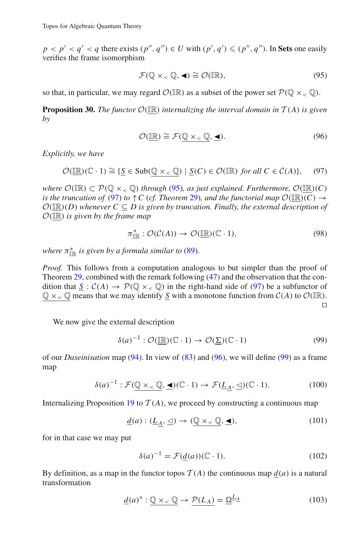$p < p' < q' < q$  there exists  $(p'', q'') \in U$  with  $(p', q') \leqslant (p'', q'')$ . In Sets one easily verifies the frame isomorphism

$$
\mathcal{F}(\mathbb{Q}\times_{<}\mathbb{Q},\blacktriangleleft)\cong\mathcal{O}(\mathbb{IR}),\tag{95}
$$

<span id="page-42-0"></span>so that, in particular, we may regard  $\mathcal{O}(\mathbb{IR})$  as a subset of the power set  $\mathcal{P}(\mathbb{Q} \times_{\leq} \mathbb{Q})$ .

**Proposition 30.** The functor  $\mathcal{O}(\mathbb{R})$  internalizing the interval domain in  $T(A)$  is given *by*

$$
\mathcal{O}(\underline{\mathbb{IR}}) \cong \mathcal{F}(\underline{\mathbb{Q}} \times_{\leq} \underline{\mathbb{Q}}, \underline{\blacktriangleleft}). \tag{96}
$$

<span id="page-42-1"></span>*Explicitly, we have*

<span id="page-42-2"></span>
$$
\mathcal{O}(\underline{\mathbb{IR}})(\mathbb{C} \cdot 1) \cong \{ \underline{S} \in \text{Sub}(\underline{\mathbb{Q}} \times_{\leq} \underline{\mathbb{Q}}) \mid \underline{S}(C) \in \mathcal{O}(\mathbb{IR}) \text{ for all } C \in \mathcal{C}(A) \},\tag{97}
$$

*where*  $\mathcal{O}(\mathbb{IR}) \subset \mathcal{P}(\mathbb{Q} \times_{\leq} \mathbb{Q})$  *through* [\(95\)](#page-42-0)*, as just explained. Furthermore,*  $\mathcal{O}(\mathbb{IR})(C)$ *is the truncation of* [\(97\)](#page-42-1) *to*  $\uparrow$  *C* (*cf. Theorem* [29\)](#page-40-1)*, and the functorial map*  $\mathcal{O}(\mathbb{R})(C) \rightarrow$  $O(\mathbb{IR})(D)$  whenever  $C \subseteq D$  is given by truncation. Finally, the external description of *<sup>O</sup>*(IR) *is given by the frame map*

$$
\pi_{\mathbb{IR}}^* : \mathcal{O}(\mathcal{C}(A)) \to \mathcal{O}(\mathbb{IR})(\mathbb{C} \cdot 1), \tag{98}
$$

where  $\pi^*_{\mathbb{IR}}$  is given by a formula similar to [\(89\)](#page-40-4).

*Proof.* This follows from a computation analogous to but simpler than the proof of Theorem [29,](#page-40-1) combined with the remark following [\(47\)](#page-30-8) and the observation that the condition that  $S : C(A) \to \mathcal{P}(\mathbb{Q} \times_{\leq} \mathbb{Q})$  in the right-hand side of [\(97\)](#page-42-1) be a subfunctor of  $\mathbb{Q} \times_{\leq} \mathbb{Q}$  means that we may identify <u>S</u> with a monotone function from  $\mathcal{C}(A)$  to  $\mathcal{O}(\mathbb{IR})$ .  $\Box$ 

<span id="page-42-3"></span>We now give the external description

$$
\delta(a)^{-1} : \mathcal{O}(\underline{\mathbb{R}})(\mathbb{C} \cdot 1) \to \mathcal{O}(\underline{\Sigma})(\mathbb{C} \cdot 1) \tag{99}
$$

of our *Daseinisation* map [\(94\)](#page-41-5). In view of [\(83\)](#page-39-2) and [\(96\)](#page-42-2), we will define [\(99\)](#page-42-3) as a frame map

$$
\delta(a)^{-1} : \mathcal{F}(\underline{\mathbb{Q}} \times_{\leq} \underline{\mathbb{Q}}, \underline{\blacktriangleleft}) (\mathbb{C} \cdot 1) \to \mathcal{F}(\underline{L}_{\underline{A}}, \underline{\triangleleft}) (\mathbb{C} \cdot 1). \tag{100}
$$

<span id="page-42-6"></span><span id="page-42-4"></span>Internalizing Proposition [19](#page-35-5) to  $T(A)$ , we proceed by constructing a continuous map

$$
\underline{d}(a) : (\underline{L}_{\underline{A}}, \underline{\triangleleft}) \to (\underline{\mathbb{Q}} \times_{\lt} \underline{\mathbb{Q}}, \underline{\blacktriangleleft}), \tag{101}
$$

for in that case we may put

$$
\delta(a)^{-1} = \mathcal{F}(\underline{d}(a))(\mathbb{C} \cdot 1). \tag{102}
$$

<span id="page-42-5"></span>By definition, as a map in the functor topos  $T(A)$  the continuous map  $d(a)$  is a natural transformation

$$
\underline{d}(a)^{*} : \underline{\mathbb{Q} \times_{\lt} \mathbb{Q}} \to \underline{\mathcal{P}(L_A)} = \underline{\Omega}^{\underline{L_A}} \tag{103}
$$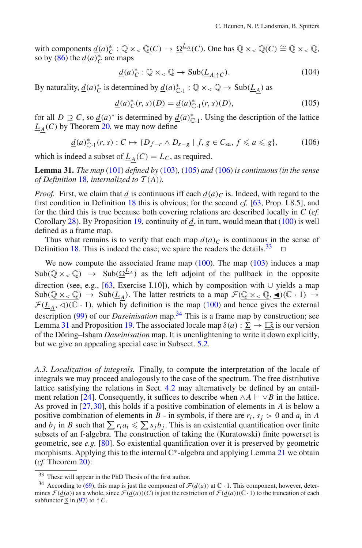with components  $\underline{d}(a)^*_{C} : \underline{\mathbb{Q}} \times_{\leq} \underline{\mathbb{Q}}(C) \to \underline{\Omega}^{\underline{L}_{\underline{A}}}(C)$ . One has  $\underline{\mathbb{Q}} \times_{\leq} \underline{\mathbb{Q}}(C) \cong \mathbb{Q} \times_{\leq} \mathbb{Q}$ , so by  $(86)$  the  $\underline{d}(a)_{C}^{*}$  are maps

$$
\underline{d}(a)^{*}_{C}: \mathbb{Q} \times_{\leq} \mathbb{Q} \to \text{Sub}(\underline{L}_{\underline{A}|\uparrow C}). \tag{104}
$$

By naturality,  $\underline{d}(a)_{C}^{*}$  is determined by  $\underline{d}(a)_{C\cdot 1}^{*} : \mathbb{Q} \times_{\lt} \mathbb{Q} \to Sub(\underline{L}_{\underline{A}})$  as

$$
\underline{d}(a)^{*}_{C}(r,s)(D) = \underline{d}(a)^{*}_{C\cdot 1}(r,s)(D),
$$
\n(105)

<span id="page-43-1"></span>for all *D*  $\supseteq$  *C*, so  $\underline{d}(a)^*$  is determined by  $\underline{d}(a)_{\mathbb{C} \cdot 1}^*$ . Using the description of the lattice  $L_A(C)$  by Theorem [20,](#page-36-2) we may now define

$$
\underline{d}(a)_{\mathbb{C}\cdot 1}^*(r,s):C\mapsto\{D_{f-r}\wedge D_{s-g}\mid f,g\in C_{\text{sa}},\,f\leqslant a\leqslant g\},\qquad(106)
$$

<span id="page-43-4"></span><span id="page-43-0"></span>which is indeed a subset of  $L_A(C) = L_C$ , as required.

**Lemma 31.** *The map* [\(101\)](#page-42-4) *defined by* [\(103\)](#page-42-5)*,* [\(105\)](#page-43-1) *and* [\(106\)](#page-43-0) *is continuous (in the sense of Definition* [18](#page-35-8)*, internalized to*  $T(A)$ *).* 

*Proof.* First, we claim that *d* is continuous iff each  $d(a)_C$  is. Indeed, with regard to the first condition in Definition [18](#page-35-8) this is obvious; for the second *cf.* [\[63](#page-47-2), Prop. I.8.5], and for the third this is true because both covering relations are described locally in *C* (*cf.* Corollary [28\)](#page-40-3). By Proposition [19,](#page-35-5) continuity of *d*, in turn, would mean that [\(100\)](#page-42-6) is well defined as a frame map.

Thus what remains is to verify that each map  $\underline{d}(a)_C$  is continuous in the sense of finition 18. This is indeed the case: we spare the readers the details.<sup>33</sup> Definition [18.](#page-35-8) This is indeed the case; we spare the readers the details. $33$ 

We now compute the associated frame map  $(100)$ . The map  $(103)$  induces a map  $Sub(\mathbb{Q} \times_{\leq} \mathbb{Q}) \rightarrow Sub(\Omega_{\mathbb{A}}^{L_{\mathbb{A}}}$  as the left adjoint of the pullback in the opposite direction (see, e.g., [\[63](#page-47-2), Exercise I.10]), which by composition with ∪ yields a map  $Sub(\mathbb{Q} \times_{\leq} \mathbb{Q}) \rightarrow Sub(\underline{L}_A)$ . The latter restricts to a map  $\mathcal{F}(\mathbb{Q} \times_{\leq} \mathbb{Q}, \blacktriangleleft)(\mathbb{C} \cdot 1) \rightarrow$  $F(\underline{L}_A, \leq)$ ( $\overline{\mathbb{C}} \cdot 1$ ), which by definition is the map [\(100\)](#page-42-6) and hence gives the external description [\(99\)](#page-42-3) of our *Daseinisation* map.<sup>[34](#page-43-3)</sup> This is a frame map by construction; see Lemma [31](#page-43-4) and Proposition [19.](#page-35-5) The associated locale map  $\delta(a)$  :  $\sum \rightarrow \mathbb{IR}$  is our version of the Döring–Isham *Daseinisation* map. It is unenlightening to write it down explicitly, but we give an appealing special case in Subsect. [5.2.](#page-30-0)

*A.3. Localization of integrals.* Finally, to compute the interpretation of the locale of integrals we may proceed analogously to the case of the spectrum. The free distributive lattice satisfying the relations in Sect. [4.2](#page-25-0) may alternatively be defined by an entail-ment relation [\[24](#page-45-26)]. Consequently, it suffices to describe when  $\wedge A \vdash \vee B$  in the lattice. As proved in [\[27](#page-45-12),[30](#page-45-21)], this holds if a positive combination of elements in *A* is below a positive combination of elements in *B* - in symbols, if there are  $r_i$ ,  $s_j > 0$  and  $a_i$  in *A* and  $b_j$  in *B* such that  $\sum r_i a_i \leqslant \sum s_j b_j$ . This is an existential quantification over finite subsets of an f-algebra. The construction of taking the (Kuratowski) finite powerset is geometric, see *e.g.* [\[80\]](#page-47-4). So existential quantification over it is preserved by geometric morphisms. Applying this to the internal C\*-algebra and applying Lemma [21](#page-36-0) we obtain (*cf.* Theorem [20\)](#page-36-2):

<sup>33</sup> These will appear in the PhD Thesis of the first author.

<span id="page-43-3"></span><span id="page-43-2"></span><sup>&</sup>lt;sup>34</sup> According to [\(69\)](#page-35-9), this map is just the component of  $\mathcal{F}(d(a))$  at  $\mathbb{C} \cdot 1$ . This component, however, determines  $\mathcal{F}(d(a))$  as a whole, since  $\mathcal{F}(d(a))(C)$  is just the restriction of  $\mathcal{F}(d(a))(\mathbb{C} \cdot 1)$  to the truncation of each subfunctor  $\underline{S}$  in [\(97\)](#page-42-1) to  $\uparrow C$ .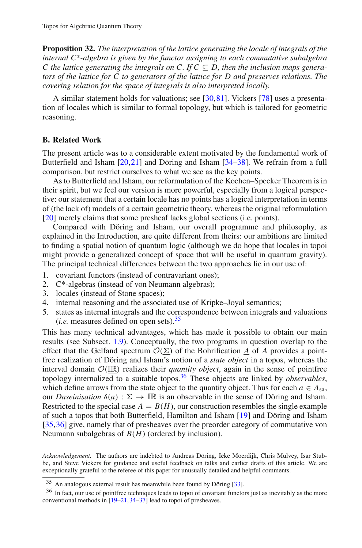**Proposition 32.** *The interpretation of the lattice generating the locale of integrals of the internal C\*-algebra is given by the functor assigning to each commutative subalgebra C* the lattice generating the integrals on C. If  $C \subseteq D$ , then the inclusion maps genera*tors of the lattice for C to generators of the lattice for D and preserves relations. The covering relation for the space of integrals is also interpreted locally.*

A similar statement holds for valuations; see [\[30](#page-45-21),[81\]](#page-47-15). Vickers [\[78\]](#page-47-20) uses a presentation of locales which is similar to formal topology, but which is tailored for geometric reasoning.

# <span id="page-44-0"></span>**B. Related Work**

The present article was to a considerable extent motivated by the fundamental work of Butterfield and Isham [\[20](#page-45-4)[,21](#page-45-28)] and Döring and Isham [\[34](#page-46-3)[–38](#page-46-4)]. We refrain from a full comparison, but restrict ourselves to what we see as the key points.

As to Butterfield and Isham, our reformulation of the Kochen–Specker Theorem is in their spirit, but we feel our version is more powerful, especially from a logical perspective: our statement that a certain locale has no points has a logical interpretation in terms of (the lack of) models of a certain geometric theory, whereas the original reformulation [\[20\]](#page-45-4) merely claims that some presheaf lacks global sections (i.e. points).

Compared with Döring and Isham, our overall programme and philosophy, as explained in the Introduction, are quite different from theirs: our ambitions are limited to finding a spatial notion of quantum logic (although we do hope that locales in topoi might provide a generalized concept of space that will be useful in quantum gravity). The principal technical differences between the two approaches lie in our use of:

- 1. covariant functors (instead of contravariant ones);
- 2. C\*-algebras (instead of von Neumann algebras);
- 3. locales (instead of Stone spaces);
- 4. internal reasoning and the associated use of Kripke–Joyal semantics;
- 5. states as internal integrals and the correspondence between integrals and valuations (*i.e.* measures defined on open sets).[35](#page-44-1)

This has many technical advantages, which has made it possible to obtain our main results (see Subsect. [1.9\)](#page-15-3). Conceptually, the two programs in question overlap to the effect that the Gelfand spectrum  $\mathcal{O}(\Sigma)$  of the Bohrification  $\underline{A}$  of *A* provides a pointfree realization of Döring and Isham's notion of a *state object* in a topos, whereas the interval domain  $O(\mathbb{IR})$  realizes their *quantity object*, again in the sense of pointfree topology internalized to a suitable topos[.36](#page-44-2) These objects are linked by *observables*, which define arrows from the state object to the quantity object. Thus for each  $a \in A_{sa}$ , our *Daseinisation*  $\delta(a)$ :  $\Sigma \rightarrow \mathbb{IR}$  is an observable in the sense of Döring and Isham. Restricted to the special case  $A = B(H)$ , our construction resembles the single example of such a topos that both Butterfield, Hamilton and Isham [\[19\]](#page-45-29) and Döring and Isham [\[35](#page-46-17)[,36](#page-46-18)] give, namely that of presheaves over the preorder category of commutative von Neumann subalgebras of *B*(*H*) (ordered by inclusion).

*Acknowledgement.* The authors are indebted to Andreas Döring, Ieke Moerdijk, Chris Mulvey, Isar Stubbe, and Steve Vickers for guidance and useful feedback on talks and earlier drafts of this article. We are exceptionally grateful to the referee of this paper for unusually detailed and helpful comments.

<sup>35</sup> An analogous external result has meanwhile been found by Döring [\[33](#page-46-29)].

<span id="page-44-2"></span><span id="page-44-1"></span><sup>&</sup>lt;sup>36</sup> In fact, our use of pointfree techniques leads to topoi of covariant functors just as inevitably as the more conventional methods in [\[19](#page-45-29)[–21](#page-45-28)[,34](#page-46-3)[–37\]](#page-46-30) lead to topoi of presheaves.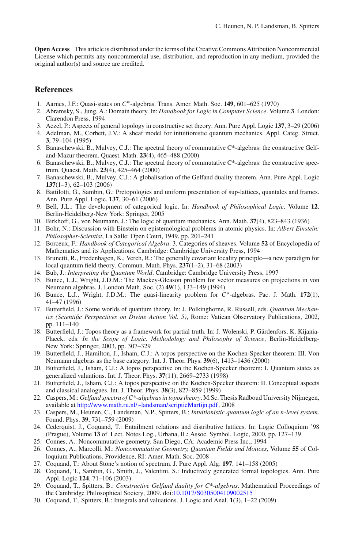**Open Access** This article is distributed under the terms of the Creative Commons Attribution Noncommercial License which permits any noncommercial use, distribution, and reproduction in any medium, provided the original author(s) and source are credited.

# **References**

- <span id="page-45-18"></span>1. Aarnes, J.F.: Quasi-states on *C*∗-algebras. Trans. Amer. Math. Soc. **149**, 601–625 (1970)
- <span id="page-45-16"></span>2. Abramsky, S., Jung, A.: Domain theory. In: *Handbook for Logic in Computer Science*. Volume **3**. London: Clarendon Press, 1994
- <span id="page-45-22"></span>3. Aczel, P.: Aspects of general topology in constructive set theory. Ann. Pure Appl. Logic **137**, 3–29 (2006)
- <span id="page-45-2"></span>4. Adelman, M., Corbett, J.V.: A sheaf model for intuitionistic quantum mechanics. Appl. Categ. Struct. **3**, 79–104 (1995)
- <span id="page-45-10"></span>5. Banaschewski, B., Mulvey, C.J.: The spectral theory of commutative C\*-algebras: the constructive Gelfand-Mazur theorem. Quaest. Math. **23**(4), 465–488 (2000)
- <span id="page-45-17"></span>6. Banaschewski, B., Mulvey, C.J.: The spectral theory of commutative C\*-algebras: the constructive spectrum. Quaest. Math. **23**(4), 425–464 (2000)
- <span id="page-45-11"></span>7. Banaschewski, B., Mulvey, C.J.: A globalisation of the Gelfand duality theorem. Ann. Pure Appl. Logic **137**(1–3), 62–103 (2006)
- <span id="page-45-23"></span>8. Battilotti, G., Sambin, G.: Pretopologies and uniform presentation of sup-lattices, quantales and frames. Ann. Pure Appl. Logic. **137**, 30–61 (2006)
- 9. Bell, J.L.: The development of categorical logic. In: *Handbook of Philosophical Logic*. Volume **12**. Berlin-Heidelberg-New York: Springer, 2005
- <span id="page-45-5"></span><span id="page-45-0"></span>10. Birkhoff, G., von Neumann, J.: The logic of quantum mechanics. Ann. Math. **37**(4), 823–843 (1936)
- <span id="page-45-14"></span>11. Bohr, N.: Discussion with Einstein on epistemological problems in atomic physics. In: *Albert Einstein: Philosopher-Scientist*, La Salle: Open Court, 1949, pp. 201–241
- <span id="page-45-8"></span>12. Borceux, F.: *Handbook of Categorical Algebra*. 3. Categories of sheaves. Volume **52** of Encyclopedia of Mathematics and its Applications. Cambridge: Cambridge University Press, 1994
- <span id="page-45-15"></span>13. Brunetti, R., Fredenhagen, K., Verch, R.: The generally covariant locality principle—a new paradigm for local quantum field theory. Commun. Math. Phys. **237**(1–2), 31–68 (2003)
- <span id="page-45-1"></span>14. Bub, J.: *Interpreting the Quantum World*. Cambridge: Cambridge University Press, 1997
- <span id="page-45-19"></span>15. Bunce, L.J., Wright, J.D.M.: The Mackey-Gleason problem for vector measures on projections in von Neumann algebras. J. London Math. Soc. (2) **49**(1), 133–149 (1994)
- <span id="page-45-20"></span>16. Bunce, L.J., Wright, J.D.M.: The quasi-linearity problem for *C*∗-algebras. Pac. J. Math. **172**(1), 41–47 (1996)
- <span id="page-45-3"></span>17. Butterfield, J.: Some worlds of quantum theory. In: J. Polkinghorne, R. Russell, eds. *Quantum Mechanics (Scientific Perspectives on Divine Action Vol. 5)*, Rome: Vatican Observatory Publications, 2002, pp. 111–140
- <span id="page-45-9"></span>18. Butterfield, J.: Topos theory as a framework for partial truth. In: J. Wolenski, P. Gärdenfors, K. Kijania-Placek, eds. *In the Scope of Logic, Methodology and Philosophy of Science*, Berlin-Heidelberg-New York: Springer, 2003, pp. 307–329
- <span id="page-45-29"></span>19. Butterfield, J., Hamilton, J., Isham, C.J.: A topos perspective on the Kochen-Specker theorem: III. Von Neumann algebras as the base category. Int. J. Theor. Phys. **39**(6), 1413–1436 (2000)
- <span id="page-45-4"></span>20. Butterfield, J., Isham, C.J.: A topos perspective on the Kochen-Specker theorem: I. Quantum states as generalized valuations. Int. J. Theor. Phys. **37**(11), 2669–2733 (1998)
- <span id="page-45-28"></span>21. Butterfield, J., Isham, C.J.: A topos perspective on the Kochen-Specker theorem: II. Conceptual aspects and classical analogues. Int. J. Theor. Phys. **38**(3), 827–859 (1999)
- <span id="page-45-25"></span>22. Caspers, M.: *Gelfand spectra of C\*-algebras in topos theory*. M.Sc. Thesis Radboud University Nijmegen, available at [http://www.math.ru.nl/~landsman/scriptieMartijn.pdf,](http://www.math.ru.nl/~landsman/scriptieMartijn.pdf) 2008
- <span id="page-45-24"></span>23. Caspers, M., Heunen, C., Landsman, N.P., Spitters, B.: *Intuitionistic quantum logic of an n-level system*. Found. Phys. **39**, 731–759 (2009)
- <span id="page-45-26"></span>24. Cederquist, J., Coquand, T.: Entailment relations and distributive lattices. In: Logic Colloquium '98 (Prague), Volume **13** of Lect. Notes Log., Urbana, IL: Assoc. Symbol. Logic, 2000, pp. 127–139
- <span id="page-45-6"></span>25. Connes, A.: Noncommutative geometry. San Diego, CA: Academic Press Inc., 1994
- <span id="page-45-7"></span>26. Connes, A., Marcolli, M.: *Noncommutative Geometry, Quantum Fields and Motices*, Volume **55** of Colloquium Publications. Providence, RI: Amer. Math. Soc. 2008
- <span id="page-45-12"></span>27. Coquand, T.: About Stone's notion of spectrum. J. Pure Appl. Alg. **197**, 141–158 (2005)
- <span id="page-45-27"></span>28. Coquand, T., Sambin, G., Smith, J., Valentini, S.: Inductively generated formal topologies. Ann. Pure Appl. Logic **124**, 71–106 (2003)
- <span id="page-45-13"></span>29. Coquand, T., Spitters, B.: *Constructive Gelfand duality for C\*-algebras*. Mathematical Proceedings of the Cambridge Philosophical Society, 2009. doi[:10.1017/S0305004109002515](http://dx.doi.org/10.1017/S0305004109002515)
- <span id="page-45-21"></span>30. Coquand, T., Spitters, B.: Integrals and valuations. J. Logic and Anal. **1**(3), 1–22 (2009)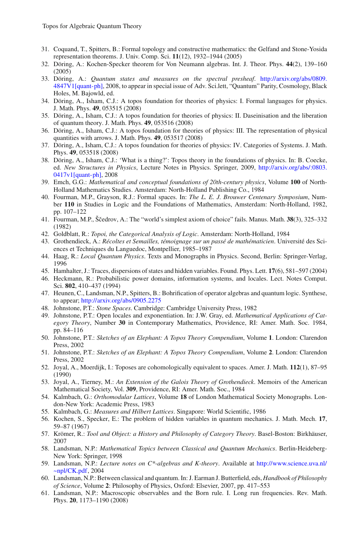- <span id="page-46-27"></span>31. Coquand, T., Spitters, B.: Formal topology and constructive mathematics: the Gelfand and Stone-Yosida representation theorems. J. Univ. Comp. Sci. **11**(12), 1932–1944 (2005)
- <span id="page-46-24"></span>32. Döring, A.: Kochen-Specker theorem for Von Neumann algebras. Int. J. Theor. Phys. **44**(2), 139–160 (2005)
- <span id="page-46-29"></span>33. Döring, A.: *Quantum states and measures on the spectral presheaf*. [http://arxiv.org/abs/0809.](http://arxiv.org/abs/0809.4847V1[quant-ph]) [4847V1\[quant-ph\],](http://arxiv.org/abs/0809.4847V1[quant-ph]) 2008, to appear in special issue of Adv. Sci.lett, "Quantum" Parity, Cosmology, Black Holes, M. Bajowld, ed.
- <span id="page-46-3"></span>34. Döring, A., Isham, C.J.: A topos foundation for theories of physics: I. Formal languages for physics. J. Math. Phys. **49**, 053515 (2008)
- <span id="page-46-17"></span>35. Döring, A., Isham, C.J.: A topos foundation for theories of physics: II. Daseinisation and the liberation of quantum theory. J. Math. Phys. **49**, 053516 (2008)
- <span id="page-46-18"></span>36. Döring, A., Isham, C.J.: A topos foundation for theories of physics: III. The representation of physical quantities with arrows. J. Math. Phys. **49**, 053517 (2008)
- <span id="page-46-30"></span>37. Döring, A., Isham, C.J.: A topos foundation for theories of physics: IV. Categories of Systems. J. Math. Phys. **49**, 053518 (2008)
- <span id="page-46-4"></span>38. Döring, A., Isham, C.J.: 'What is a thing?': Topos theory in the foundations of physics. In: B. Coecke, ed. *New Structures in Physics*, Lecture Notes in Physics. Springer, 2009, [http://arxiv.org/abs/:0803.](http://arxiv.org/abs/:0803.0417v1[quant-ph]) [0417v1\[quant-ph\],](http://arxiv.org/abs/:0803.0417v1[quant-ph]) 2008
- <span id="page-46-13"></span>39. Emch, G.G.: *Mathematical and conceptual foundations of 20th-century physics*, Volume **100** of North-Holland Mathematics Studies. Amsterdam: North-Holland Publishing Co., 1984
- <span id="page-46-22"></span>40. Fourman, M.P., Grayson, R.J.: Formal spaces. In: *The L. E. J. Brouwer Centenary Symposium*, Number **110** in Studies in Logic and the Foundations of Mathematics, Amsterdam: North-Holland, 1982, pp. 107–122
- <span id="page-46-21"></span>41. Fourman, M.P., Ўcedrov, A.: The "world's simplest axiom of choice" fails. Manus. Math. **38**(3), 325–332 (1982)
- <span id="page-46-5"></span>42. Goldblatt, R.: *Topoi, the Categorical Analysis of Logic*. Amsterdam: North-Holland, 1984
- <span id="page-46-0"></span>43. Grothendieck, A.: *Récoltes et Semailles, témoignage sur un passé de mathématicien*. Université des Sciences et Techniques du Languedoc, Montpellier, 1985–1987
- <span id="page-46-14"></span>44. Haag, R.: *Local Quantum Physics*. Texts and Monographs in Physics. Second, Berlin: Springer-Verlag, 1996
- <span id="page-46-26"></span>45. Hamhalter, J.: Traces, dispersions of states and hidden variables. Found. Phys. Lett. **17**(6), 581–597 (2004)
- <span id="page-46-28"></span>46. Heckmann, R.: Probabilistic power domains, information systems, and locales. Lect. Notes Comput. Sci. **802**, 410–437 (1994)
- <span id="page-46-25"></span>47. Heunen, C., Landsman, N.P., Spitters, B.: Bohrification of operator algebras and quantum logic. Synthese, to appear; <http://arxiv.org/abs/0905.2275>
- <span id="page-46-9"></span>48. Johnstone, P.T.: *Stone Spaces*. Cambridge: Cambridge University Press, 1982
- <span id="page-46-19"></span>49. Johnstone, P.T.: Open locales and exponentiation. In: J.W. Gray, ed. *Mathematical Applications of Category Theory*, Number **30** in Contemporary Mathematics, Providence, RI: Amer. Math. Soc. 1984, pp. 84–116
- <span id="page-46-6"></span>50. Johnstone, P.T.: *Sketches of an Elephant: A Topos Theory Compendium*, Volume **1**. London: Clarendon Press, 2002
- <span id="page-46-7"></span>51. Johnstone, P.T.: *Sketches of an Elephant: A Topos Theory Compendium*, Volume **2**. London: Clarendon Press, 2002
- <span id="page-46-10"></span>52. Joyal, A., Moerdijk, I.: Toposes are cohomologically equivalent to spaces. Amer. J. Math. **112**(1), 87–95 (1990)
- <span id="page-46-11"></span>53. Joyal, A., Tierney, M.: *An Extension of the Galois Theory of Grothendieck*. Memoirs of the American Mathematical Society, Vol. **309**, Providence, RI: Amer. Math. Soc., 1984
- <span id="page-46-1"></span>54. Kalmbach, G.: *Orthomodular Lattices*, Volume **18** of London Mathematical Society Monographs. London-New York: Academic Press, 1983
- <span id="page-46-2"></span>55. Kalmbach, G.: *Measures and Hilbert Lattices*. Singapore: World Scientific, 1986
- <span id="page-46-23"></span>56. Kochen, S., Specker, E.: The problem of hidden variables in quantum mechanics. J. Math. Mech. **17**, 59–87 (1967)
- <span id="page-46-8"></span>57. Krömer, R.: *Tool and Object: a History and Philosophy of Category Theory*. Basel-Boston: Birkhäuser, 2007
- <span id="page-46-15"></span>58. Landsman, N.P.: *Mathematical Topics between Classical and Quantum Mechanics*. Berlin-Heideberg-New York: Springer, 1998
- <span id="page-46-20"></span>59. Landsman, N.P.: *Lecture notes on C\*-algebras and K-theory*. Available at [http://www.science.uva.nl/](http://www.science.uva.nl/~npl/CK.pdf)  $\neg$ npl/CK.pdf, 2004
- <span id="page-46-16"></span>60. Landsman, N.P.: Between classical and quantum. In: J. Earman J. Butterfield, eds, *Handbook of Philosophy of Science*, Volume **2**: Philosophy of Physics, Oxford: Elsevier, 2007, pp. 417–553
- <span id="page-46-12"></span>61. Landsman, N.P.: Macroscopic observables and the Born rule. I. Long run frequencies. Rev. Math. Phys. **20**, 1173–1190 (2008)